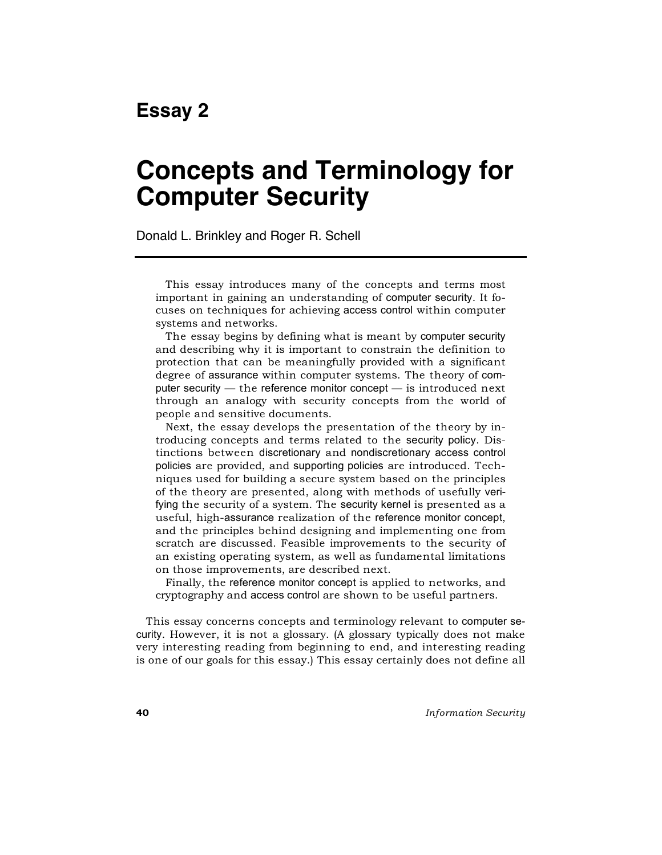# **Concepts and Terminology for Computer Security**

Donald L. Brinkley and Roger R. Schell

This essay introduces many of the concepts and terms most important in gaining an understanding of computer security. It focuses on techniques for achieving access control within computer systems and networks.

The essay begins by defining what is meant by computer security and describing why it is important to constrain the definition to protection that can be meaningfully provided with a significant degree of assurance within computer systems. The theory of computer security — the reference monitor concept — is introduced next through an analogy with security concepts from the world of people and sensitive documents.

Next, the essay develops the presentation of the theory by introducing concepts and terms related to the security policy. Distinctions between discretionary and nondiscretionary access control policies are provided, and supporting policies are introduced. Techniques used for building a secure system based on the principles of the theory are presented, along with methods of usefully verifying the security of a system. The security kernel is presented as a useful, high-assurance realization of the reference monitor concept, and the principles behind designing and implementing one from scratch are discussed. Feasible improvements to the security of an existing operating system, as well as fundamental limitations on those improvements, are described next.

Finally, the reference monitor concept is applied to networks, and cryptography and access control are shown to be useful partners.

This essay concerns concepts and terminology relevant to computer security. However, it is not a glossary. (A glossary typically does not make very interesting reading from beginning to end, and interesting reading is one of our goals for this essay.) This essay certainly does not define all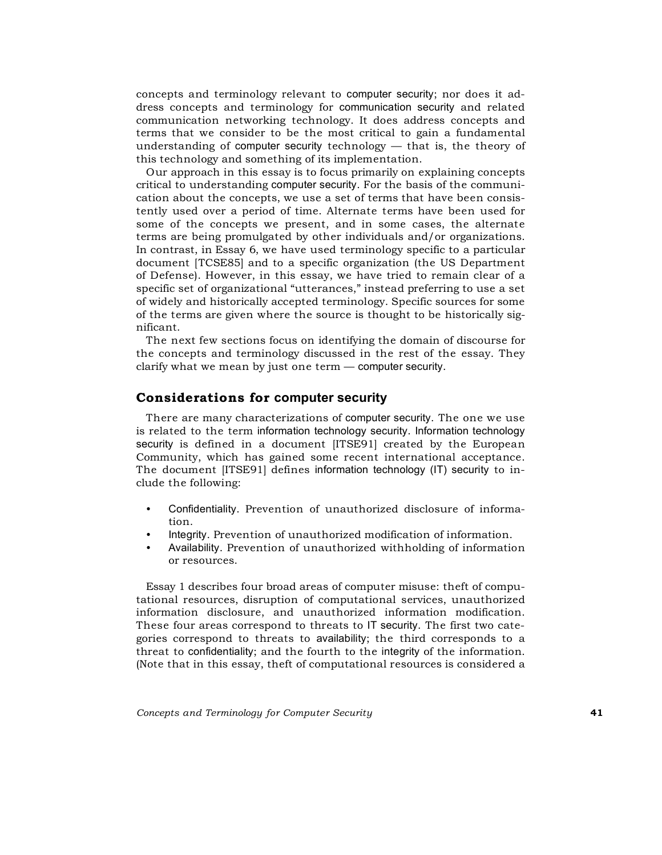concepts and terminology relevant to computer security; nor does it address concepts and terminology for communication security and related communication networking technology. It does address concepts and terms that we consider to be the most critical to gain a fundamental understanding of computer security technology — that is, the theory of this technology and something of its implementation.

Our approach in this essay is to focus primarily on explaining concepts critical to understanding computer security. For the basis of the communication about the concepts, we use a set of terms that have been consistently used over a period of time. Alternate terms have been used for some of the concepts we present, and in some cases, the alternate terms are being promulgated by other individuals and/or organizations. In contrast, in Essay 6, we have used terminology specific to a particular document [TCSE85] and to a specific organization (the US Department of Defense). However, in this essay, we have tried to remain clear of a specific set of organizational "utterances," instead preferring to use a set of widely and historically accepted terminology. Specific sources for some of the terms are given where the source is thought to be historically significant.

The next few sections focus on identifying the domain of discourse for the concepts and terminology discussed in the rest of the essay. They clarify what we mean by just one term — computer security.

## **Considerations for computer security**

There are many characterizations of computer security. The one we use is related to the term information technology security. Information technology security is defined in a document [ITSE91] created by the European Community, which has gained some recent international acceptance. The document [ITSE91] defines information technology (IT) security to include the following:

- Confidentiality. Prevention of unauthorized disclosure of information.
- Integrity. Prevention of unauthorized modification of information.
- Availability. Prevention of unauthorized withholding of information or resources.

Essay 1 describes four broad areas of computer misuse: theft of computational resources, disruption of computational services, unauthorized information disclosure, and unauthorized information modification. These four areas correspond to threats to IT security. The first two categories correspond to threats to availability; the third corresponds to a threat to confidentiality; and the fourth to the integrity of the information. (Note that in this essay, theft of computational resources is considered a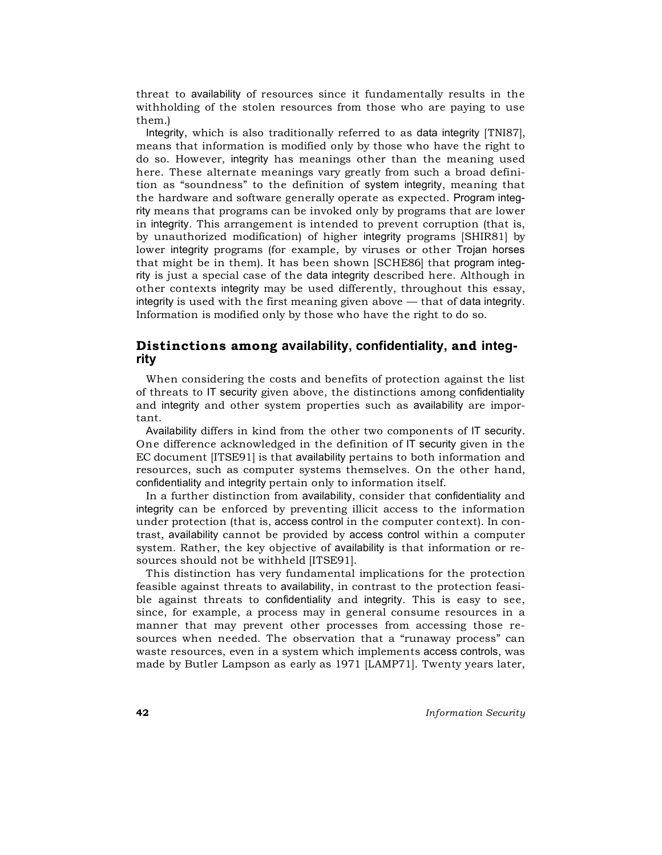threat to availability of resources since it fundamentally results in the withholding of the stolen resources from those who are paying to use them.)

Integrity, which is also traditionally referred to as data integrity [TNI87], means that information is modified only by those who have the right to do so. However, integrity has meanings other than the meaning used here. These alternate meanings vary greatly from such a broad definition as "soundness" to the definition of system integrity, meaning that the hardware and software generally operate as expected. Program integrity means that programs can be invoked only by programs that are lower in integrity. This arrangement is intended to prevent corruption (that is, by unauthorized modification) of higher integrity programs [SHIR81] by lower integrity programs (for example, by viruses or other Trojan horses that might be in them). It has been shown [SCHE86] that program integrity is just a special case of the data integrity described here. Although in other contexts integrity may be used differently, throughout this essay, integrity is used with the first meaning given above — that of data integrity. Information is modified only by those who have the right to do so.

# **Distinctions among availability, confidentiality, and integrity**

When considering the costs and benefits of protection against the list of threats to IT security given above, the distinctions among confidentiality and integrity and other system properties such as availability are important.

Availability differs in kind from the other two components of IT security. One difference acknowledged in the definition of IT security given in the EC document [ITSE91] is that availability pertains to both information and resources, such as computer systems themselves. On the other hand, confidentiality and integrity pertain only to information itself.

In a further distinction from availability, consider that confidentiality and integrity can be enforced by preventing illicit access to the information under protection (that is, access control in the computer context). In contrast, availability cannot be provided by access control within a computer system. Rather, the key objective of availability is that information or resources should not be withheld [ITSE91].

This distinction has very fundamental implications for the protection feasible against threats to availability, in contrast to the protection feasible against threats to confidentiality and integrity. This is easy to see, since, for example, a process may in general consume resources in a manner that may prevent other processes from accessing those resources when needed. The observation that a "runaway process" can waste resources, even in a system which implements access controls, was made by Butler Lampson as early as 1971 [LAMP71]. Twenty years later,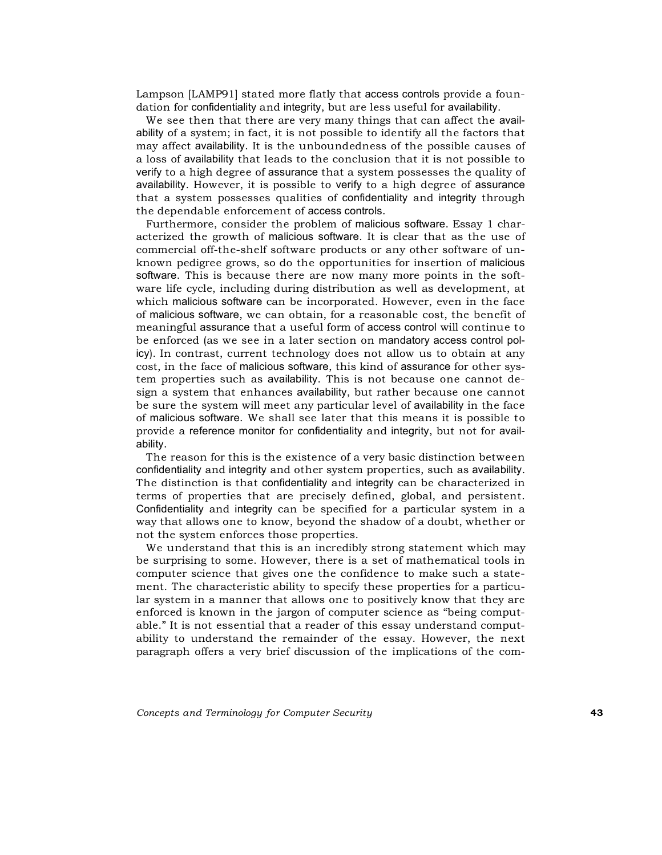Lampson [LAMP91] stated more flatly that access controls provide a foundation for confidentiality and integrity, but are less useful for availability.

We see then that there are very many things that can affect the availability of a system; in fact, it is not possible to identify all the factors that may affect availability. It is the unboundedness of the possible causes of a loss of availability that leads to the conclusion that it is not possible to verify to a high degree of assurance that a system possesses the quality of availability. However, it is possible to verify to a high degree of assurance that a system possesses qualities of confidentiality and integrity through the dependable enforcement of access controls.

Furthermore, consider the problem of malicious software. Essay 1 characterized the growth of malicious software. It is clear that as the use of commercial off-the-shelf software products or any other software of unknown pedigree grows, so do the opportunities for insertion of malicious software. This is because there are now many more points in the software life cycle, including during distribution as well as development, at which malicious software can be incorporated. However, even in the face of malicious software, we can obtain, for a reasonable cost, the benefit of meaningful assurance that a useful form of access control will continue to be enforced (as we see in a later section on mandatory access control policy). In contrast, current technology does not allow us to obtain at any cost, in the face of malicious software, this kind of assurance for other system properties such as availability. This is not because one cannot design a system that enhances availability, but rather because one cannot be sure the system will meet any particular level of availability in the face of malicious software. We shall see later that this means it is possible to provide a reference monitor for confidentiality and integrity, but not for availability.

The reason for this is the existence of a very basic distinction between confidentiality and integrity and other system properties, such as availability. The distinction is that confidentiality and integrity can be characterized in terms of properties that are precisely defined, global, and persistent. Confidentiality and integrity can be specified for a particular system in a way that allows one to know, beyond the shadow of a doubt, whether or not the system enforces those properties.

We understand that this is an incredibly strong statement which may be surprising to some. However, there is a set of mathematical tools in computer science that gives one the confidence to make such a statement. The characteristic ability to specify these properties for a particular system in a manner that allows one to positively know that they are enforced is known in the jargon of computer science as "being computable." It is not essential that a reader of this essay understand computability to understand the remainder of the essay. However, the next paragraph offers a very brief discussion of the implications of the com-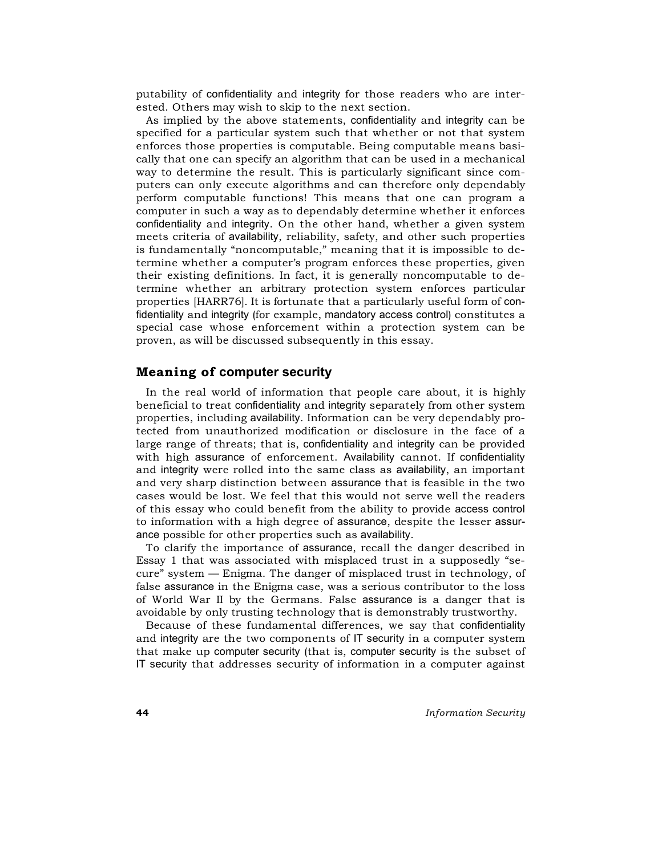putability of confidentiality and integrity for those readers who are interested. Others may wish to skip to the next section.

As implied by the above statements, confidentiality and integrity can be specified for a particular system such that whether or not that system enforces those properties is computable. Being computable means basically that one can specify an algorithm that can be used in a mechanical way to determine the result. This is particularly significant since computers can only execute algorithms and can therefore only dependably perform computable functions! This means that one can program a computer in such a way as to dependably determine whether it enforces confidentiality and integrity. On the other hand, whether a given system meets criteria of availability, reliability, safety, and other such properties is fundamentally "noncomputable," meaning that it is impossible to determine whether a computer's program enforces these properties, given their existing definitions. In fact, it is generally noncomputable to determine whether an arbitrary protection system enforces particular properties [HARR76]. It is fortunate that a particularly useful form of confidentiality and integrity (for example, mandatory access control) constitutes a special case whose enforcement within a protection system can be proven, as will be discussed subsequently in this essay.

#### **Meaning of computer security**

In the real world of information that people care about, it is highly beneficial to treat confidentiality and integrity separately from other system properties, including availability. Information can be very dependably protected from unauthorized modification or disclosure in the face of a large range of threats; that is, confidentiality and integrity can be provided with high assurance of enforcement. Availability cannot. If confidentiality and integrity were rolled into the same class as availability, an important and very sharp distinction between assurance that is feasible in the two cases would be lost. We feel that this would not serve well the readers of this essay who could benefit from the ability to provide access control to information with a high degree of assurance, despite the lesser assurance possible for other properties such as availability.

To clarify the importance of assurance, recall the danger described in Essay 1 that was associated with misplaced trust in a supposedly "secure" system — Enigma. The danger of misplaced trust in technology, of false assurance in the Enigma case, was a serious contributor to the loss of World War II by the Germans. False assurance is a danger that is avoidable by only trusting technology that is demonstrably trustworthy.

Because of these fundamental differences, we say that confidentiality and integrity are the two components of IT security in a computer system that make up computer security (that is, computer security is the subset of IT security that addresses security of information in a computer against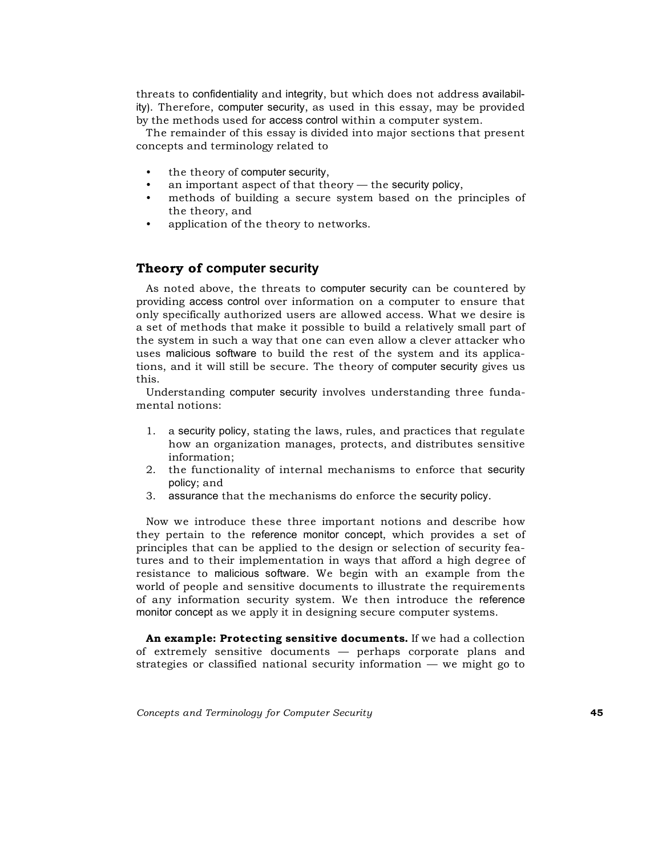threats to confidentiality and integrity, but which does not address availability). Therefore, computer security, as used in this essay, may be provided by the methods used for access control within a computer system.

The remainder of this essay is divided into major sections that present concepts and terminology related to

- the theory of computer security,
- an important aspect of that theory  $-$  the security policy,
- methods of building a secure system based on the principles of the theory, and
- application of the theory to networks.

## **Theory of computer security**

As noted above, the threats to computer security can be countered by providing access control over information on a computer to ensure that only specifically authorized users are allowed access. What we desire is a set of methods that make it possible to build a relatively small part of the system in such a way that one can even allow a clever attacker who uses malicious software to build the rest of the system and its applications, and it will still be secure. The theory of computer security gives us this.

Understanding computer security involves understanding three fundamental notions:

- 1. a security policy, stating the laws, rules, and practices that regulate how an organization manages, protects, and distributes sensitive information;
- 2. the functionality of internal mechanisms to enforce that security policy; and
- 3. assurance that the mechanisms do enforce the security policy.

Now we introduce these three important notions and describe how they pertain to the reference monitor concept, which provides a set of principles that can be applied to the design or selection of security features and to their implementation in ways that afford a high degree of resistance to malicious software. We begin with an example from the world of people and sensitive documents to illustrate the requirements of any information security system. We then introduce the reference monitor concept as we apply it in designing secure computer systems.

**An example: Protecting sensitive documents.** If we had a collection of extremely sensitive documents — perhaps corporate plans and strategies or classified national security information — we might go to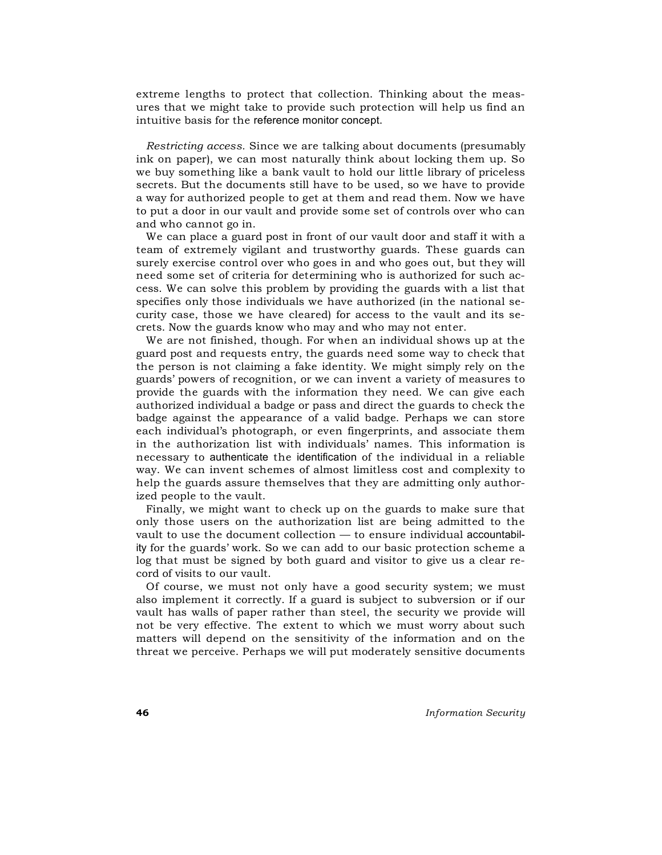extreme lengths to protect that collection. Thinking about the measures that we might take to provide such protection will help us find an intuitive basis for the reference monitor concept.

*Restricting access.* Since we are talking about documents (presumably ink on paper), we can most naturally think about locking them up. So we buy something like a bank vault to hold our little library of priceless secrets. But the documents still have to be used, so we have to provide a way for authorized people to get at them and read them. Now we have to put a door in our vault and provide some set of controls over who can and who cannot go in.

We can place a guard post in front of our vault door and staff it with a team of extremely vigilant and trustworthy guards. These guards can surely exercise control over who goes in and who goes out, but they will need some set of criteria for determining who is authorized for such access. We can solve this problem by providing the guards with a list that specifies only those individuals we have authorized (in the national security case, those we have cleared) for access to the vault and its secrets. Now the guards know who may and who may not enter.

We are not finished, though. For when an individual shows up at the guard post and requests entry, the guards need some way to check that the person is not claiming a fake identity. We might simply rely on the guards' powers of recognition, or we can invent a variety of measures to provide the guards with the information they need. We can give each authorized individual a badge or pass and direct the guards to check the badge against the appearance of a valid badge. Perhaps we can store each individual's photograph, or even fingerprints, and associate them in the authorization list with individuals' names. This information is necessary to authenticate the identification of the individual in a reliable way. We can invent schemes of almost limitless cost and complexity to help the guards assure themselves that they are admitting only authorized people to the vault.

Finally, we might want to check up on the guards to make sure that only those users on the authorization list are being admitted to the vault to use the document collection — to ensure individual accountability for the guards' work. So we can add to our basic protection scheme a log that must be signed by both guard and visitor to give us a clear record of visits to our vault.

Of course, we must not only have a good security system; we must also implement it correctly. If a guard is subject to subversion or if our vault has walls of paper rather than steel, the security we provide will not be very effective. The extent to which we must worry about such matters will depend on the sensitivity of the information and on the threat we perceive. Perhaps we will put moderately sensitive documents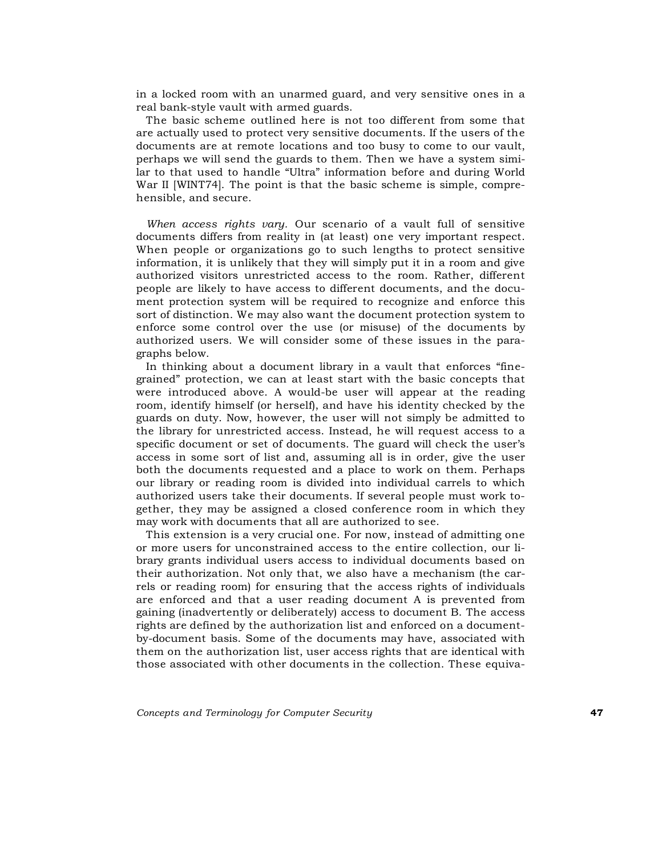in a locked room with an unarmed guard, and very sensitive ones in a real bank-style vault with armed guards.

The basic scheme outlined here is not too different from some that are actually used to protect very sensitive documents. If the users of the documents are at remote locations and too busy to come to our vault, perhaps we will send the guards to them. Then we have a system similar to that used to handle "Ultra" information before and during World War II [WINT74]. The point is that the basic scheme is simple, comprehensible, and secure.

*When access rights vary.* Our scenario of a vault full of sensitive documents differs from reality in (at least) one very important respect. When people or organizations go to such lengths to protect sensitive information, it is unlikely that they will simply put it in a room and give authorized visitors unrestricted access to the room. Rather, different people are likely to have access to different documents, and the document protection system will be required to recognize and enforce this sort of distinction. We may also want the document protection system to enforce some control over the use (or misuse) of the documents by authorized users. We will consider some of these issues in the paragraphs below.

In thinking about a document library in a vault that enforces "finegrained" protection, we can at least start with the basic concepts that were introduced above. A would-be user will appear at the reading room, identify himself (or herself), and have his identity checked by the guards on duty. Now, however, the user will not simply be admitted to the library for unrestricted access. Instead, he will request access to a specific document or set of documents. The guard will check the user's access in some sort of list and, assuming all is in order, give the user both the documents requested and a place to work on them. Perhaps our library or reading room is divided into individual carrels to which authorized users take their documents. If several people must work together, they may be assigned a closed conference room in which they may work with documents that all are authorized to see.

This extension is a very crucial one. For now, instead of admitting one or more users for unconstrained access to the entire collection, our library grants individual users access to individual documents based on their authorization. Not only that, we also have a mechanism (the carrels or reading room) for ensuring that the access rights of individuals are enforced and that a user reading document A is prevented from gaining (inadvertently or deliberately) access to document B. The access rights are defined by the authorization list and enforced on a documentby-document basis. Some of the documents may have, associated with them on the authorization list, user access rights that are identical with those associated with other documents in the collection. These equiva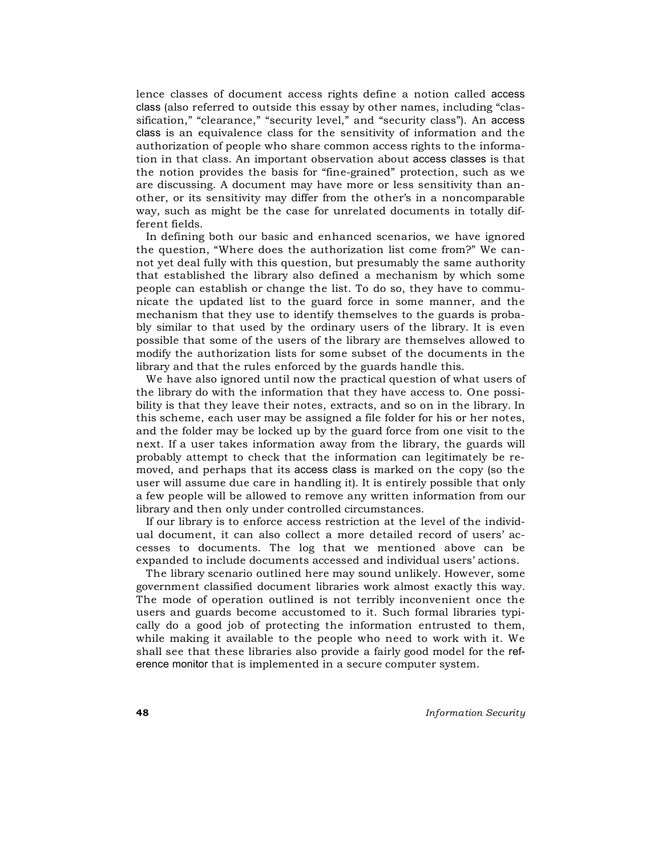lence classes of document access rights define a notion called access class (also referred to outside this essay by other names, including "classification," "clearance," "security level," and "security class"). An access class is an equivalence class for the sensitivity of information and the authorization of people who share common access rights to the information in that class. An important observation about access classes is that the notion provides the basis for "fine-grained" protection, such as we are discussing. A document may have more or less sensitivity than another, or its sensitivity may differ from the other's in a noncomparable way, such as might be the case for unrelated documents in totally different fields.

In defining both our basic and enhanced scenarios, we have ignored the question, "Where does the authorization list come from?" We cannot yet deal fully with this question, but presumably the same authority that established the library also defined a mechanism by which some people can establish or change the list. To do so, they have to communicate the updated list to the guard force in some manner, and the mechanism that they use to identify themselves to the guards is probably similar to that used by the ordinary users of the library. It is even possible that some of the users of the library are themselves allowed to modify the authorization lists for some subset of the documents in the library and that the rules enforced by the guards handle this.

We have also ignored until now the practical question of what users of the library do with the information that they have access to. One possibility is that they leave their notes, extracts, and so on in the library. In this scheme, each user may be assigned a file folder for his or her notes, and the folder may be locked up by the guard force from one visit to the next. If a user takes information away from the library, the guards will probably attempt to check that the information can legitimately be removed, and perhaps that its access class is marked on the copy (so the user will assume due care in handling it). It is entirely possible that only a few people will be allowed to remove any written information from our library and then only under controlled circumstances.

If our library is to enforce access restriction at the level of the individual document, it can also collect a more detailed record of users' accesses to documents. The log that we mentioned above can be expanded to include documents accessed and individual users' actions.

The library scenario outlined here may sound unlikely. However, some government classified document libraries work almost exactly this way. The mode of operation outlined is not terribly inconvenient once the users and guards become accustomed to it. Such formal libraries typically do a good job of protecting the information entrusted to them, while making it available to the people who need to work with it. We shall see that these libraries also provide a fairly good model for the reference monitor that is implemented in a secure computer system.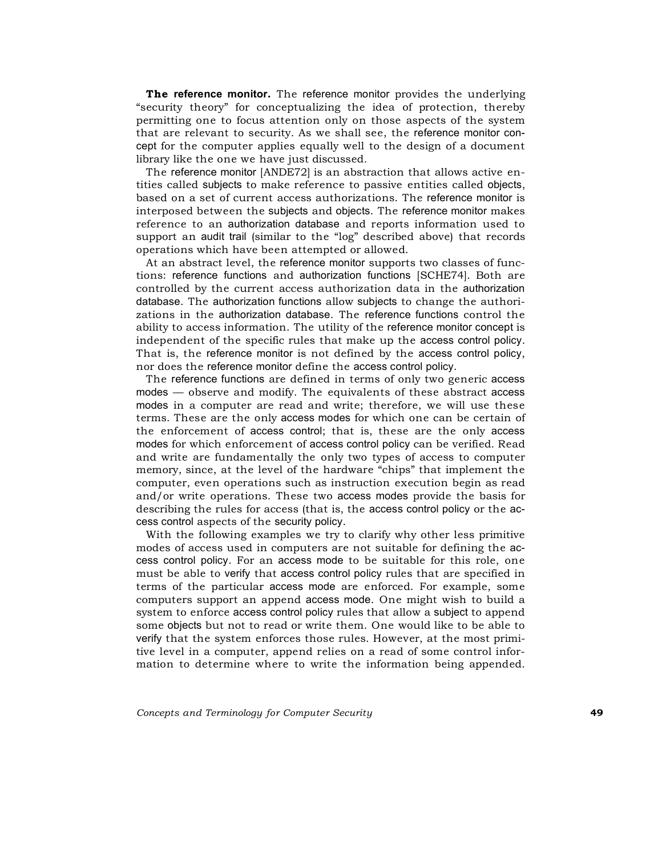**The reference monitor.** The reference monitor provides the underlying "security theory" for conceptualizing the idea of protection, thereby permitting one to focus attention only on those aspects of the system that are relevant to security. As we shall see, the reference monitor concept for the computer applies equally well to the design of a document library like the one we have just discussed.

The reference monitor [ANDE72] is an abstraction that allows active entities called subjects to make reference to passive entities called objects, based on a set of current access authorizations. The reference monitor is interposed between the subjects and objects. The reference monitor makes reference to an authorization database and reports information used to support an audit trail (similar to the "log" described above) that records operations which have been attempted or allowed.

At an abstract level, the reference monitor supports two classes of functions: reference functions and authorization functions [SCHE74]. Both are controlled by the current access authorization data in the authorization database. The authorization functions allow subjects to change the authorizations in the authorization database. The reference functions control the ability to access information. The utility of the reference monitor concept is independent of the specific rules that make up the access control policy. That is, the reference monitor is not defined by the access control policy, nor does the reference monitor define the access control policy.

The reference functions are defined in terms of only two generic access modes — observe and modify. The equivalents of these abstract access modes in a computer are read and write; therefore, we will use these terms. These are the only access modes for which one can be certain of the enforcement of access control; that is, these are the only access modes for which enforcement of access control policy can be verified. Read and write are fundamentally the only two types of access to computer memory, since, at the level of the hardware "chips" that implement the computer, even operations such as instruction execution begin as read and/or write operations. These two access modes provide the basis for describing the rules for access (that is, the access control policy or the access control aspects of the security policy.

With the following examples we try to clarify why other less primitive modes of access used in computers are not suitable for defining the access control policy. For an access mode to be suitable for this role, one must be able to verify that access control policy rules that are specified in terms of the particular access mode are enforced. For example, some computers support an append access mode. One might wish to build a system to enforce access control policy rules that allow a subject to append some objects but not to read or write them. One would like to be able to verify that the system enforces those rules. However, at the most primitive level in a computer, append relies on a read of some control information to determine where to write the information being appended.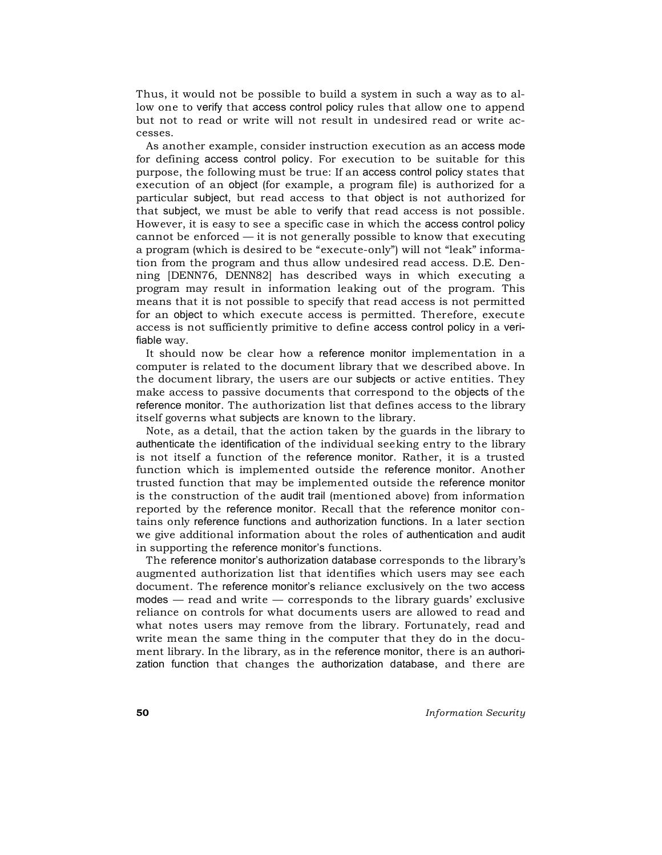Thus, it would not be possible to build a system in such a way as to allow one to verify that access control policy rules that allow one to append but not to read or write will not result in undesired read or write accesses.

As another example, consider instruction execution as an access mode for defining access control policy. For execution to be suitable for this purpose, the following must be true: If an access control policy states that execution of an object (for example, a program file) is authorized for a particular subject, but read access to that object is not authorized for that subject, we must be able to verify that read access is not possible. However, it is easy to see a specific case in which the access control policy cannot be enforced  $-$  it is not generally possible to know that executing a program (which is desired to be "execute-only") will not "leak" information from the program and thus allow undesired read access. D.E. Denning [DENN76, DENN82] has described ways in which executing a program may result in information leaking out of the program. This means that it is not possible to specify that read access is not permitted for an object to which execute access is permitted. Therefore, execute access is not sufficiently primitive to define access control policy in a verifiable way.

It should now be clear how a reference monitor implementation in a computer is related to the document library that we described above. In the document library, the users are our subjects or active entities. They make access to passive documents that correspond to the objects of the reference monitor. The authorization list that defines access to the library itself governs what subjects are known to the library.

Note, as a detail, that the action taken by the guards in the library to authenticate the identification of the individual seeking entry to the library is not itself a function of the reference monitor. Rather, it is a trusted function which is implemented outside the reference monitor. Another trusted function that may be implemented outside the reference monitor is the construction of the audit trail (mentioned above) from information reported by the reference monitor. Recall that the reference monitor contains only reference functions and authorization functions. In a later section we give additional information about the roles of authentication and audit in supporting the reference monitor's functions.

The reference monitor's authorization database corresponds to the library's augmented authorization list that identifies which users may see each document. The reference monitor's reliance exclusively on the two access  $modes - read$  and write  $-$  corresponds to the library guards' exclusive reliance on controls for what documents users are allowed to read and what notes users may remove from the library. Fortunately, read and write mean the same thing in the computer that they do in the document library. In the library, as in the reference monitor, there is an authorization function that changes the authorization database, and there are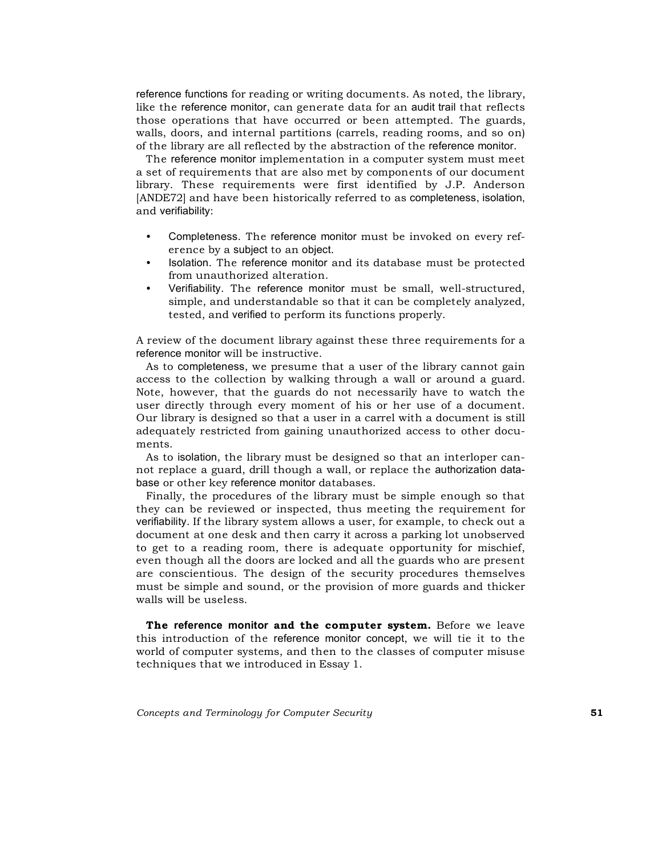reference functions for reading or writing documents. As noted, the library, like the reference monitor, can generate data for an audit trail that reflects those operations that have occurred or been attempted. The guards, walls, doors, and internal partitions (carrels, reading rooms, and so on) of the library are all reflected by the abstraction of the reference monitor.

The reference monitor implementation in a computer system must meet a set of requirements that are also met by components of our document library. These requirements were first identified by J.P. Anderson [ANDE72] and have been historically referred to as completeness, isolation, and verifiability:

- Completeness. The reference monitor must be invoked on every reference by a subject to an object.
- Isolation. The reference monitor and its database must be protected from unauthorized alteration.
- Verifiability. The reference monitor must be small, well-structured, simple, and understandable so that it can be completely analyzed, tested, and verified to perform its functions properly.

A review of the document library against these three requirements for a reference monitor will be instructive.

As to completeness, we presume that a user of the library cannot gain access to the collection by walking through a wall or around a guard. Note, however, that the guards do not necessarily have to watch the user directly through every moment of his or her use of a document. Our library is designed so that a user in a carrel with a document is still adequately restricted from gaining unauthorized access to other documents.

As to isolation, the library must be designed so that an interloper cannot replace a guard, drill though a wall, or replace the authorization database or other key reference monitor databases.

Finally, the procedures of the library must be simple enough so that they can be reviewed or inspected, thus meeting the requirement for verifiability. If the library system allows a user, for example, to check out a document at one desk and then carry it across a parking lot unobserved to get to a reading room, there is adequate opportunity for mischief, even though all the doors are locked and all the guards who are present are conscientious. The design of the security procedures themselves must be simple and sound, or the provision of more guards and thicker walls will be useless.

**The reference monitor and the computer system.** Before we leave this introduction of the reference monitor concept, we will tie it to the world of computer systems, and then to the classes of computer misuse techniques that we introduced in Essay 1.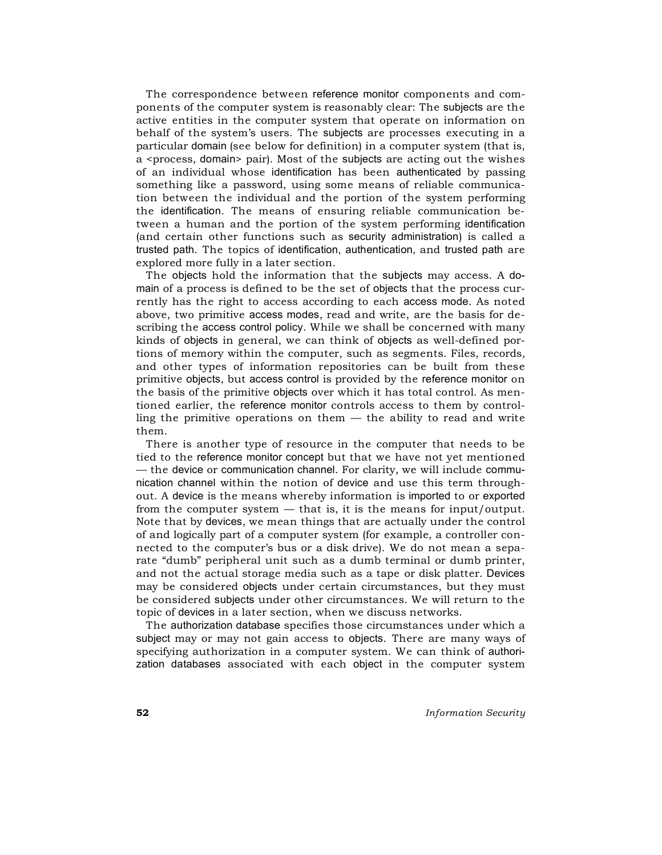The correspondence between reference monitor components and components of the computer system is reasonably clear: The subjects are the active entities in the computer system that operate on information on behalf of the system's users. The subjects are processes executing in a particular domain (see below for definition) in a computer system (that is, a <process, domain> pair). Most of the subjects are acting out the wishes of an individual whose identification has been authenticated by passing something like a password, using some means of reliable communication between the individual and the portion of the system performing the identification. The means of ensuring reliable communication between a human and the portion of the system performing identification (and certain other functions such as security administration) is called a trusted path. The topics of identification, authentication, and trusted path are explored more fully in a later section.

The objects hold the information that the subjects may access. A domain of a process is defined to be the set of objects that the process currently has the right to access according to each access mode. As noted above, two primitive access modes, read and write, are the basis for describing the access control policy. While we shall be concerned with many kinds of objects in general, we can think of objects as well-defined portions of memory within the computer, such as segments. Files, records, and other types of information repositories can be built from these primitive objects, but access control is provided by the reference monitor on the basis of the primitive objects over which it has total control. As mentioned earlier, the reference monitor controls access to them by controlling the primitive operations on them  $-$  the ability to read and write them.

There is another type of resource in the computer that needs to be tied to the reference monitor concept but that we have not yet mentioned — the device or communication channel. For clarity, we will include communication channel within the notion of device and use this term throughout. A device is the means whereby information is imported to or exported from the computer system — that is, it is the means for input/output. Note that by devices, we mean things that are actually under the control of and logically part of a computer system (for example, a controller connected to the computer's bus or a disk drive). We do not mean a separate "dumb" peripheral unit such as a dumb terminal or dumb printer, and not the actual storage media such as a tape or disk platter. Devices may be considered objects under certain circumstances, but they must be considered subjects under other circumstances. We will return to the topic of devices in a later section, when we discuss networks.

The authorization database specifies those circumstances under which a subject may or may not gain access to objects. There are many ways of specifying authorization in a computer system. We can think of authorization databases associated with each object in the computer system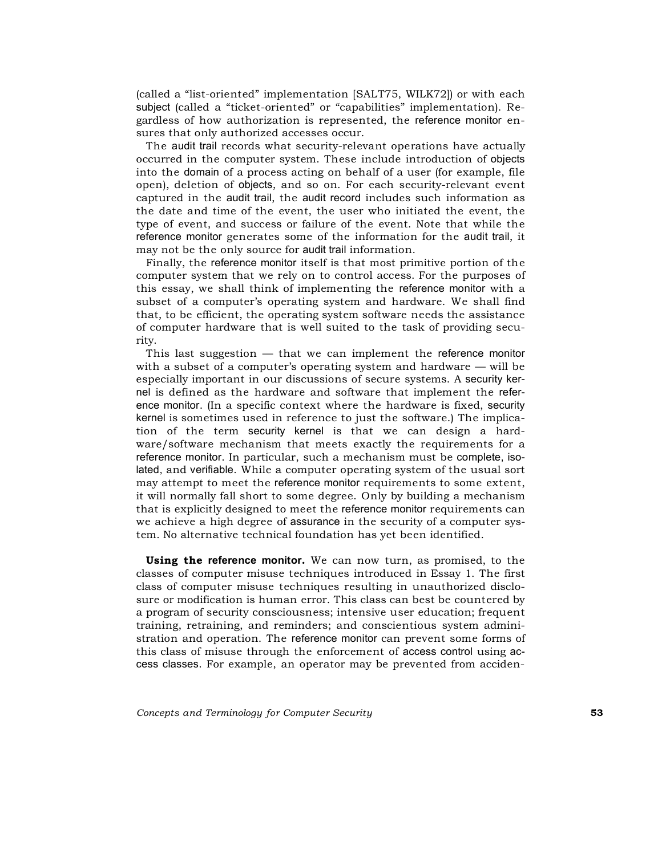(called a "list-oriented" implementation [SALT75, WILK72]) or with each subject (called a "ticket-oriented" or "capabilities" implementation). Regardless of how authorization is represented, the reference monitor ensures that only authorized accesses occur.

The audit trail records what security-relevant operations have actually occurred in the computer system. These include introduction of objects into the domain of a process acting on behalf of a user (for example, file open), deletion of objects, and so on. For each security-relevant event captured in the audit trail, the audit record includes such information as the date and time of the event, the user who initiated the event, the type of event, and success or failure of the event. Note that while the reference monitor generates some of the information for the audit trail, it may not be the only source for audit trail information.

Finally, the reference monitor itself is that most primitive portion of the computer system that we rely on to control access. For the purposes of this essay, we shall think of implementing the reference monitor with a subset of a computer's operating system and hardware. We shall find that, to be efficient, the operating system software needs the assistance of computer hardware that is well suited to the task of providing security.

This last suggestion — that we can implement the reference monitor with a subset of a computer's operating system and hardware — will be especially important in our discussions of secure systems. A security kernel is defined as the hardware and software that implement the reference monitor. (In a specific context where the hardware is fixed, security kernel is sometimes used in reference to just the software.) The implication of the term security kernel is that we can design a hardware/software mechanism that meets exactly the requirements for a reference monitor. In particular, such a mechanism must be complete, isolated, and verifiable. While a computer operating system of the usual sort may attempt to meet the reference monitor requirements to some extent, it will normally fall short to some degree. Only by building a mechanism that is explicitly designed to meet the reference monitor requirements can we achieve a high degree of assurance in the security of a computer system. No alternative technical foundation has yet been identified.

**Using the reference monitor.** We can now turn, as promised, to the classes of computer misuse techniques introduced in Essay 1. The first class of computer misuse techniques resulting in unauthorized disclosure or modification is human error. This class can best be countered by a program of security consciousness; intensive user education; frequent training, retraining, and reminders; and conscientious system administration and operation. The reference monitor can prevent some forms of this class of misuse through the enforcement of access control using access classes. For example, an operator may be prevented from acciden-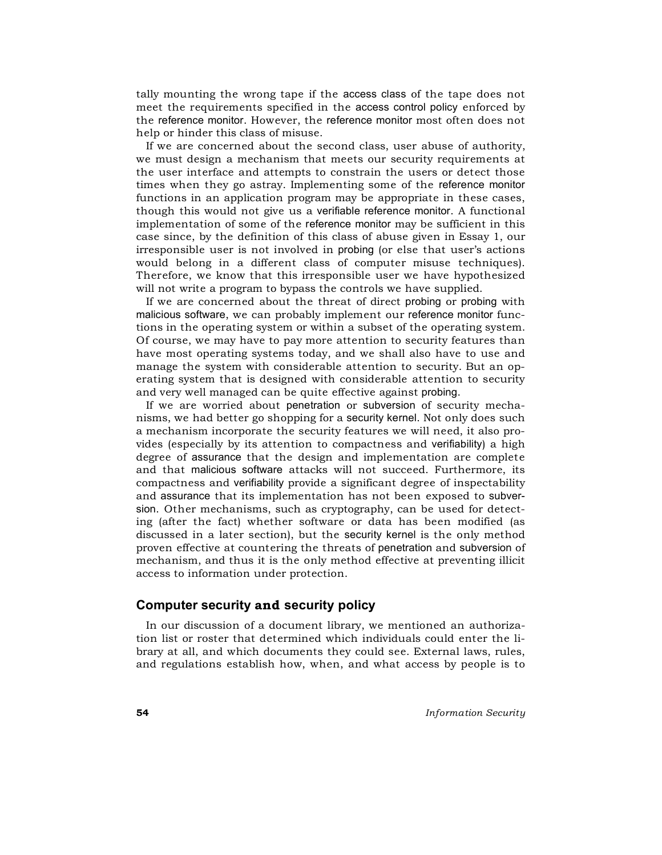tally mounting the wrong tape if the access class of the tape does not meet the requirements specified in the access control policy enforced by the reference monitor. However, the reference monitor most often does not help or hinder this class of misuse.

If we are concerned about the second class, user abuse of authority, we must design a mechanism that meets our security requirements at the user interface and attempts to constrain the users or detect those times when they go astray. Implementing some of the reference monitor functions in an application program may be appropriate in these cases, though this would not give us a verifiable reference monitor. A functional implementation of some of the reference monitor may be sufficient in this case since, by the definition of this class of abuse given in Essay 1, our irresponsible user is not involved in probing (or else that user's actions would belong in a different class of computer misuse techniques). Therefore, we know that this irresponsible user we have hypothesized will not write a program to bypass the controls we have supplied.

If we are concerned about the threat of direct probing or probing with malicious software, we can probably implement our reference monitor functions in the operating system or within a subset of the operating system. Of course, we may have to pay more attention to security features than have most operating systems today, and we shall also have to use and manage the system with considerable attention to security. But an operating system that is designed with considerable attention to security and very well managed can be quite effective against probing.

If we are worried about penetration or subversion of security mechanisms, we had better go shopping for a security kernel. Not only does such a mechanism incorporate the security features we will need, it also provides (especially by its attention to compactness and verifiability) a high degree of assurance that the design and implementation are complete and that malicious software attacks will not succeed. Furthermore, its compactness and verifiability provide a significant degree of inspectability and assurance that its implementation has not been exposed to subversion. Other mechanisms, such as cryptography, can be used for detecting (after the fact) whether software or data has been modified (as discussed in a later section), but the security kernel is the only method proven effective at countering the threats of penetration and subversion of mechanism, and thus it is the only method effective at preventing illicit access to information under protection.

# **Computer security and security policy**

In our discussion of a document library, we mentioned an authorization list or roster that determined which individuals could enter the library at all, and which documents they could see. External laws, rules, and regulations establish how, when, and what access by people is to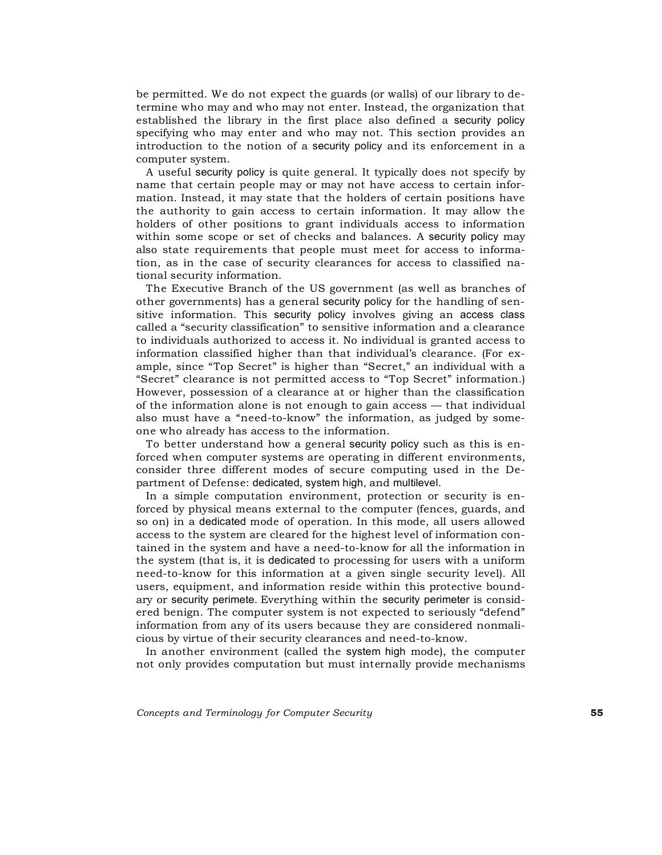be permitted. We do not expect the guards (or walls) of our library to determine who may and who may not enter. Instead, the organization that established the library in the first place also defined a security policy specifying who may enter and who may not. This section provides an introduction to the notion of a security policy and its enforcement in a computer system.

A useful security policy is quite general. It typically does not specify by name that certain people may or may not have access to certain information. Instead, it may state that the holders of certain positions have the authority to gain access to certain information. It may allow the holders of other positions to grant individuals access to information within some scope or set of checks and balances. A security policy may also state requirements that people must meet for access to information, as in the case of security clearances for access to classified national security information.

The Executive Branch of the US government (as well as branches of other governments) has a general security policy for the handling of sensitive information. This security policy involves giving an access class called a "security classification" to sensitive information and a clearance to individuals authorized to access it. No individual is granted access to information classified higher than that individual's clearance. (For example, since "Top Secret" is higher than "Secret," an individual with a "Secret" clearance is not permitted access to "Top Secret" information.) However, possession of a clearance at or higher than the classification of the information alone is not enough to gain access — that individual also must have a "need-to-know" the information, as judged by someone who already has access to the information.

To better understand how a general security policy such as this is enforced when computer systems are operating in different environments, consider three different modes of secure computing used in the Department of Defense: dedicated, system high, and multilevel.

In a simple computation environment, protection or security is enforced by physical means external to the computer (fences, guards, and so on) in a dedicated mode of operation. In this mode, all users allowed access to the system are cleared for the highest level of information contained in the system and have a need-to-know for all the information in the system (that is, it is dedicated to processing for users with a uniform need-to-know for this information at a given single security level). All users, equipment, and information reside within this protective boundary or security perimete. Everything within the security perimeter is considered benign. The computer system is not expected to seriously "defend" information from any of its users because they are considered nonmalicious by virtue of their security clearances and need-to-know.

In another environment (called the system high mode), the computer not only provides computation but must internally provide mechanisms

*Concepts and Terminology for Computer Security* **55**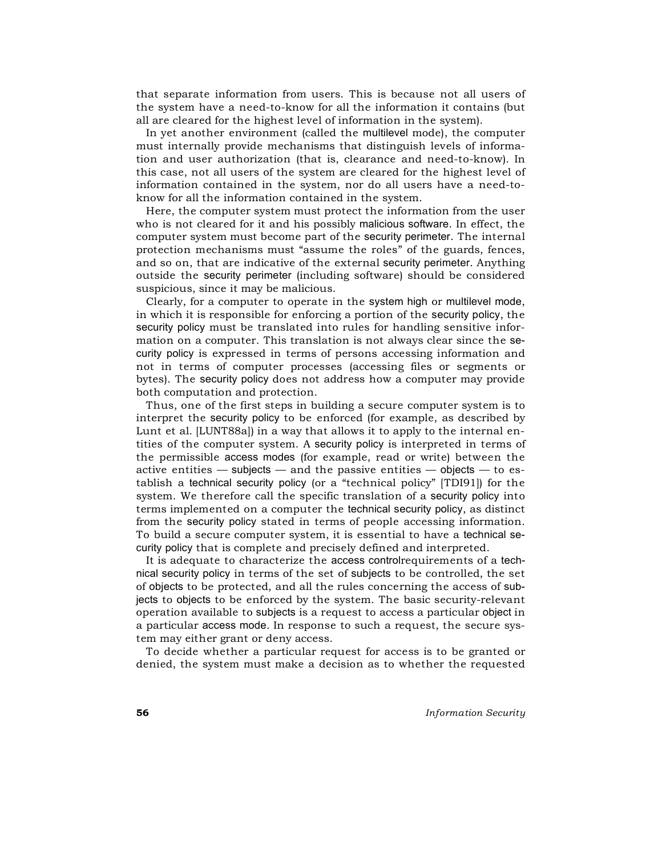that separate information from users. This is because not all users of the system have a need-to-know for all the information it contains (but all are cleared for the highest level of information in the system).

In yet another environment (called the multilevel mode), the computer must internally provide mechanisms that distinguish levels of information and user authorization (that is, clearance and need-to-know). In this case, not all users of the system are cleared for the highest level of information contained in the system, nor do all users have a need-toknow for all the information contained in the system.

Here, the computer system must protect the information from the user who is not cleared for it and his possibly malicious software. In effect, the computer system must become part of the security perimeter. The internal protection mechanisms must "assume the roles" of the guards, fences, and so on, that are indicative of the external security perimeter. Anything outside the security perimeter (including software) should be considered suspicious, since it may be malicious.

Clearly, for a computer to operate in the system high or multilevel mode, in which it is responsible for enforcing a portion of the security policy, the security policy must be translated into rules for handling sensitive information on a computer. This translation is not always clear since the security policy is expressed in terms of persons accessing information and not in terms of computer processes (accessing files or segments or bytes). The security policy does not address how a computer may provide both computation and protection.

Thus, one of the first steps in building a secure computer system is to interpret the security policy to be enforced (for example, as described by Lunt et al. [LUNT88a]) in a way that allows it to apply to the internal entities of the computer system. A security policy is interpreted in terms of the permissible access modes (for example, read or write) between the active entities — subjects — and the passive entities — objects — to establish a technical security policy (or a "technical policy" [TDI91]) for the system. We therefore call the specific translation of a security policy into terms implemented on a computer the technical security policy, as distinct from the security policy stated in terms of people accessing information. To build a secure computer system, it is essential to have a technical security policy that is complete and precisely defined and interpreted.

It is adequate to characterize the access controlrequirements of a technical security policy in terms of the set of subjects to be controlled, the set of objects to be protected, and all the rules concerning the access of subjects to objects to be enforced by the system. The basic security-relevant operation available to subjects is a request to access a particular object in a particular access mode. In response to such a request, the secure system may either grant or deny access.

To decide whether a particular request for access is to be granted or denied, the system must make a decision as to whether the requested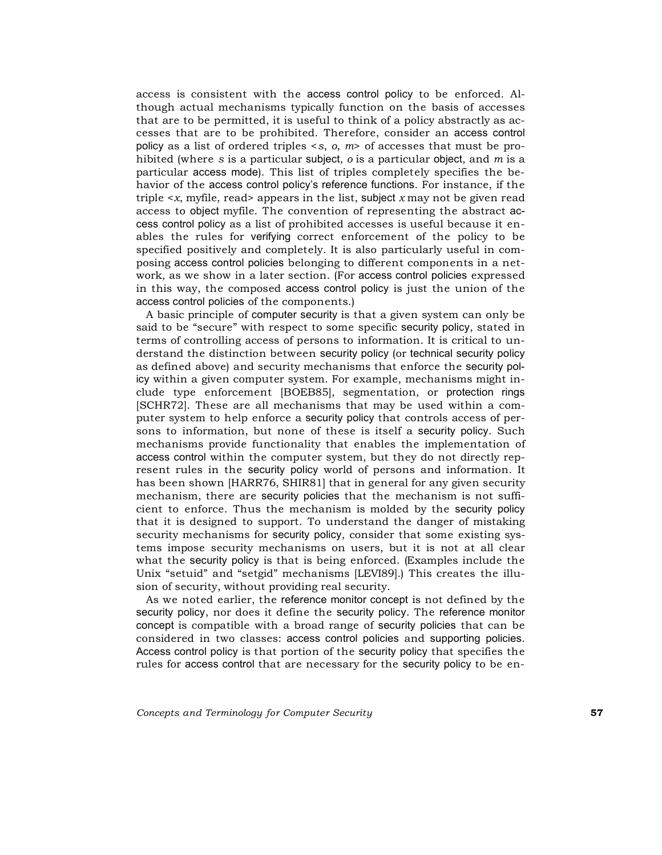access is consistent with the access control policy to be enforced. Although actual mechanisms typically function on the basis of accesses that are to be permitted, it is useful to think of a policy abstractly as accesses that are to be prohibited. Therefore, consider an access control policy as a list of ordered triples <*s*, *o*, *m*> of accesses that must be prohibited (where *s* is a particular subject, *o* is a particular object, and *m* is a particular access mode). This list of triples completely specifies the behavior of the access control policy's reference functions. For instance, if the triple  $\langle x, \text{myfile}, \text{read} \rangle$  appears in the list, subject  $x \text{ may not be given read}$ access to object myfile. The convention of representing the abstract access control policy as a list of prohibited accesses is useful because it enables the rules for verifying correct enforcement of the policy to be specified positively and completely. It is also particularly useful in composing access control policies belonging to different components in a network, as we show in a later section. (For access control policies expressed in this way, the composed access control policy is just the union of the access control policies of the components.)

A basic principle of computer security is that a given system can only be said to be "secure" with respect to some specific security policy, stated in terms of controlling access of persons to information. It is critical to understand the distinction between security policy (or technical security policy as defined above) and security mechanisms that enforce the security policy within a given computer system. For example, mechanisms might include type enforcement [BOEB85], segmentation, or protection rings [SCHR72]. These are all mechanisms that may be used within a computer system to help enforce a security policy that controls access of persons to information, but none of these is itself a security policy. Such mechanisms provide functionality that enables the implementation of access control within the computer system, but they do not directly represent rules in the security policy world of persons and information. It has been shown [HARR76, SHIR81] that in general for any given security mechanism, there are security policies that the mechanism is not sufficient to enforce. Thus the mechanism is molded by the security policy that it is designed to support. To understand the danger of mistaking security mechanisms for security policy, consider that some existing systems impose security mechanisms on users, but it is not at all clear what the security policy is that is being enforced. (Examples include the Unix "setuid" and "setgid" mechanisms [LEVI89].) This creates the illusion of security, without providing real security.

As we noted earlier, the reference monitor concept is not defined by the security policy, nor does it define the security policy. The reference monitor concept is compatible with a broad range of security policies that can be considered in two classes: access control policies and supporting policies. Access control policy is that portion of the security policy that specifies the rules for access control that are necessary for the security policy to be en-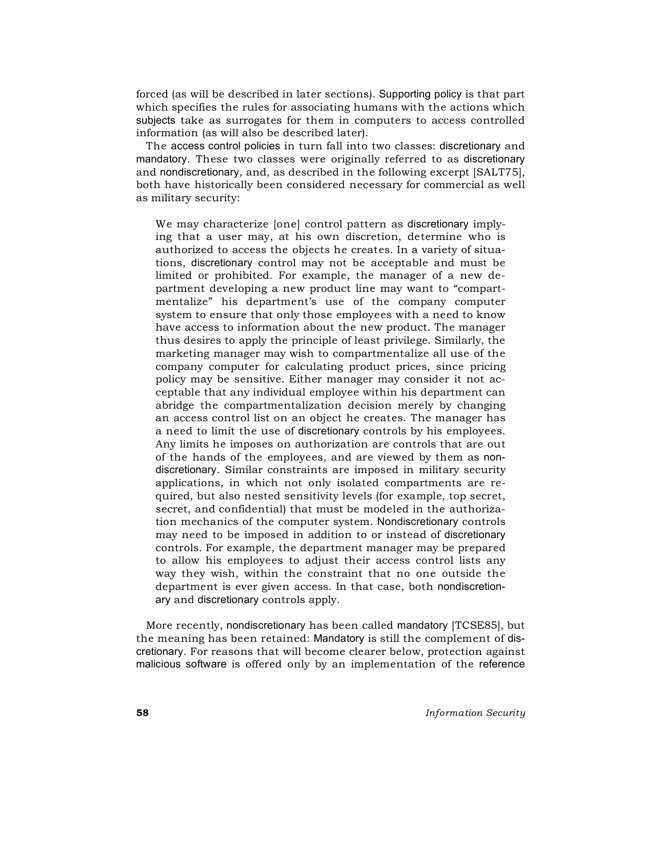forced (as will be described in later sections). Supporting policy is that part which specifies the rules for associating humans with the actions which subjects take as surrogates for them in computers to access controlled information (as will also be described later).

The access control policies in turn fall into two classes: discretionary and mandatory. These two classes were originally referred to as discretionary and nondiscretionary, and, as described in the following excerpt [SALT75], both have historically been considered necessary for commercial as well as military security:

We may characterize [one] control pattern as discretionary implying that a user may, at his own discretion, determine who is authorized to access the objects he creates. In a variety of situations, discretionary control may not be acceptable and must be limited or prohibited. For example, the manager of a new department developing a new product line may want to "compartmentalize" his department's use of the company computer system to ensure that only those employees with a need to know have access to information about the new product. The manager thus desires to apply the principle of least privilege. Similarly, the marketing manager may wish to compartmentalize all use of the company computer for calculating product prices, since pricing policy may be sensitive. Either manager may consider it not acceptable that any individual employee within his department can abridge the compartmentalization decision merely by changing an access control list on an object he creates. The manager has a need to limit the use of discretionary controls by his employees. Any limits he imposes on authorization are controls that are out of the hands of the employees, and are viewed by them as nondiscretionary. Similar constraints are imposed in military security applications, in which not only isolated compartments are required, but also nested sensitivity levels (for example, top secret, secret, and confidential) that must be modeled in the authorization mechanics of the computer system. Nondiscretionary controls may need to be imposed in addition to or instead of discretionary controls. For example, the department manager may be prepared to allow his employees to adjust their access control lists any way they wish, within the constraint that no one outside the department is ever given access. In that case, both nondiscretionary and discretionary controls apply.

More recently, nondiscretionary has been called mandatory [TCSE85], but the meaning has been retained: Mandatory is still the complement of discretionary. For reasons that will become clearer below, protection against malicious software is offered only by an implementation of the reference

**58** *Information Security*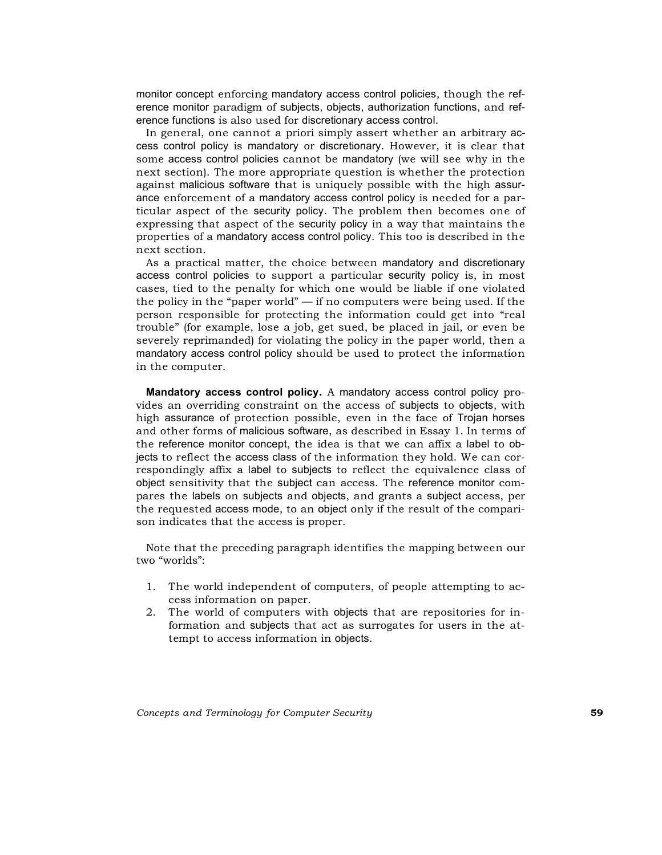monitor concept enforcing mandatory access control policies, though the reference monitor paradigm of subjects, objects, authorization functions, and reference functions is also used for discretionary access control.

In general, one cannot a priori simply assert whether an arbitrary access control policy is mandatory or discretionary. However, it is clear that some access control policies cannot be mandatory (we will see why in the next section). The more appropriate question is whether the protection against malicious software that is uniquely possible with the high assurance enforcement of a mandatory access control policy is needed for a particular aspect of the security policy. The problem then becomes one of expressing that aspect of the security policy in a way that maintains the properties of a mandatory access control policy. This too is described in the next section.

As a practical matter, the choice between mandatory and discretionary access control policies to support a particular security policy is, in most cases, tied to the penalty for which one would be liable if one violated the policy in the "paper world" — if no computers were being used. If the person responsible for protecting the information could get into "real trouble" (for example, lose a job, get sued, be placed in jail, or even be severely reprimanded) for violating the policy in the paper world, then a mandatory access control policy should be used to protect the information in the computer.

**Mandatory access control policy.** A mandatory access control policy provides an overriding constraint on the access of subjects to objects, with high assurance of protection possible, even in the face of Trojan horses and other forms of malicious software, as described in Essay 1. In terms of the reference monitor concept, the idea is that we can affix a label to objects to reflect the access class of the information they hold. We can correspondingly affix a label to subjects to reflect the equivalence class of object sensitivity that the subject can access. The reference monitor compares the labels on subjects and objects, and grants a subject access, per the requested access mode, to an object only if the result of the comparison indicates that the access is proper.

Note that the preceding paragraph identifies the mapping between our two "worlds":

- 1. The world independent of computers, of people attempting to access information on paper.
- 2. The world of computers with objects that are repositories for information and subjects that act as surrogates for users in the attempt to access information in objects.

*Concepts and Terminology for Computer Security* **59**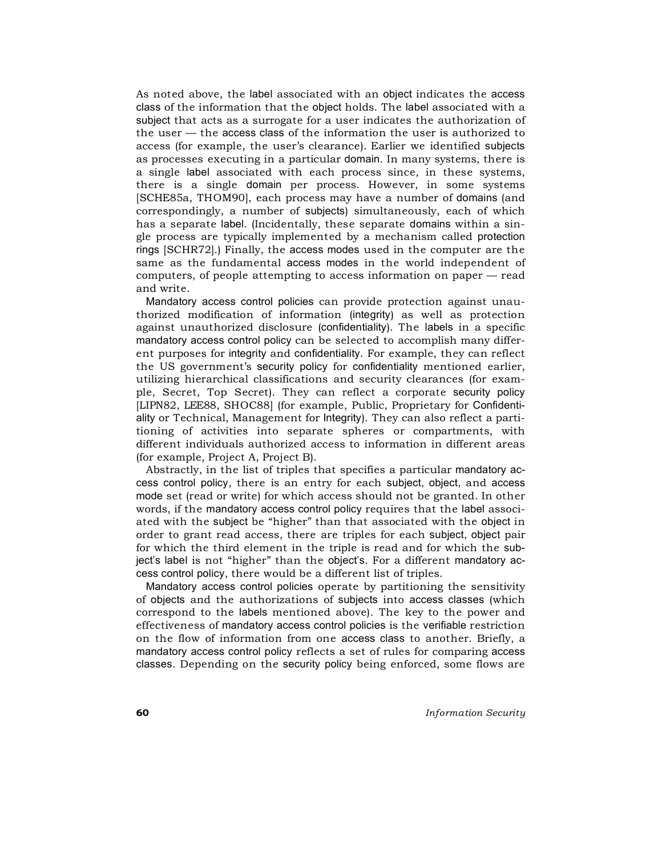As noted above, the label associated with an object indicates the access class of the information that the object holds. The label associated with a subject that acts as a surrogate for a user indicates the authorization of the user — the access class of the information the user is authorized to access (for example, the user's clearance). Earlier we identified subjects as processes executing in a particular domain. In many systems, there is a single label associated with each process since, in these systems, there is a single domain per process. However, in some systems [SCHE85a, THOM90], each process may have a number of domains (and correspondingly, a number of subjects) simultaneously, each of which has a separate label. (Incidentally, these separate domains within a single process are typically implemented by a mechanism called protection rings [SCHR72].) Finally, the access modes used in the computer are the same as the fundamental access modes in the world independent of computers, of people attempting to access information on paper — read and write.

Mandatory access control policies can provide protection against unauthorized modification of information (integrity) as well as protection against unauthorized disclosure (confidentiality). The labels in a specific mandatory access control policy can be selected to accomplish many different purposes for integrity and confidentiality. For example, they can reflect the US government's security policy for confidentiality mentioned earlier, utilizing hierarchical classifications and security clearances (for example, Secret, Top Secret). They can reflect a corporate security policy [LIPN82, LEE88, SHOC88] (for example, Public, Proprietary for Confidentiality or Technical, Management for Integrity). They can also reflect a partitioning of activities into separate spheres or compartments, with different individuals authorized access to information in different areas (for example, Project A, Project B).

Abstractly, in the list of triples that specifies a particular mandatory access control policy, there is an entry for each subject, object, and access mode set (read or write) for which access should not be granted. In other words, if the mandatory access control policy requires that the label associated with the subject be "higher" than that associated with the object in order to grant read access, there are triples for each subject, object pair for which the third element in the triple is read and for which the subject's label is not "higher" than the object's. For a different mandatory access control policy, there would be a different list of triples.

Mandatory access control policies operate by partitioning the sensitivity of objects and the authorizations of subjects into access classes (which correspond to the labels mentioned above). The key to the power and effectiveness of mandatory access control policies is the verifiable restriction on the flow of information from one access class to another. Briefly, a mandatory access control policy reflects a set of rules for comparing access classes. Depending on the security policy being enforced, some flows are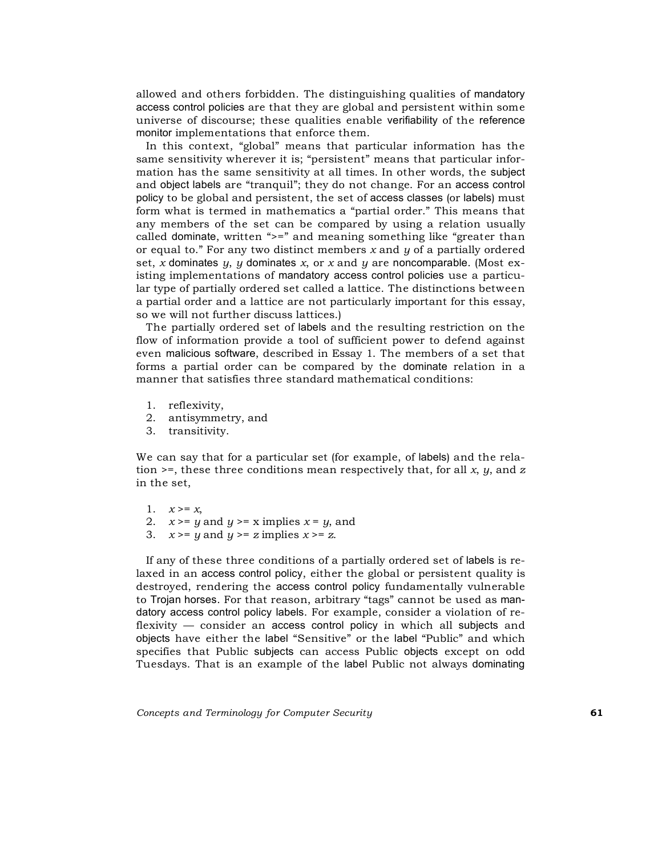allowed and others forbidden. The distinguishing qualities of mandatory access control policies are that they are global and persistent within some universe of discourse; these qualities enable verifiability of the reference monitor implementations that enforce them.

In this context, "global" means that particular information has the same sensitivity wherever it is; "persistent" means that particular information has the same sensitivity at all times. In other words, the subject and object labels are "tranquil"; they do not change. For an access control policy to be global and persistent, the set of access classes (or labels) must form what is termed in mathematics a "partial order." This means that any members of the set can be compared by using a relation usually called dominate, written ">=" and meaning something like "greater than or equal to." For any two distinct members *x* and *y* of a partially ordered set, *x* dominates *y*, *y* dominates *x*, or *x* and *y* are noncomparable. (Most existing implementations of mandatory access control policies use a particular type of partially ordered set called a lattice. The distinctions between a partial order and a lattice are not particularly important for this essay, so we will not further discuss lattices.)

The partially ordered set of labels and the resulting restriction on the flow of information provide a tool of sufficient power to defend against even malicious software, described in Essay 1. The members of a set that forms a partial order can be compared by the dominate relation in a manner that satisfies three standard mathematical conditions:

- 1. reflexivity,
- 2. antisymmetry, and
- 3. transitivity.

We can say that for a particular set (for example, of labels) and the relation >=, these three conditions mean respectively that, for all *x*, *y*, and *z* in the set,

- 1.  $x \geq x$ ,
- 2.  $x \geq y$  and  $y \geq x$  implies  $x = y$ , and
- 3.  $x \geq y$  and  $y \geq z$  implies  $x \geq z$ .

If any of these three conditions of a partially ordered set of labels is relaxed in an access control policy, either the global or persistent quality is destroyed, rendering the access control policy fundamentally vulnerable to Trojan horses. For that reason, arbitrary "tags" cannot be used as mandatory access control policy labels. For example, consider a violation of reflexivity — consider an access control policy in which all subjects and objects have either the label "Sensitive" or the label "Public" and which specifies that Public subjects can access Public objects except on odd Tuesdays. That is an example of the label Public not always dominating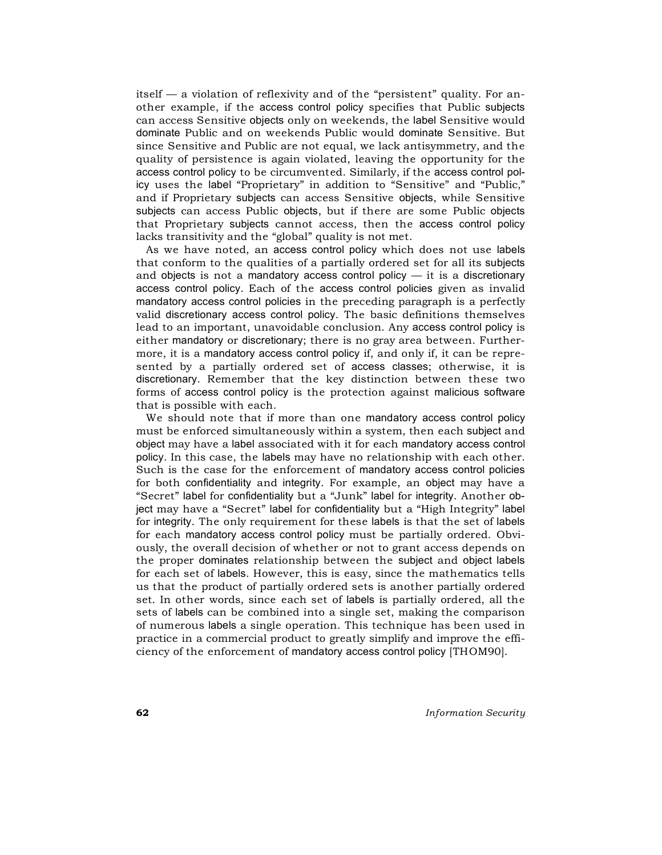itself — a violation of reflexivity and of the "persistent" quality. For another example, if the access control policy specifies that Public subjects can access Sensitive objects only on weekends, the label Sensitive would dominate Public and on weekends Public would dominate Sensitive. But since Sensitive and Public are not equal, we lack antisymmetry, and the quality of persistence is again violated, leaving the opportunity for the access control policy to be circumvented. Similarly, if the access control policy uses the label "Proprietary" in addition to "Sensitive" and "Public," and if Proprietary subjects can access Sensitive objects, while Sensitive subjects can access Public objects, but if there are some Public objects that Proprietary subjects cannot access, then the access control policy lacks transitivity and the "global" quality is not met.

As we have noted, an access control policy which does not use labels that conform to the qualities of a partially ordered set for all its subjects and objects is not a mandatory access control policy  $-$  it is a discretionary access control policy. Each of the access control policies given as invalid mandatory access control policies in the preceding paragraph is a perfectly valid discretionary access control policy. The basic definitions themselves lead to an important, unavoidable conclusion. Any access control policy is either mandatory or discretionary; there is no gray area between. Furthermore, it is a mandatory access control policy if, and only if, it can be represented by a partially ordered set of access classes; otherwise, it is discretionary. Remember that the key distinction between these two forms of access control policy is the protection against malicious software that is possible with each.

We should note that if more than one mandatory access control policy must be enforced simultaneously within a system, then each subject and object may have a label associated with it for each mandatory access control policy. In this case, the labels may have no relationship with each other. Such is the case for the enforcement of mandatory access control policies for both confidentiality and integrity. For example, an object may have a "Secret" label for confidentiality but a "Junk" label for integrity. Another object may have a "Secret" label for confidentiality but a "High Integrity" label for integrity. The only requirement for these labels is that the set of labels for each mandatory access control policy must be partially ordered. Obviously, the overall decision of whether or not to grant access depends on the proper dominates relationship between the subject and object labels for each set of labels. However, this is easy, since the mathematics tells us that the product of partially ordered sets is another partially ordered set. In other words, since each set of labels is partially ordered, all the sets of labels can be combined into a single set, making the comparison of numerous labels a single operation. This technique has been used in practice in a commercial product to greatly simplify and improve the efficiency of the enforcement of mandatory access control policy [THOM90].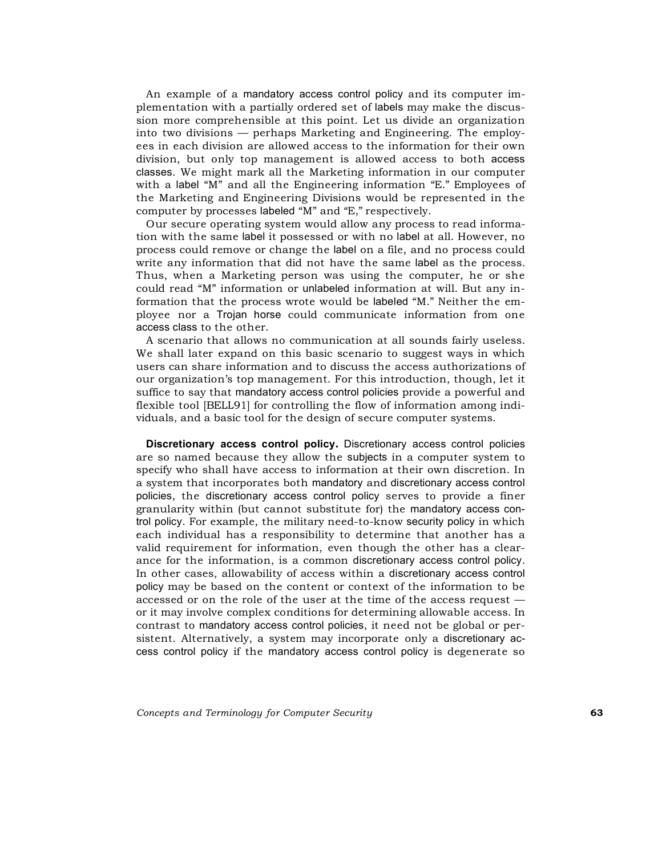An example of a mandatory access control policy and its computer implementation with a partially ordered set of labels may make the discussion more comprehensible at this point. Let us divide an organization into two divisions — perhaps Marketing and Engineering. The employees in each division are allowed access to the information for their own division, but only top management is allowed access to both access classes. We might mark all the Marketing information in our computer with a label "M" and all the Engineering information "E." Employees of the Marketing and Engineering Divisions would be represented in the computer by processes labeled "M" and "E," respectively.

Our secure operating system would allow any process to read information with the same label it possessed or with no label at all. However, no process could remove or change the label on a file, and no process could write any information that did not have the same label as the process. Thus, when a Marketing person was using the computer, he or she could read "M" information or unlabeled information at will. But any information that the process wrote would be labeled "M." Neither the employee nor a Trojan horse could communicate information from one access class to the other.

A scenario that allows no communication at all sounds fairly useless. We shall later expand on this basic scenario to suggest ways in which users can share information and to discuss the access authorizations of our organization's top management. For this introduction, though, let it suffice to say that mandatory access control policies provide a powerful and flexible tool [BELL91] for controlling the flow of information among individuals, and a basic tool for the design of secure computer systems.

**Discretionary access control policy.** Discretionary access control policies are so named because they allow the subjects in a computer system to specify who shall have access to information at their own discretion. In a system that incorporates both mandatory and discretionary access control policies, the discretionary access control policy serves to provide a finer granularity within (but cannot substitute for) the mandatory access control policy. For example, the military need-to-know security policy in which each individual has a responsibility to determine that another has a valid requirement for information, even though the other has a clearance for the information, is a common discretionary access control policy. In other cases, allowability of access within a discretionary access control policy may be based on the content or context of the information to be accessed or on the role of the user at the time of the access request or it may involve complex conditions for determining allowable access. In contrast to mandatory access control policies, it need not be global or persistent. Alternatively, a system may incorporate only a discretionary access control policy if the mandatory access control policy is degenerate so

*Concepts and Terminology for Computer Security* **63**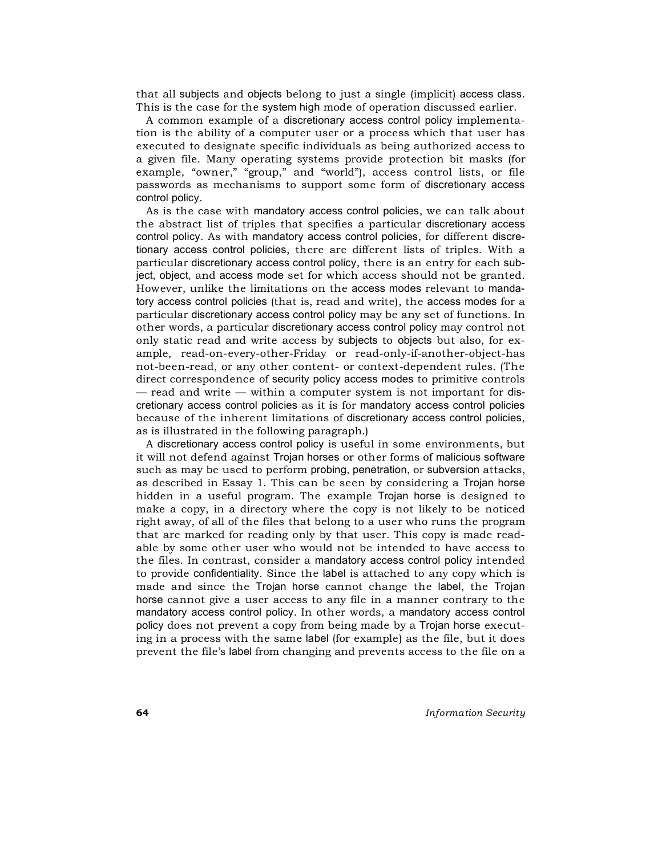that all subjects and objects belong to just a single (implicit) access class. This is the case for the system high mode of operation discussed earlier.

A common example of a discretionary access control policy implementation is the ability of a computer user or a process which that user has executed to designate specific individuals as being authorized access to a given file. Many operating systems provide protection bit masks (for example, "owner," "group," and "world"), access control lists, or file passwords as mechanisms to support some form of discretionary access control policy.

As is the case with mandatory access control policies, we can talk about the abstract list of triples that specifies a particular discretionary access control policy. As with mandatory access control policies, for different discretionary access control policies, there are different lists of triples. With a particular discretionary access control policy, there is an entry for each subject, object, and access mode set for which access should not be granted. However, unlike the limitations on the access modes relevant to mandatory access control policies (that is, read and write), the access modes for a particular discretionary access control policy may be any set of functions. In other words, a particular discretionary access control policy may control not only static read and write access by subjects to objects but also, for example, read-on-every-other-Friday or read-only-if-another-object-has not-been-read, or any other content- or context-dependent rules. (The direct correspondence of security policy access modes to primitive controls — read and write — within a computer system is not important for discretionary access control policies as it is for mandatory access control policies because of the inherent limitations of discretionary access control policies, as is illustrated in the following paragraph.)

A discretionary access control policy is useful in some environments, but it will not defend against Trojan horses or other forms of malicious software such as may be used to perform probing, penetration, or subversion attacks, as described in Essay 1. This can be seen by considering a Trojan horse hidden in a useful program. The example Trojan horse is designed to make a copy, in a directory where the copy is not likely to be noticed right away, of all of the files that belong to a user who runs the program that are marked for reading only by that user. This copy is made readable by some other user who would not be intended to have access to the files. In contrast, consider a mandatory access control policy intended to provide confidentiality. Since the label is attached to any copy which is made and since the Trojan horse cannot change the label, the Trojan horse cannot give a user access to any file in a manner contrary to the mandatory access control policy. In other words, a mandatory access control policy does not prevent a copy from being made by a Trojan horse executing in a process with the same label (for example) as the file, but it does prevent the file's label from changing and prevents access to the file on a

**64** *Information Security*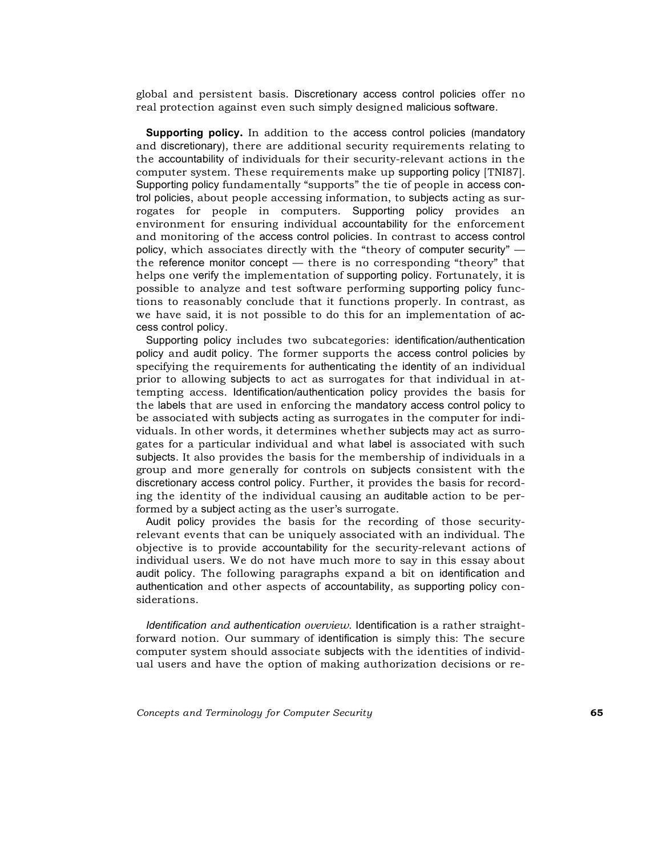global and persistent basis. Discretionary access control policies offer no real protection against even such simply designed malicious software.

**Supporting policy.** In addition to the access control policies (mandatory and discretionary), there are additional security requirements relating to the accountability of individuals for their security-relevant actions in the computer system. These requirements make up supporting policy [TNI87]. Supporting policy fundamentally "supports" the tie of people in access control policies, about people accessing information, to subjects acting as surrogates for people in computers. Supporting policy provides an environment for ensuring individual accountability for the enforcement and monitoring of the access control policies. In contrast to access control policy, which associates directly with the "theory of computer security" the reference monitor concept — there is no corresponding "theory" that helps one verify the implementation of supporting policy. Fortunately, it is possible to analyze and test software performing supporting policy functions to reasonably conclude that it functions properly. In contrast, as we have said, it is not possible to do this for an implementation of access control policy.

Supporting policy includes two subcategories: identification/authentication policy and audit policy. The former supports the access control policies by specifying the requirements for authenticating the identity of an individual prior to allowing subjects to act as surrogates for that individual in attempting access. Identification/authentication policy provides the basis for the labels that are used in enforcing the mandatory access control policy to be associated with subjects acting as surrogates in the computer for individuals. In other words, it determines whether subjects may act as surrogates for a particular individual and what label is associated with such subjects. It also provides the basis for the membership of individuals in a group and more generally for controls on subjects consistent with the discretionary access control policy. Further, it provides the basis for recording the identity of the individual causing an auditable action to be performed by a subject acting as the user's surrogate.

Audit policy provides the basis for the recording of those securityrelevant events that can be uniquely associated with an individual. The objective is to provide accountability for the security-relevant actions of individual users. We do not have much more to say in this essay about audit policy. The following paragraphs expand a bit on identification and authentication and other aspects of accountability, as supporting policy considerations.

*Identification and authentication overview.* Identification is a rather straightforward notion. Our summary of identification is simply this: The secure computer system should associate subjects with the identities of individual users and have the option of making authorization decisions or re-

*Concepts and Terminology for Computer Security* **65**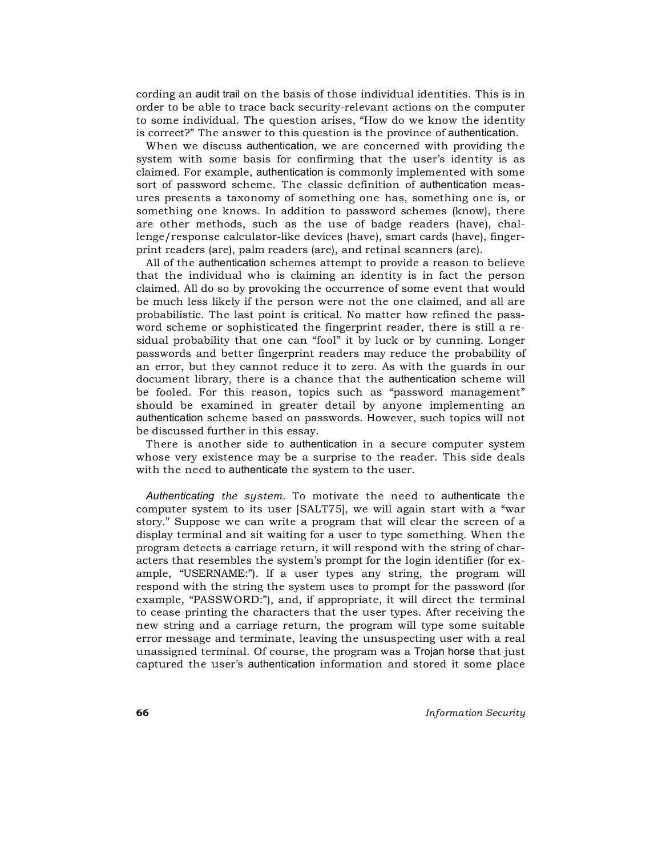cording an audit trail on the basis of those individual identities. This is in order to be able to trace back security-relevant actions on the computer to some individual. The question arises, "How do we know the identity is correct?" The answer to this question is the province of authentication.

When we discuss authentication, we are concerned with providing the system with some basis for confirming that the user's identity is as claimed. For example, authentication is commonly implemented with some sort of password scheme. The classic definition of authentication measures presents a taxonomy of something one has, something one is, or something one knows. In addition to password schemes (know), there are other methods, such as the use of badge readers (have), challenge/response calculator-like devices (have), smart cards (have), fingerprint readers (are), palm readers (are), and retinal scanners (are).

All of the authentication schemes attempt to provide a reason to believe that the individual who is claiming an identity is in fact the person claimed. All do so by provoking the occurrence of some event that would be much less likely if the person were not the one claimed, and all are probabilistic. The last point is critical. No matter how refined the password scheme or sophisticated the fingerprint reader, there is still a residual probability that one can "fool" it by luck or by cunning. Longer passwords and better fingerprint readers may reduce the probability of an error, but they cannot reduce it to zero. As with the guards in our document library, there is a chance that the authentication scheme will be fooled. For this reason, topics such as "password management" should be examined in greater detail by anyone implementing an authentication scheme based on passwords. However, such topics will not be discussed further in this essay.

There is another side to authentication in a secure computer system whose very existence may be a surprise to the reader. This side deals with the need to authenticate the system to the user.

*Authenticating the system.* To motivate the need to authenticate the computer system to its user [SALT75], we will again start with a "war story." Suppose we can write a program that will clear the screen of a display terminal and sit waiting for a user to type something. When the program detects a carriage return, it will respond with the string of characters that resembles the system's prompt for the login identifier (for example, "USERNAME:"). If a user types any string, the program will respond with the string the system uses to prompt for the password (for example, "PASSWORD:"), and, if appropriate, it will direct the terminal to cease printing the characters that the user types. After receiving the new string and a carriage return, the program will type some suitable error message and terminate, leaving the unsuspecting user with a real unassigned terminal. Of course, the program was a Trojan horse that just captured the user's authentication information and stored it some place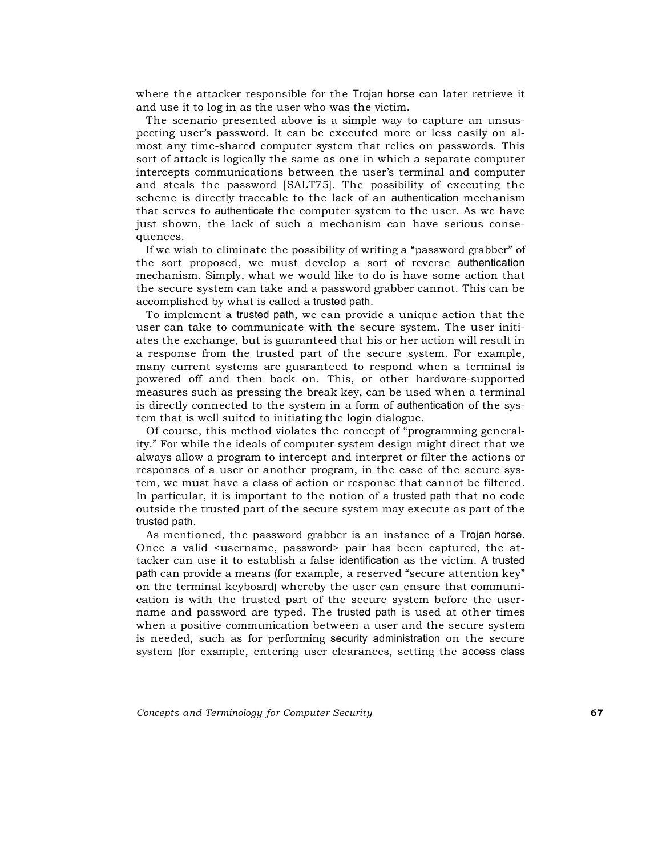where the attacker responsible for the Trojan horse can later retrieve it and use it to log in as the user who was the victim.

The scenario presented above is a simple way to capture an unsuspecting user's password. It can be executed more or less easily on almost any time-shared computer system that relies on passwords. This sort of attack is logically the same as one in which a separate computer intercepts communications between the user's terminal and computer and steals the password [SALT75]. The possibility of executing the scheme is directly traceable to the lack of an authentication mechanism that serves to authenticate the computer system to the user. As we have just shown, the lack of such a mechanism can have serious consequences.

If we wish to eliminate the possibility of writing a "password grabber" of the sort proposed, we must develop a sort of reverse authentication mechanism. Simply, what we would like to do is have some action that the secure system can take and a password grabber cannot. This can be accomplished by what is called a trusted path.

To implement a trusted path, we can provide a unique action that the user can take to communicate with the secure system. The user initiates the exchange, but is guaranteed that his or her action will result in a response from the trusted part of the secure system. For example, many current systems are guaranteed to respond when a terminal is powered off and then back on. This, or other hardware-supported measures such as pressing the break key, can be used when a terminal is directly connected to the system in a form of authentication of the system that is well suited to initiating the login dialogue.

Of course, this method violates the concept of "programming generality." For while the ideals of computer system design might direct that we always allow a program to intercept and interpret or filter the actions or responses of a user or another program, in the case of the secure system, we must have a class of action or response that cannot be filtered. In particular, it is important to the notion of a trusted path that no code outside the trusted part of the secure system may execute as part of the trusted path.

As mentioned, the password grabber is an instance of a Trojan horse. Once a valid <username, password> pair has been captured, the attacker can use it to establish a false identification as the victim. A trusted path can provide a means (for example, a reserved "secure attention key" on the terminal keyboard) whereby the user can ensure that communication is with the trusted part of the secure system before the username and password are typed. The trusted path is used at other times when a positive communication between a user and the secure system is needed, such as for performing security administration on the secure system (for example, entering user clearances, setting the access class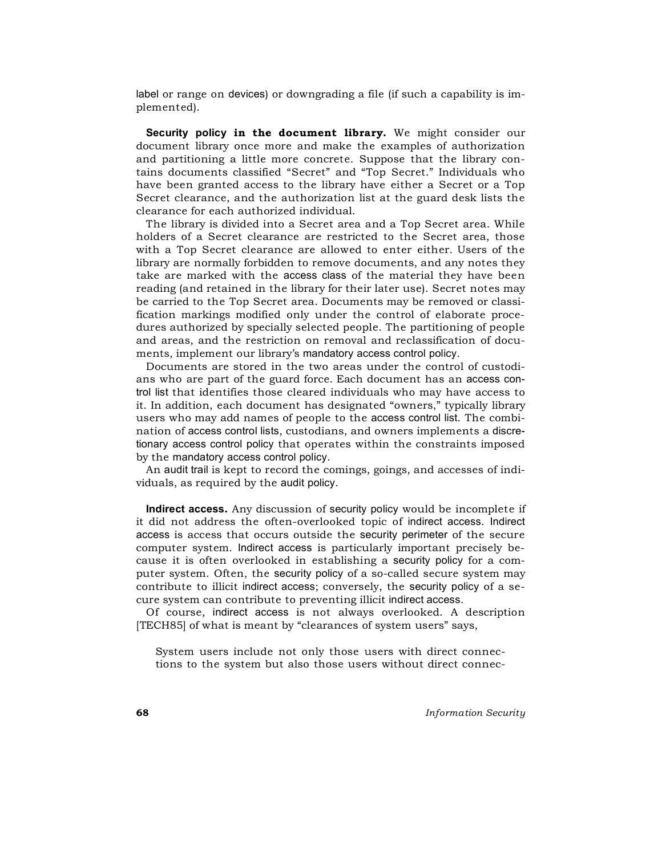label or range on devices) or downgrading a file (if such a capability is implemented).

**Security policy in the document library.** We might consider our document library once more and make the examples of authorization and partitioning a little more concrete. Suppose that the library contains documents classified "Secret" and "Top Secret." Individuals who have been granted access to the library have either a Secret or a Top Secret clearance, and the authorization list at the guard desk lists the clearance for each authorized individual.

The library is divided into a Secret area and a Top Secret area. While holders of a Secret clearance are restricted to the Secret area, those with a Top Secret clearance are allowed to enter either. Users of the library are normally forbidden to remove documents, and any notes they take are marked with the access class of the material they have been reading (and retained in the library for their later use). Secret notes may be carried to the Top Secret area. Documents may be removed or classification markings modified only under the control of elaborate procedures authorized by specially selected people. The partitioning of people and areas, and the restriction on removal and reclassification of documents, implement our library's mandatory access control policy.

Documents are stored in the two areas under the control of custodians who are part of the guard force. Each document has an access control list that identifies those cleared individuals who may have access to it. In addition, each document has designated "owners," typically library users who may add names of people to the access control list. The combination of access control lists, custodians, and owners implements a discretionary access control policy that operates within the constraints imposed by the mandatory access control policy.

An audit trail is kept to record the comings, goings, and accesses of individuals, as required by the audit policy.

**Indirect access.** Any discussion of security policy would be incomplete if it did not address the often-overlooked topic of indirect access. Indirect access is access that occurs outside the security perimeter of the secure computer system. Indirect access is particularly important precisely because it is often overlooked in establishing a security policy for a computer system. Often, the security policy of a so-called secure system may contribute to illicit indirect access; conversely, the security policy of a secure system can contribute to preventing illicit indirect access.

Of course, indirect access is not always overlooked. A description [TECH85] of what is meant by "clearances of system users" says,

System users include not only those users with direct connections to the system but also those users without direct connec-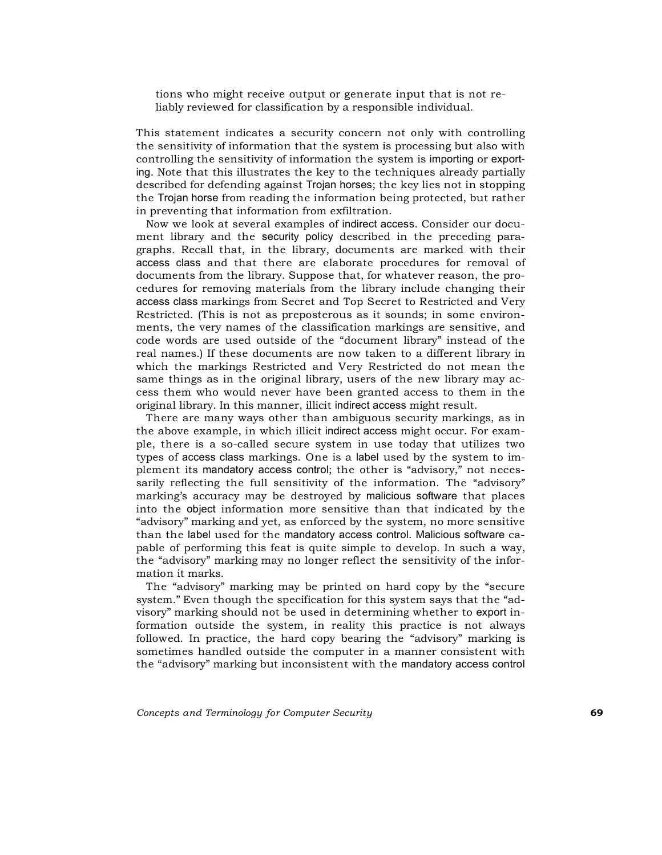tions who might receive output or generate input that is not reliably reviewed for classification by a responsible individual.

This statement indicates a security concern not only with controlling the sensitivity of information that the system is processing but also with controlling the sensitivity of information the system is importing or exporting. Note that this illustrates the key to the techniques already partially described for defending against Trojan horses; the key lies not in stopping the Trojan horse from reading the information being protected, but rather in preventing that information from exfiltration.

Now we look at several examples of indirect access. Consider our document library and the security policy described in the preceding paragraphs. Recall that, in the library, documents are marked with their access class and that there are elaborate procedures for removal of documents from the library. Suppose that, for whatever reason, the procedures for removing materials from the library include changing their access class markings from Secret and Top Secret to Restricted and Very Restricted. (This is not as preposterous as it sounds; in some environments, the very names of the classification markings are sensitive, and code words are used outside of the "document library" instead of the real names.) If these documents are now taken to a different library in which the markings Restricted and Very Restricted do not mean the same things as in the original library, users of the new library may access them who would never have been granted access to them in the original library. In this manner, illicit indirect access might result.

There are many ways other than ambiguous security markings, as in the above example, in which illicit indirect access might occur. For example, there is a so-called secure system in use today that utilizes two types of access class markings. One is a label used by the system to implement its mandatory access control; the other is "advisory," not necessarily reflecting the full sensitivity of the information. The "advisory" marking's accuracy may be destroyed by malicious software that places into the object information more sensitive than that indicated by the "advisory" marking and yet, as enforced by the system, no more sensitive than the label used for the mandatory access control. Malicious software capable of performing this feat is quite simple to develop. In such a way, the "advisory" marking may no longer reflect the sensitivity of the information it marks.

The "advisory" marking may be printed on hard copy by the "secure system." Even though the specification for this system says that the "advisory" marking should not be used in determining whether to export information outside the system, in reality this practice is not always followed. In practice, the hard copy bearing the "advisory" marking is sometimes handled outside the computer in a manner consistent with the "advisory" marking but inconsistent with the mandatory access control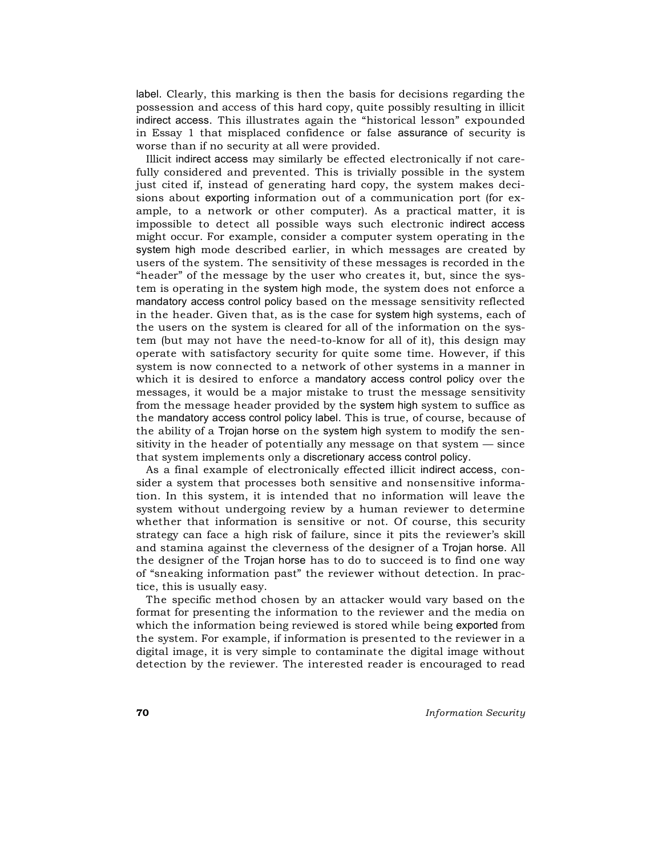label. Clearly, this marking is then the basis for decisions regarding the possession and access of this hard copy, quite possibly resulting in illicit indirect access. This illustrates again the "historical lesson" expounded in Essay 1 that misplaced confidence or false assurance of security is worse than if no security at all were provided.

Illicit indirect access may similarly be effected electronically if not carefully considered and prevented. This is trivially possible in the system just cited if, instead of generating hard copy, the system makes decisions about exporting information out of a communication port (for example, to a network or other computer). As a practical matter, it is impossible to detect all possible ways such electronic indirect access might occur. For example, consider a computer system operating in the system high mode described earlier, in which messages are created by users of the system. The sensitivity of these messages is recorded in the "header" of the message by the user who creates it, but, since the system is operating in the system high mode, the system does not enforce a mandatory access control policy based on the message sensitivity reflected in the header. Given that, as is the case for system high systems, each of the users on the system is cleared for all of the information on the system (but may not have the need-to-know for all of it), this design may operate with satisfactory security for quite some time. However, if this system is now connected to a network of other systems in a manner in which it is desired to enforce a mandatory access control policy over the messages, it would be a major mistake to trust the message sensitivity from the message header provided by the system high system to suffice as the mandatory access control policy label. This is true, of course, because of the ability of a Trojan horse on the system high system to modify the sensitivity in the header of potentially any message on that system — since that system implements only a discretionary access control policy.

As a final example of electronically effected illicit indirect access, consider a system that processes both sensitive and nonsensitive information. In this system, it is intended that no information will leave the system without undergoing review by a human reviewer to determine whether that information is sensitive or not. Of course, this security strategy can face a high risk of failure, since it pits the reviewer's skill and stamina against the cleverness of the designer of a Trojan horse. All the designer of the Trojan horse has to do to succeed is to find one way of "sneaking information past" the reviewer without detection. In practice, this is usually easy.

The specific method chosen by an attacker would vary based on the format for presenting the information to the reviewer and the media on which the information being reviewed is stored while being exported from the system. For example, if information is presented to the reviewer in a digital image, it is very simple to contaminate the digital image without detection by the reviewer. The interested reader is encouraged to read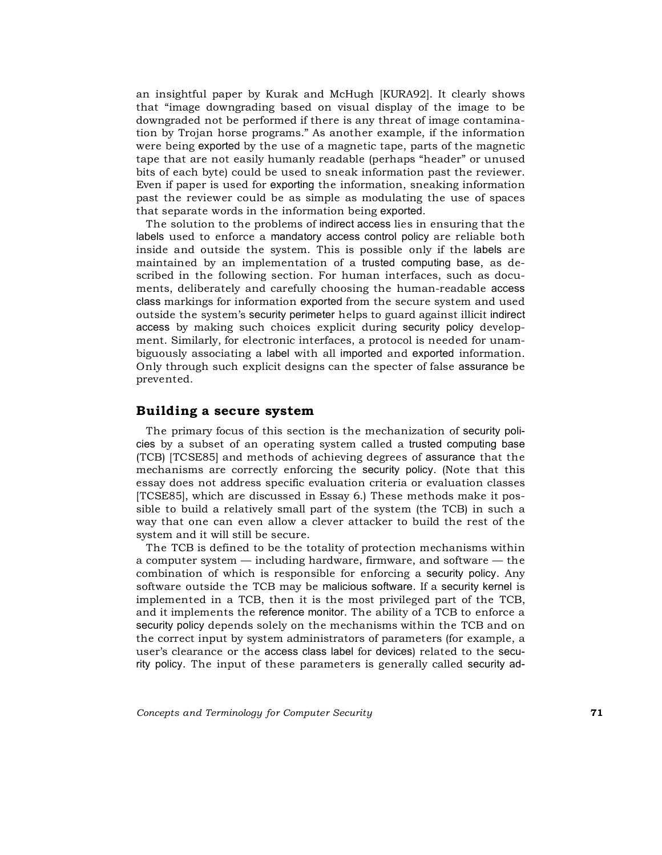an insightful paper by Kurak and McHugh [KURA92]. It clearly shows that "image downgrading based on visual display of the image to be downgraded not be performed if there is any threat of image contamination by Trojan horse programs." As another example, if the information were being exported by the use of a magnetic tape, parts of the magnetic tape that are not easily humanly readable (perhaps "header" or unused bits of each byte) could be used to sneak information past the reviewer. Even if paper is used for exporting the information, sneaking information past the reviewer could be as simple as modulating the use of spaces that separate words in the information being exported.

The solution to the problems of indirect access lies in ensuring that the labels used to enforce a mandatory access control policy are reliable both inside and outside the system. This is possible only if the labels are maintained by an implementation of a trusted computing base, as described in the following section. For human interfaces, such as documents, deliberately and carefully choosing the human-readable access class markings for information exported from the secure system and used outside the system's security perimeter helps to guard against illicit indirect access by making such choices explicit during security policy development. Similarly, for electronic interfaces, a protocol is needed for unambiguously associating a label with all imported and exported information. Only through such explicit designs can the specter of false assurance be prevented.

# **Building a secure system**

The primary focus of this section is the mechanization of security policies by a subset of an operating system called a trusted computing base (TCB) [TCSE85] and methods of achieving degrees of assurance that the mechanisms are correctly enforcing the security policy. (Note that this essay does not address specific evaluation criteria or evaluation classes [TCSE85], which are discussed in Essay 6.) These methods make it possible to build a relatively small part of the system (the TCB) in such a way that one can even allow a clever attacker to build the rest of the system and it will still be secure.

The TCB is defined to be the totality of protection mechanisms within a computer system — including hardware, firmware, and software — the combination of which is responsible for enforcing a security policy. Any software outside the TCB may be malicious software. If a security kernel is implemented in a TCB, then it is the most privileged part of the TCB, and it implements the reference monitor. The ability of a TCB to enforce a security policy depends solely on the mechanisms within the TCB and on the correct input by system administrators of parameters (for example, a user's clearance or the access class label for devices) related to the security policy. The input of these parameters is generally called security ad-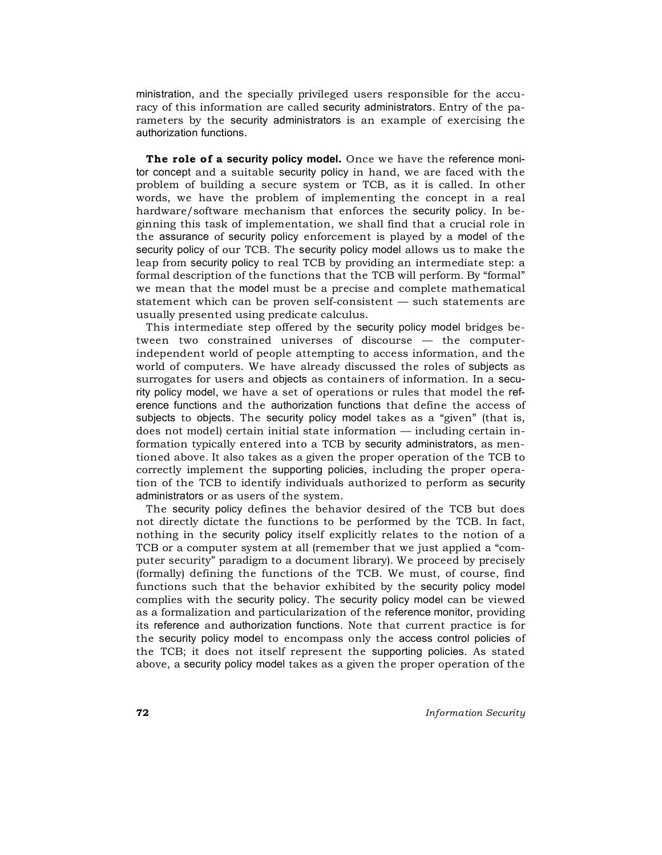ministration, and the specially privileged users responsible for the accuracy of this information are called security administrators. Entry of the parameters by the security administrators is an example of exercising the authorization functions.

**The role of a security policy model.** Once we have the reference monitor concept and a suitable security policy in hand, we are faced with the problem of building a secure system or TCB, as it is called. In other words, we have the problem of implementing the concept in a real hardware/software mechanism that enforces the security policy. In beginning this task of implementation, we shall find that a crucial role in the assurance of security policy enforcement is played by a model of the security policy of our TCB. The security policy model allows us to make the leap from security policy to real TCB by providing an intermediate step: a formal description of the functions that the TCB will perform. By "formal" we mean that the model must be a precise and complete mathematical statement which can be proven self-consistent — such statements are usually presented using predicate calculus.

This intermediate step offered by the security policy model bridges between two constrained universes of discourse — the computerindependent world of people attempting to access information, and the world of computers. We have already discussed the roles of subjects as surrogates for users and objects as containers of information. In a security policy model, we have a set of operations or rules that model the reference functions and the authorization functions that define the access of subjects to objects. The security policy model takes as a "given" (that is, does not model) certain initial state information — including certain information typically entered into a TCB by security administrators, as mentioned above. It also takes as a given the proper operation of the TCB to correctly implement the supporting policies, including the proper operation of the TCB to identify individuals authorized to perform as security administrators or as users of the system.

The security policy defines the behavior desired of the TCB but does not directly dictate the functions to be performed by the TCB. In fact, nothing in the security policy itself explicitly relates to the notion of a TCB or a computer system at all (remember that we just applied a "computer security" paradigm to a document library). We proceed by precisely (formally) defining the functions of the TCB. We must, of course, find functions such that the behavior exhibited by the security policy model complies with the security policy. The security policy model can be viewed as a formalization and particularization of the reference monitor, providing its reference and authorization functions. Note that current practice is for the security policy model to encompass only the access control policies of the TCB; it does not itself represent the supporting policies. As stated above, a security policy model takes as a given the proper operation of the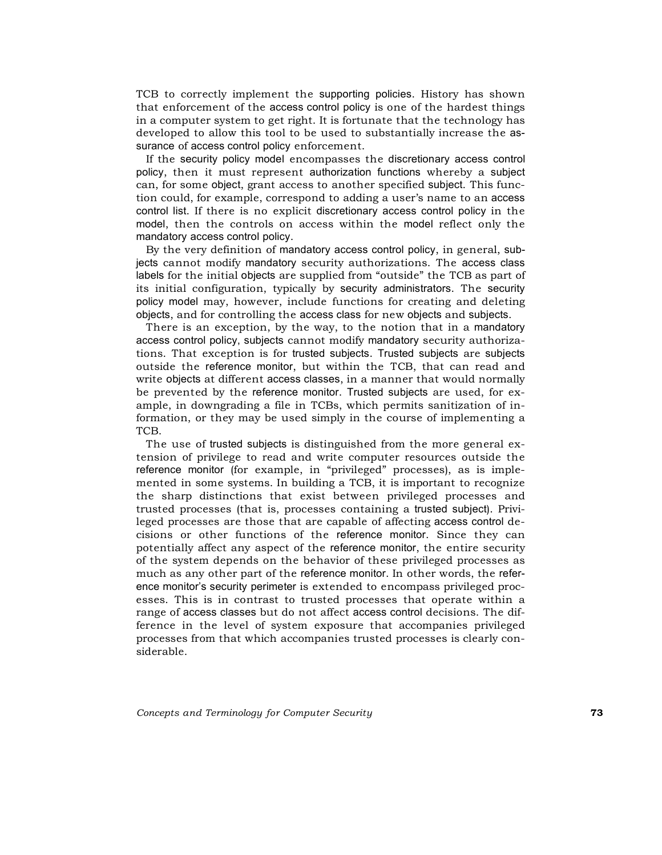TCB to correctly implement the supporting policies. History has shown that enforcement of the access control policy is one of the hardest things in a computer system to get right. It is fortunate that the technology has developed to allow this tool to be used to substantially increase the assurance of access control policy enforcement.

If the security policy model encompasses the discretionary access control policy, then it must represent authorization functions whereby a subject can, for some object, grant access to another specified subject. This function could, for example, correspond to adding a user's name to an access control list. If there is no explicit discretionary access control policy in the model, then the controls on access within the model reflect only the mandatory access control policy.

By the very definition of mandatory access control policy, in general, subjects cannot modify mandatory security authorizations. The access class labels for the initial objects are supplied from "outside" the TCB as part of its initial configuration, typically by security administrators. The security policy model may, however, include functions for creating and deleting objects, and for controlling the access class for new objects and subjects.

There is an exception, by the way, to the notion that in a mandatory access control policy, subjects cannot modify mandatory security authorizations. That exception is for trusted subjects. Trusted subjects are subjects outside the reference monitor, but within the TCB, that can read and write objects at different access classes, in a manner that would normally be prevented by the reference monitor. Trusted subjects are used, for example, in downgrading a file in TCBs, which permits sanitization of information, or they may be used simply in the course of implementing a TCB.

The use of trusted subjects is distinguished from the more general extension of privilege to read and write computer resources outside the reference monitor (for example, in "privileged" processes), as is implemented in some systems. In building a TCB, it is important to recognize the sharp distinctions that exist between privileged processes and trusted processes (that is, processes containing a trusted subject). Privileged processes are those that are capable of affecting access control decisions or other functions of the reference monitor. Since they can potentially affect any aspect of the reference monitor, the entire security of the system depends on the behavior of these privileged processes as much as any other part of the reference monitor. In other words, the reference monitor's security perimeter is extended to encompass privileged processes. This is in contrast to trusted processes that operate within a range of access classes but do not affect access control decisions. The difference in the level of system exposure that accompanies privileged processes from that which accompanies trusted processes is clearly considerable.

*Concepts and Terminology for Computer Security* **73**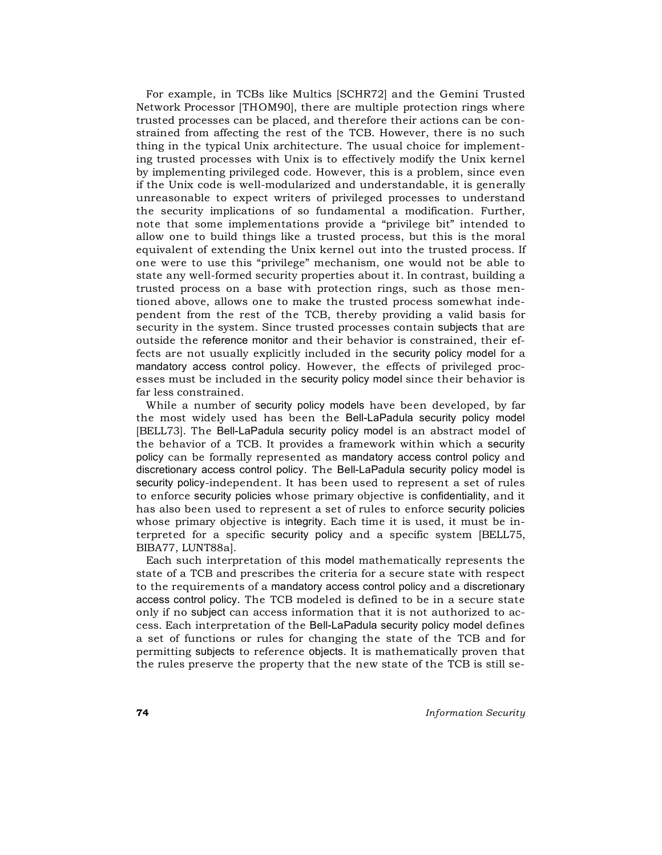For example, in TCBs like Multics [SCHR72] and the Gemini Trusted Network Processor [THOM90], there are multiple protection rings where trusted processes can be placed, and therefore their actions can be constrained from affecting the rest of the TCB. However, there is no such thing in the typical Unix architecture. The usual choice for implementing trusted processes with Unix is to effectively modify the Unix kernel by implementing privileged code. However, this is a problem, since even if the Unix code is well-modularized and understandable, it is generally unreasonable to expect writers of privileged processes to understand the security implications of so fundamental a modification. Further, note that some implementations provide a "privilege bit" intended to allow one to build things like a trusted process, but this is the moral equivalent of extending the Unix kernel out into the trusted process. If one were to use this "privilege" mechanism, one would not be able to state any well-formed security properties about it. In contrast, building a trusted process on a base with protection rings, such as those mentioned above, allows one to make the trusted process somewhat independent from the rest of the TCB, thereby providing a valid basis for security in the system. Since trusted processes contain subjects that are outside the reference monitor and their behavior is constrained, their effects are not usually explicitly included in the security policy model for a mandatory access control policy. However, the effects of privileged processes must be included in the security policy model since their behavior is far less constrained.

While a number of security policy models have been developed, by far the most widely used has been the Bell-LaPadula security policy model [BELL73]. The Bell-LaPadula security policy model is an abstract model of the behavior of a TCB. It provides a framework within which a security policy can be formally represented as mandatory access control policy and discretionary access control policy. The Bell-LaPadula security policy model is security policy-independent. It has been used to represent a set of rules to enforce security policies whose primary objective is confidentiality, and it has also been used to represent a set of rules to enforce security policies whose primary objective is integrity. Each time it is used, it must be interpreted for a specific security policy and a specific system [BELL75, BIBA77, LUNT88a].

Each such interpretation of this model mathematically represents the state of a TCB and prescribes the criteria for a secure state with respect to the requirements of a mandatory access control policy and a discretionary access control policy. The TCB modeled is defined to be in a secure state only if no subject can access information that it is not authorized to access. Each interpretation of the Bell-LaPadula security policy model defines a set of functions or rules for changing the state of the TCB and for permitting subjects to reference objects. It is mathematically proven that the rules preserve the property that the new state of the TCB is still se-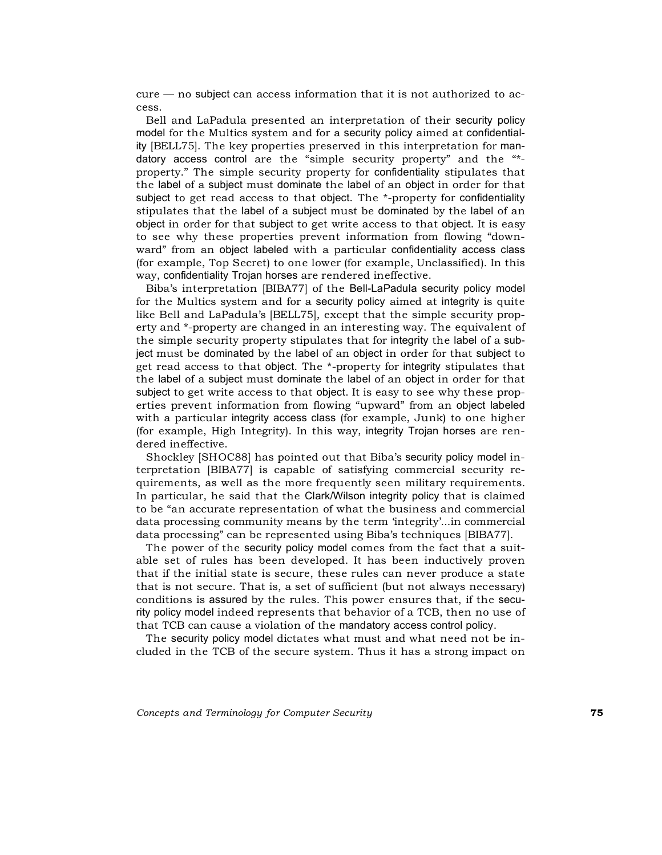cure — no subject can access information that it is not authorized to access.

Bell and LaPadula presented an interpretation of their security policy model for the Multics system and for a security policy aimed at confidentiality [BELL75]. The key properties preserved in this interpretation for mandatory access control are the "simple security property" and the "\* property." The simple security property for confidentiality stipulates that the label of a subject must dominate the label of an object in order for that subject to get read access to that object. The \*-property for confidentiality stipulates that the label of a subject must be dominated by the label of an object in order for that subject to get write access to that object. It is easy to see why these properties prevent information from flowing "downward" from an object labeled with a particular confidentiality access class (for example, Top Secret) to one lower (for example, Unclassified). In this way, confidentiality Trojan horses are rendered ineffective.

Biba's interpretation [BIBA77] of the Bell-LaPadula security policy model for the Multics system and for a security policy aimed at integrity is quite like Bell and LaPadula's [BELL75], except that the simple security property and \*-property are changed in an interesting way. The equivalent of the simple security property stipulates that for integrity the label of a subject must be dominated by the label of an object in order for that subject to get read access to that object. The \*-property for integrity stipulates that the label of a subject must dominate the label of an object in order for that subject to get write access to that object. It is easy to see why these properties prevent information from flowing "upward" from an object labeled with a particular integrity access class (for example, Junk) to one higher (for example, High Integrity). In this way, integrity Trojan horses are rendered ineffective.

Shockley [SHOC88] has pointed out that Biba's security policy model interpretation [BIBA77] is capable of satisfying commercial security requirements, as well as the more frequently seen military requirements. In particular, he said that the Clark/Wilson integrity policy that is claimed to be "an accurate representation of what the business and commercial data processing community means by the term 'integrity'...in commercial data processing" can be represented using Biba's techniques [BIBA77].

The power of the security policy model comes from the fact that a suitable set of rules has been developed. It has been inductively proven that if the initial state is secure, these rules can never produce a state that is not secure. That is, a set of sufficient (but not always necessary) conditions is assured by the rules. This power ensures that, if the security policy model indeed represents that behavior of a TCB, then no use of that TCB can cause a violation of the mandatory access control policy.

The security policy model dictates what must and what need not be included in the TCB of the secure system. Thus it has a strong impact on

*Concepts and Terminology for Computer Security* **75**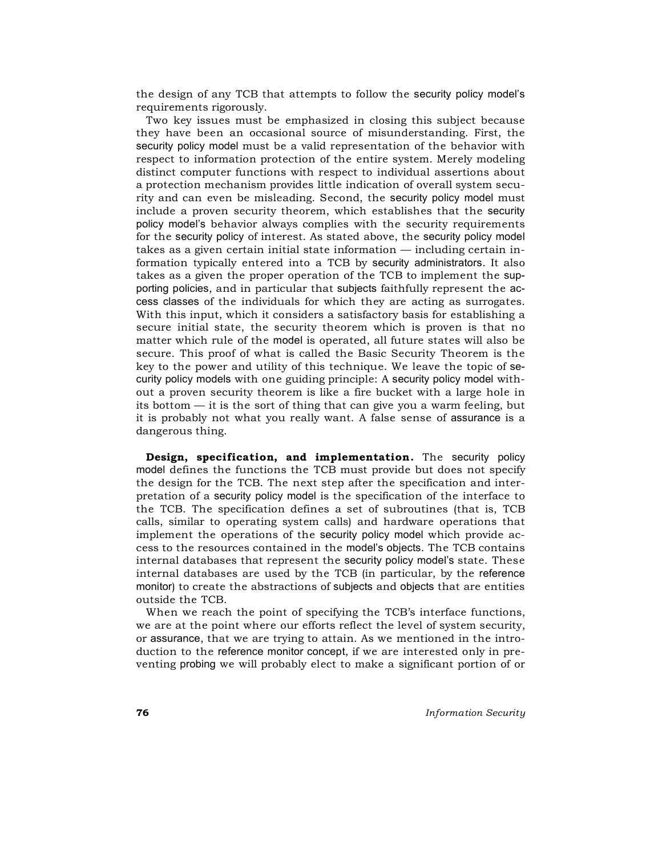the design of any TCB that attempts to follow the security policy model's requirements rigorously.

Two key issues must be emphasized in closing this subject because they have been an occasional source of misunderstanding. First, the security policy model must be a valid representation of the behavior with respect to information protection of the entire system. Merely modeling distinct computer functions with respect to individual assertions about a protection mechanism provides little indication of overall system security and can even be misleading. Second, the security policy model must include a proven security theorem, which establishes that the security policy model's behavior always complies with the security requirements for the security policy of interest. As stated above, the security policy model takes as a given certain initial state information — including certain information typically entered into a TCB by security administrators. It also takes as a given the proper operation of the TCB to implement the supporting policies, and in particular that subjects faithfully represent the access classes of the individuals for which they are acting as surrogates. With this input, which it considers a satisfactory basis for establishing a secure initial state, the security theorem which is proven is that no matter which rule of the model is operated, all future states will also be secure. This proof of what is called the Basic Security Theorem is the key to the power and utility of this technique. We leave the topic of security policy models with one guiding principle: A security policy model without a proven security theorem is like a fire bucket with a large hole in its bottom — it is the sort of thing that can give you a warm feeling, but it is probably not what you really want. A false sense of assurance is a dangerous thing.

**Design, specification, and implementation.** The security policy model defines the functions the TCB must provide but does not specify the design for the TCB. The next step after the specification and interpretation of a security policy model is the specification of the interface to the TCB. The specification defines a set of subroutines (that is, TCB calls, similar to operating system calls) and hardware operations that implement the operations of the security policy model which provide access to the resources contained in the model's objects. The TCB contains internal databases that represent the security policy model's state. These internal databases are used by the TCB (in particular, by the reference monitor) to create the abstractions of subjects and objects that are entities outside the TCB.

When we reach the point of specifying the TCB's interface functions, we are at the point where our efforts reflect the level of system security, or assurance, that we are trying to attain. As we mentioned in the introduction to the reference monitor concept, if we are interested only in preventing probing we will probably elect to make a significant portion of or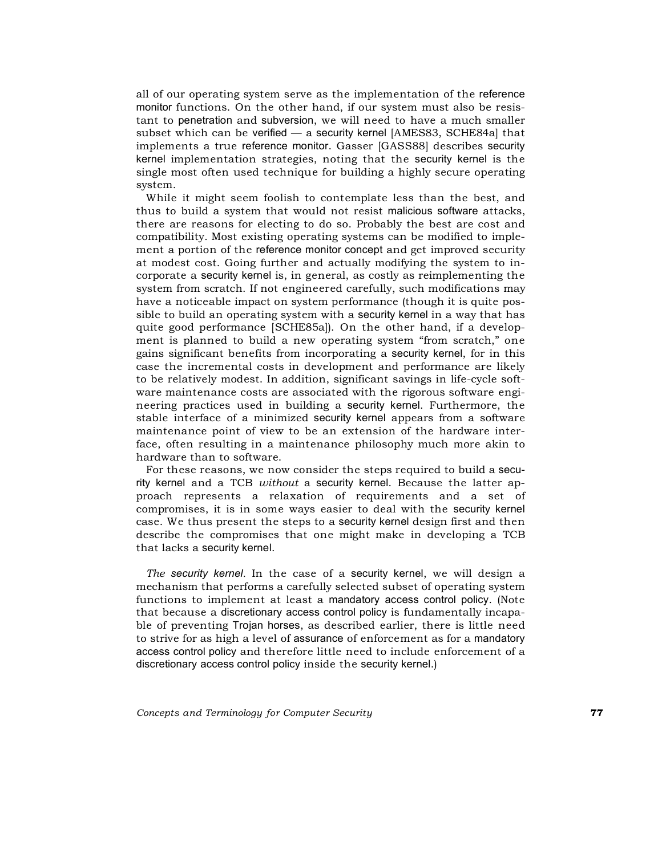all of our operating system serve as the implementation of the reference monitor functions. On the other hand, if our system must also be resistant to penetration and subversion, we will need to have a much smaller subset which can be verified — a security kernel [AMES83, SCHE84a] that implements a true reference monitor. Gasser [GASS88] describes security kernel implementation strategies, noting that the security kernel is the single most often used technique for building a highly secure operating system.

While it might seem foolish to contemplate less than the best, and thus to build a system that would not resist malicious software attacks, there are reasons for electing to do so. Probably the best are cost and compatibility. Most existing operating systems can be modified to implement a portion of the reference monitor concept and get improved security at modest cost. Going further and actually modifying the system to incorporate a security kernel is, in general, as costly as reimplementing the system from scratch. If not engineered carefully, such modifications may have a noticeable impact on system performance (though it is quite possible to build an operating system with a security kernel in a way that has quite good performance [SCHE85a]). On the other hand, if a development is planned to build a new operating system "from scratch," one gains significant benefits from incorporating a security kernel, for in this case the incremental costs in development and performance are likely to be relatively modest. In addition, significant savings in life-cycle software maintenance costs are associated with the rigorous software engineering practices used in building a security kernel. Furthermore, the stable interface of a minimized security kernel appears from a software maintenance point of view to be an extension of the hardware interface, often resulting in a maintenance philosophy much more akin to hardware than to software.

For these reasons, we now consider the steps required to build a security kernel and a TCB *without* a security kernel. Because the latter approach represents a relaxation of requirements and a set of compromises, it is in some ways easier to deal with the security kernel case. We thus present the steps to a security kernel design first and then describe the compromises that one might make in developing a TCB that lacks a security kernel.

*The security kernel.* In the case of a security kernel, we will design a mechanism that performs a carefully selected subset of operating system functions to implement at least a mandatory access control policy. (Note that because a discretionary access control policy is fundamentally incapable of preventing Trojan horses, as described earlier, there is little need to strive for as high a level of assurance of enforcement as for a mandatory access control policy and therefore little need to include enforcement of a discretionary access control policy inside the security kernel.)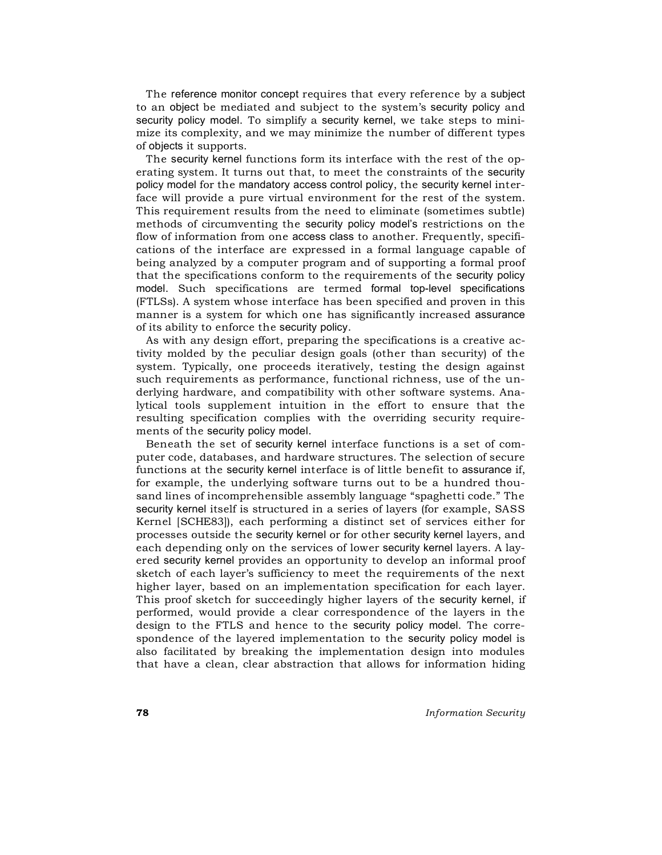The reference monitor concept requires that every reference by a subject to an object be mediated and subject to the system's security policy and security policy model. To simplify a security kernel, we take steps to minimize its complexity, and we may minimize the number of different types of objects it supports.

The security kernel functions form its interface with the rest of the operating system. It turns out that, to meet the constraints of the security policy model for the mandatory access control policy, the security kernel interface will provide a pure virtual environment for the rest of the system. This requirement results from the need to eliminate (sometimes subtle) methods of circumventing the security policy model's restrictions on the flow of information from one access class to another. Frequently, specifications of the interface are expressed in a formal language capable of being analyzed by a computer program and of supporting a formal proof that the specifications conform to the requirements of the security policy model. Such specifications are termed formal top-level specifications (FTLSs). A system whose interface has been specified and proven in this manner is a system for which one has significantly increased assurance of its ability to enforce the security policy.

As with any design effort, preparing the specifications is a creative activity molded by the peculiar design goals (other than security) of the system. Typically, one proceeds iteratively, testing the design against such requirements as performance, functional richness, use of the underlying hardware, and compatibility with other software systems. Analytical tools supplement intuition in the effort to ensure that the resulting specification complies with the overriding security requirements of the security policy model.

Beneath the set of security kernel interface functions is a set of computer code, databases, and hardware structures. The selection of secure functions at the security kernel interface is of little benefit to assurance if, for example, the underlying software turns out to be a hundred thousand lines of incomprehensible assembly language "spaghetti code." The security kernel itself is structured in a series of layers (for example, SASS Kernel [SCHE83]), each performing a distinct set of services either for processes outside the security kernel or for other security kernel layers, and each depending only on the services of lower security kernel layers. A layered security kernel provides an opportunity to develop an informal proof sketch of each layer's sufficiency to meet the requirements of the next higher layer, based on an implementation specification for each layer. This proof sketch for succeedingly higher layers of the security kernel, if performed, would provide a clear correspondence of the layers in the design to the FTLS and hence to the security policy model. The correspondence of the layered implementation to the security policy model is also facilitated by breaking the implementation design into modules that have a clean, clear abstraction that allows for information hiding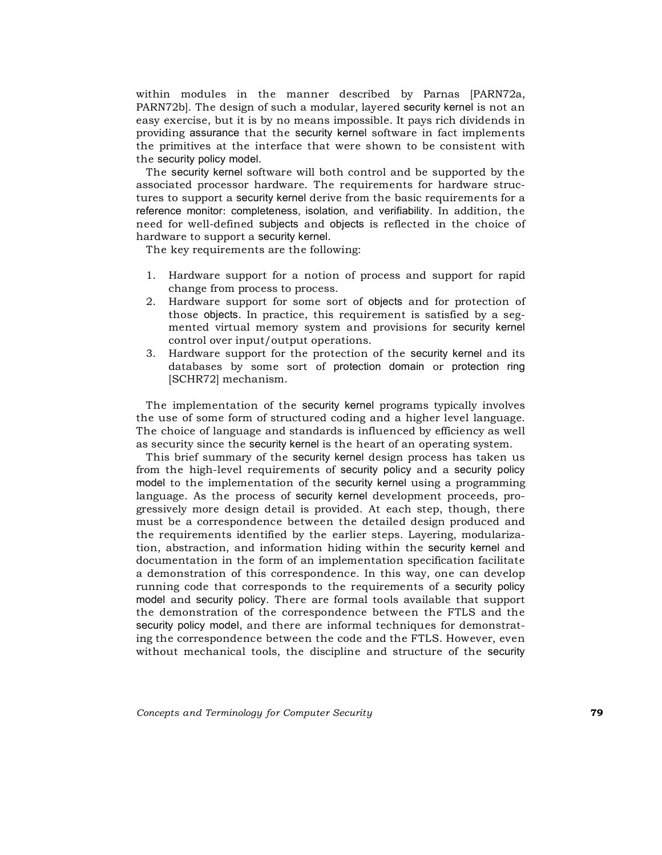within modules in the manner described by Parnas [PARN72a, PARN72b]. The design of such a modular, layered security kernel is not an easy exercise, but it is by no means impossible. It pays rich dividends in providing assurance that the security kernel software in fact implements the primitives at the interface that were shown to be consistent with the security policy model.

The security kernel software will both control and be supported by the associated processor hardware. The requirements for hardware structures to support a security kernel derive from the basic requirements for a reference monitor: completeness, isolation, and verifiability. In addition, the need for well-defined subjects and objects is reflected in the choice of hardware to support a security kernel.

The key requirements are the following:

- 1. Hardware support for a notion of process and support for rapid change from process to process.
- 2. Hardware support for some sort of objects and for protection of those objects. In practice, this requirement is satisfied by a segmented virtual memory system and provisions for security kernel control over input/output operations.
- 3. Hardware support for the protection of the security kernel and its databases by some sort of protection domain or protection ring [SCHR72] mechanism.

The implementation of the security kernel programs typically involves the use of some form of structured coding and a higher level language. The choice of language and standards is influenced by efficiency as well as security since the security kernel is the heart of an operating system.

This brief summary of the security kernel design process has taken us from the high-level requirements of security policy and a security policy model to the implementation of the security kernel using a programming language. As the process of security kernel development proceeds, progressively more design detail is provided. At each step, though, there must be a correspondence between the detailed design produced and the requirements identified by the earlier steps. Layering, modularization, abstraction, and information hiding within the security kernel and documentation in the form of an implementation specification facilitate a demonstration of this correspondence. In this way, one can develop running code that corresponds to the requirements of a security policy model and security policy. There are formal tools available that support the demonstration of the correspondence between the FTLS and the security policy model, and there are informal techniques for demonstrating the correspondence between the code and the FTLS. However, even without mechanical tools, the discipline and structure of the security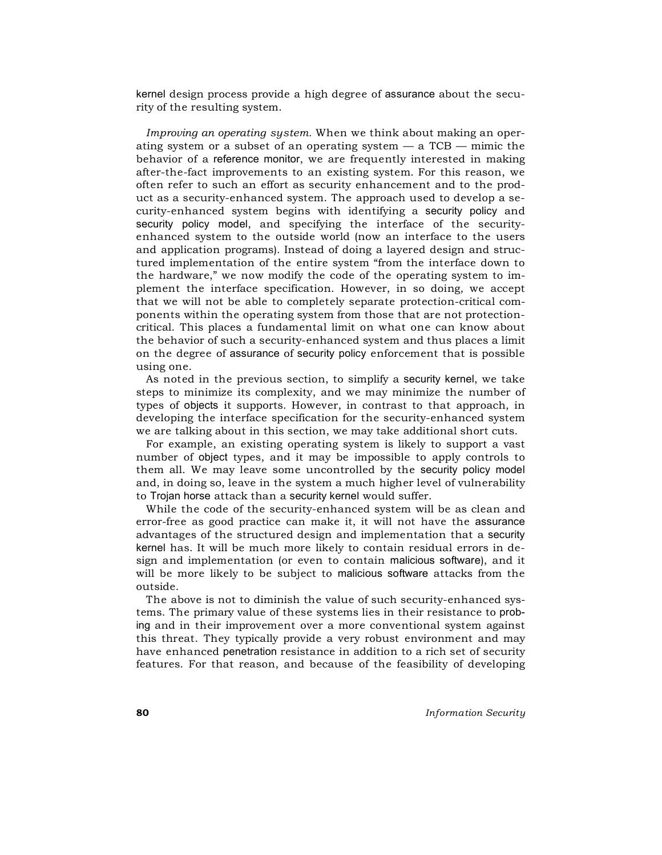kernel design process provide a high degree of assurance about the security of the resulting system.

*Improving an operating system.* When we think about making an operating system or a subset of an operating system  $-$  a TCB  $-$  mimic the behavior of a reference monitor, we are frequently interested in making after-the-fact improvements to an existing system. For this reason, we often refer to such an effort as security enhancement and to the product as a security-enhanced system. The approach used to develop a security-enhanced system begins with identifying a security policy and security policy model, and specifying the interface of the securityenhanced system to the outside world (now an interface to the users and application programs). Instead of doing a layered design and structured implementation of the entire system "from the interface down to the hardware," we now modify the code of the operating system to implement the interface specification. However, in so doing, we accept that we will not be able to completely separate protection-critical components within the operating system from those that are not protectioncritical. This places a fundamental limit on what one can know about the behavior of such a security-enhanced system and thus places a limit on the degree of assurance of security policy enforcement that is possible using one.

As noted in the previous section, to simplify a security kernel, we take steps to minimize its complexity, and we may minimize the number of types of objects it supports. However, in contrast to that approach, in developing the interface specification for the security-enhanced system we are talking about in this section, we may take additional short cuts.

For example, an existing operating system is likely to support a vast number of object types, and it may be impossible to apply controls to them all. We may leave some uncontrolled by the security policy model and, in doing so, leave in the system a much higher level of vulnerability to Trojan horse attack than a security kernel would suffer.

While the code of the security-enhanced system will be as clean and error-free as good practice can make it, it will not have the assurance advantages of the structured design and implementation that a security kernel has. It will be much more likely to contain residual errors in design and implementation (or even to contain malicious software), and it will be more likely to be subject to malicious software attacks from the outside.

The above is not to diminish the value of such security-enhanced systems. The primary value of these systems lies in their resistance to probing and in their improvement over a more conventional system against this threat. They typically provide a very robust environment and may have enhanced penetration resistance in addition to a rich set of security features. For that reason, and because of the feasibility of developing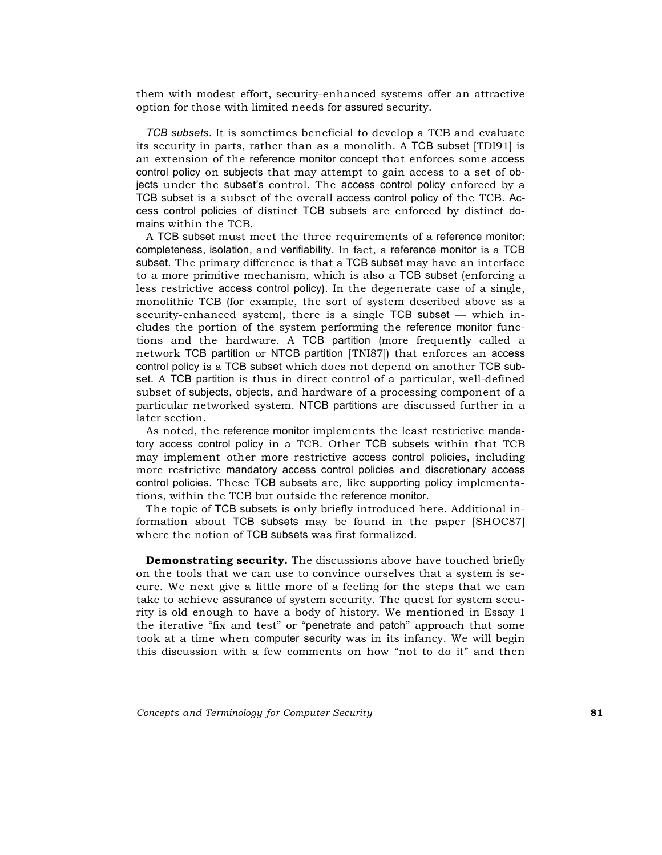them with modest effort, security-enhanced systems offer an attractive option for those with limited needs for assured security.

*TCB subsets.* It is sometimes beneficial to develop a TCB and evaluate its security in parts, rather than as a monolith. A TCB subset [TDI91] is an extension of the reference monitor concept that enforces some access control policy on subjects that may attempt to gain access to a set of objects under the subset's control. The access control policy enforced by a TCB subset is a subset of the overall access control policy of the TCB. Access control policies of distinct TCB subsets are enforced by distinct domains within the TCB.

A TCB subset must meet the three requirements of a reference monitor: completeness, isolation, and verifiability. In fact, a reference monitor is a TCB subset. The primary difference is that a TCB subset may have an interface to a more primitive mechanism, which is also a TCB subset (enforcing a less restrictive access control policy). In the degenerate case of a single, monolithic TCB (for example, the sort of system described above as a security-enhanced system), there is a single TCB subset — which includes the portion of the system performing the reference monitor functions and the hardware. A TCB partition (more frequently called a network TCB partition or NTCB partition [TNI87]) that enforces an access control policy is a TCB subset which does not depend on another TCB subset. A TCB partition is thus in direct control of a particular, well-defined subset of subjects, objects, and hardware of a processing component of a particular networked system. NTCB partitions are discussed further in a later section.

As noted, the reference monitor implements the least restrictive mandatory access control policy in a TCB. Other TCB subsets within that TCB may implement other more restrictive access control policies, including more restrictive mandatory access control policies and discretionary access control policies. These TCB subsets are, like supporting policy implementations, within the TCB but outside the reference monitor.

The topic of TCB subsets is only briefly introduced here. Additional information about TCB subsets may be found in the paper [SHOC87] where the notion of TCB subsets was first formalized.

**Demonstrating security.** The discussions above have touched briefly on the tools that we can use to convince ourselves that a system is secure. We next give a little more of a feeling for the steps that we can take to achieve assurance of system security. The quest for system security is old enough to have a body of history. We mentioned in Essay 1 the iterative "fix and test" or "penetrate and patch" approach that some took at a time when computer security was in its infancy. We will begin this discussion with a few comments on how "not to do it" and then

*Concepts and Terminology for Computer Security* **81**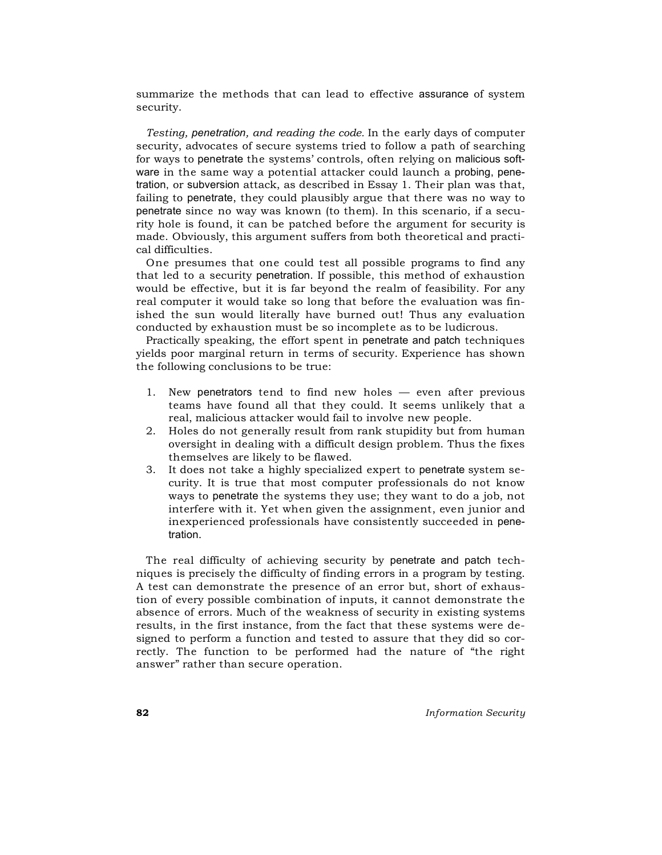summarize the methods that can lead to effective assurance of system security.

*Testing, penetration, and reading the code.* In the early days of computer security, advocates of secure systems tried to follow a path of searching for ways to penetrate the systems' controls, often relying on malicious software in the same way a potential attacker could launch a probing, penetration, or subversion attack, as described in Essay 1. Their plan was that, failing to penetrate, they could plausibly argue that there was no way to penetrate since no way was known (to them). In this scenario, if a security hole is found, it can be patched before the argument for security is made. Obviously, this argument suffers from both theoretical and practical difficulties.

One presumes that one could test all possible programs to find any that led to a security penetration. If possible, this method of exhaustion would be effective, but it is far beyond the realm of feasibility. For any real computer it would take so long that before the evaluation was finished the sun would literally have burned out! Thus any evaluation conducted by exhaustion must be so incomplete as to be ludicrous.

Practically speaking, the effort spent in penetrate and patch techniques yields poor marginal return in terms of security. Experience has shown the following conclusions to be true:

- 1. New penetrators tend to find new holes even after previous teams have found all that they could. It seems unlikely that a real, malicious attacker would fail to involve new people.
- 2. Holes do not generally result from rank stupidity but from human oversight in dealing with a difficult design problem. Thus the fixes themselves are likely to be flawed.
- 3. It does not take a highly specialized expert to penetrate system security. It is true that most computer professionals do not know ways to penetrate the systems they use; they want to do a job, not interfere with it. Yet when given the assignment, even junior and inexperienced professionals have consistently succeeded in penetration.

The real difficulty of achieving security by penetrate and patch techniques is precisely the difficulty of finding errors in a program by testing. A test can demonstrate the presence of an error but, short of exhaustion of every possible combination of inputs, it cannot demonstrate the absence of errors. Much of the weakness of security in existing systems results, in the first instance, from the fact that these systems were designed to perform a function and tested to assure that they did so correctly. The function to be performed had the nature of "the right answer" rather than secure operation.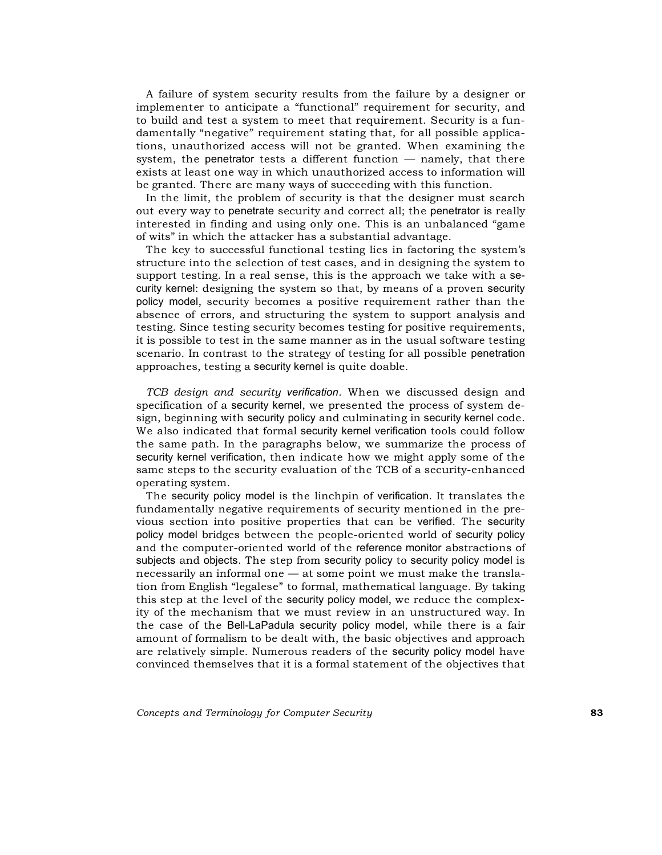A failure of system security results from the failure by a designer or implementer to anticipate a "functional" requirement for security, and to build and test a system to meet that requirement. Security is a fundamentally "negative" requirement stating that, for all possible applications, unauthorized access will not be granted. When examining the system, the penetrator tests a different function — namely, that there exists at least one way in which unauthorized access to information will be granted. There are many ways of succeeding with this function.

In the limit, the problem of security is that the designer must search out every way to penetrate security and correct all; the penetrator is really interested in finding and using only one. This is an unbalanced "game of wits" in which the attacker has a substantial advantage.

The key to successful functional testing lies in factoring the system's structure into the selection of test cases, and in designing the system to support testing. In a real sense, this is the approach we take with a security kernel: designing the system so that, by means of a proven security policy model, security becomes a positive requirement rather than the absence of errors, and structuring the system to support analysis and testing. Since testing security becomes testing for positive requirements, it is possible to test in the same manner as in the usual software testing scenario. In contrast to the strategy of testing for all possible penetration approaches, testing a security kernel is quite doable.

*TCB design and security verification.* When we discussed design and specification of a security kernel, we presented the process of system design, beginning with security policy and culminating in security kernel code. We also indicated that formal security kernel verification tools could follow the same path. In the paragraphs below, we summarize the process of security kernel verification, then indicate how we might apply some of the same steps to the security evaluation of the TCB of a security-enhanced operating system.

The security policy model is the linchpin of verification. It translates the fundamentally negative requirements of security mentioned in the previous section into positive properties that can be verified. The security policy model bridges between the people-oriented world of security policy and the computer-oriented world of the reference monitor abstractions of subjects and objects. The step from security policy to security policy model is necessarily an informal one — at some point we must make the translation from English "legalese" to formal, mathematical language. By taking this step at the level of the security policy model, we reduce the complexity of the mechanism that we must review in an unstructured way. In the case of the Bell-LaPadula security policy model, while there is a fair amount of formalism to be dealt with, the basic objectives and approach are relatively simple. Numerous readers of the security policy model have convinced themselves that it is a formal statement of the objectives that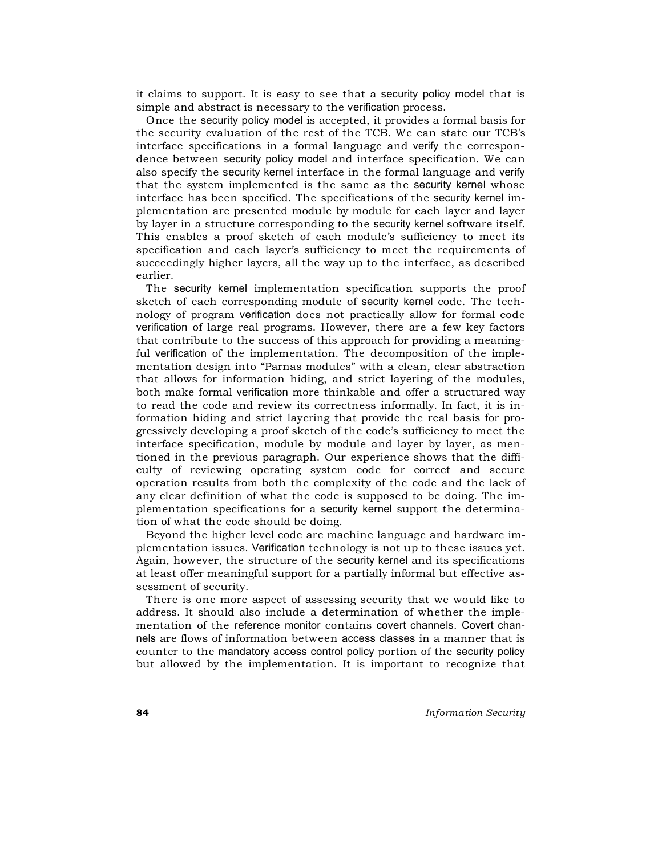it claims to support. It is easy to see that a security policy model that is simple and abstract is necessary to the verification process.

Once the security policy model is accepted, it provides a formal basis for the security evaluation of the rest of the TCB. We can state our TCB's interface specifications in a formal language and verify the correspondence between security policy model and interface specification. We can also specify the security kernel interface in the formal language and verify that the system implemented is the same as the security kernel whose interface has been specified. The specifications of the security kernel implementation are presented module by module for each layer and layer by layer in a structure corresponding to the security kernel software itself. This enables a proof sketch of each module's sufficiency to meet its specification and each layer's sufficiency to meet the requirements of succeedingly higher layers, all the way up to the interface, as described earlier.

The security kernel implementation specification supports the proof sketch of each corresponding module of security kernel code. The technology of program verification does not practically allow for formal code verification of large real programs. However, there are a few key factors that contribute to the success of this approach for providing a meaningful verification of the implementation. The decomposition of the implementation design into "Parnas modules" with a clean, clear abstraction that allows for information hiding, and strict layering of the modules, both make formal verification more thinkable and offer a structured way to read the code and review its correctness informally. In fact, it is information hiding and strict layering that provide the real basis for progressively developing a proof sketch of the code's sufficiency to meet the interface specification, module by module and layer by layer, as mentioned in the previous paragraph. Our experience shows that the difficulty of reviewing operating system code for correct and secure operation results from both the complexity of the code and the lack of any clear definition of what the code is supposed to be doing. The implementation specifications for a security kernel support the determination of what the code should be doing.

Beyond the higher level code are machine language and hardware implementation issues. Verification technology is not up to these issues yet. Again, however, the structure of the security kernel and its specifications at least offer meaningful support for a partially informal but effective assessment of security.

There is one more aspect of assessing security that we would like to address. It should also include a determination of whether the implementation of the reference monitor contains covert channels. Covert channels are flows of information between access classes in a manner that is counter to the mandatory access control policy portion of the security policy but allowed by the implementation. It is important to recognize that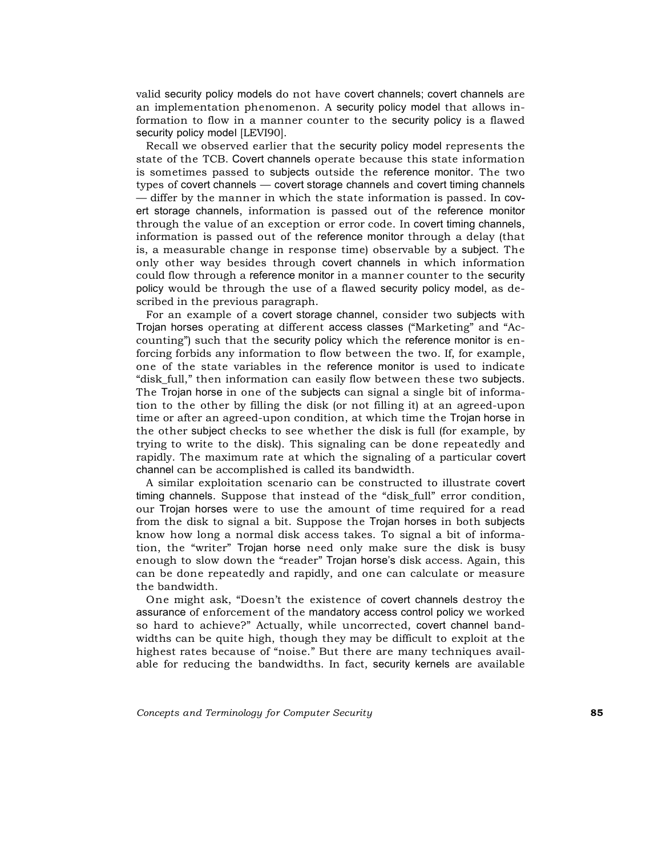valid security policy models do not have covert channels; covert channels are an implementation phenomenon. A security policy model that allows information to flow in a manner counter to the security policy is a flawed security policy model [LEVI90].

Recall we observed earlier that the security policy model represents the state of the TCB. Covert channels operate because this state information is sometimes passed to subjects outside the reference monitor. The two types of covert channels — covert storage channels and covert timing channels — differ by the manner in which the state information is passed. In covert storage channels, information is passed out of the reference monitor through the value of an exception or error code. In covert timing channels, information is passed out of the reference monitor through a delay (that is, a measurable change in response time) observable by a subject. The only other way besides through covert channels in which information could flow through a reference monitor in a manner counter to the security policy would be through the use of a flawed security policy model, as described in the previous paragraph.

For an example of a covert storage channel, consider two subjects with Trojan horses operating at different access classes ("Marketing" and "Accounting") such that the security policy which the reference monitor is enforcing forbids any information to flow between the two. If, for example, one of the state variables in the reference monitor is used to indicate "disk\_full," then information can easily flow between these two subjects. The Trojan horse in one of the subjects can signal a single bit of information to the other by filling the disk (or not filling it) at an agreed-upon time or after an agreed-upon condition, at which time the Trojan horse in the other subject checks to see whether the disk is full (for example, by trying to write to the disk). This signaling can be done repeatedly and rapidly. The maximum rate at which the signaling of a particular covert channel can be accomplished is called its bandwidth.

A similar exploitation scenario can be constructed to illustrate covert timing channels. Suppose that instead of the "disk\_full" error condition, our Trojan horses were to use the amount of time required for a read from the disk to signal a bit. Suppose the Trojan horses in both subjects know how long a normal disk access takes. To signal a bit of information, the "writer" Trojan horse need only make sure the disk is busy enough to slow down the "reader" Trojan horse's disk access. Again, this can be done repeatedly and rapidly, and one can calculate or measure the bandwidth.

One might ask, "Doesn't the existence of covert channels destroy the assurance of enforcement of the mandatory access control policy we worked so hard to achieve?" Actually, while uncorrected, covert channel bandwidths can be quite high, though they may be difficult to exploit at the highest rates because of "noise." But there are many techniques available for reducing the bandwidths. In fact, security kernels are available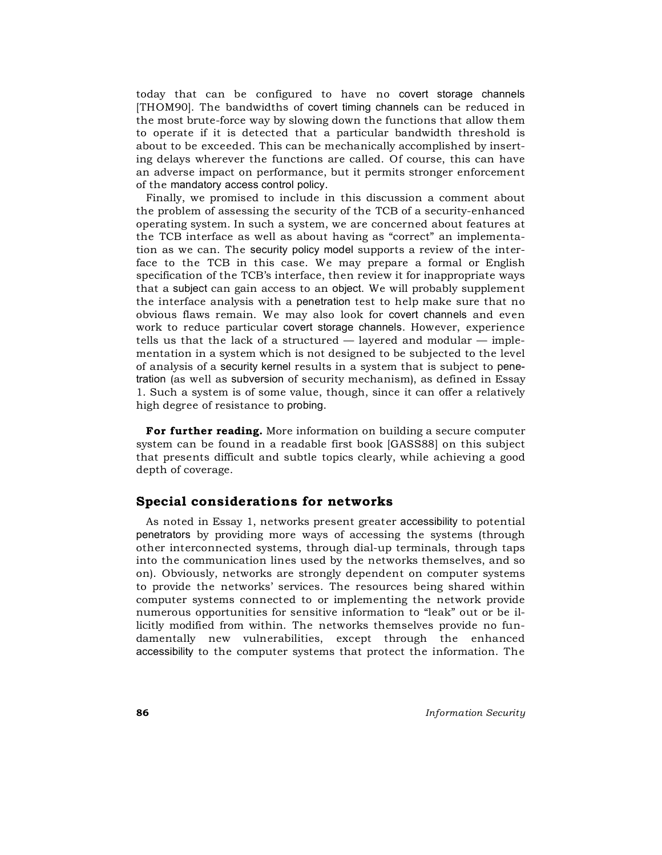today that can be configured to have no covert storage channels [THOM90]. The bandwidths of covert timing channels can be reduced in the most brute-force way by slowing down the functions that allow them to operate if it is detected that a particular bandwidth threshold is about to be exceeded. This can be mechanically accomplished by inserting delays wherever the functions are called. Of course, this can have an adverse impact on performance, but it permits stronger enforcement of the mandatory access control policy.

Finally, we promised to include in this discussion a comment about the problem of assessing the security of the TCB of a security-enhanced operating system. In such a system, we are concerned about features at the TCB interface as well as about having as "correct" an implementation as we can. The security policy model supports a review of the interface to the TCB in this case. We may prepare a formal or English specification of the TCB's interface, then review it for inappropriate ways that a subject can gain access to an object. We will probably supplement the interface analysis with a penetration test to help make sure that no obvious flaws remain. We may also look for covert channels and even work to reduce particular covert storage channels. However, experience tells us that the lack of a structured  $-$  layered and modular  $-$  implementation in a system which is not designed to be subjected to the level of analysis of a security kernel results in a system that is subject to penetration (as well as subversion of security mechanism), as defined in Essay 1. Such a system is of some value, though, since it can offer a relatively high degree of resistance to probing.

**For further reading.** More information on building a secure computer system can be found in a readable first book [GASS88] on this subject that presents difficult and subtle topics clearly, while achieving a good depth of coverage.

#### **Special considerations for networks**

As noted in Essay 1, networks present greater accessibility to potential penetrators by providing more ways of accessing the systems (through other interconnected systems, through dial-up terminals, through taps into the communication lines used by the networks themselves, and so on). Obviously, networks are strongly dependent on computer systems to provide the networks' services. The resources being shared within computer systems connected to or implementing the network provide numerous opportunities for sensitive information to "leak" out or be illicitly modified from within. The networks themselves provide no fundamentally new vulnerabilities, except through the enhanced accessibility to the computer systems that protect the information. The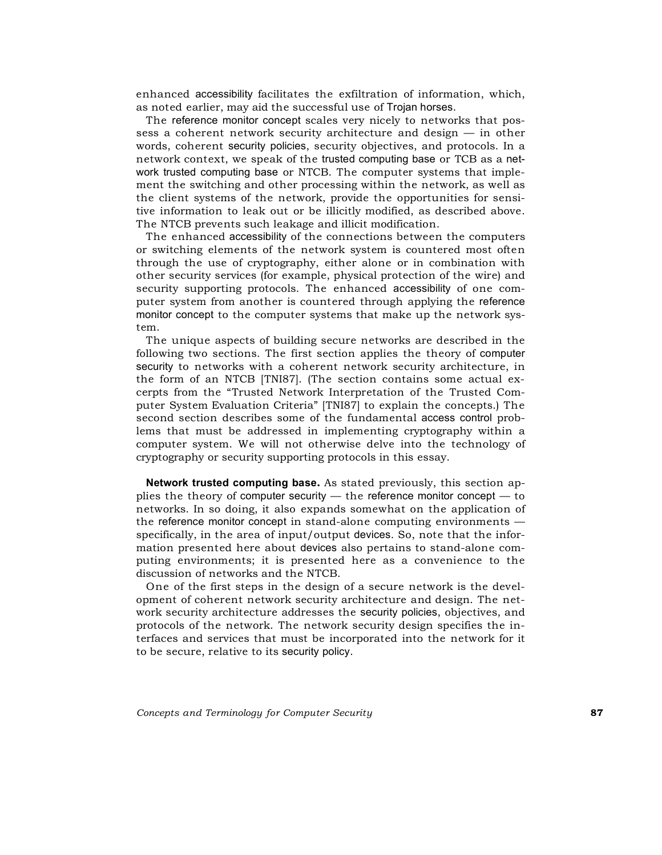enhanced accessibility facilitates the exfiltration of information, which, as noted earlier, may aid the successful use of Trojan horses.

The reference monitor concept scales very nicely to networks that possess a coherent network security architecture and design — in other words, coherent security policies, security objectives, and protocols. In a network context, we speak of the trusted computing base or TCB as a network trusted computing base or NTCB. The computer systems that implement the switching and other processing within the network, as well as the client systems of the network, provide the opportunities for sensitive information to leak out or be illicitly modified, as described above. The NTCB prevents such leakage and illicit modification.

The enhanced accessibility of the connections between the computers or switching elements of the network system is countered most often through the use of cryptography, either alone or in combination with other security services (for example, physical protection of the wire) and security supporting protocols. The enhanced accessibility of one computer system from another is countered through applying the reference monitor concept to the computer systems that make up the network system.

The unique aspects of building secure networks are described in the following two sections. The first section applies the theory of computer security to networks with a coherent network security architecture, in the form of an NTCB [TNI87]. (The section contains some actual excerpts from the "Trusted Network Interpretation of the Trusted Computer System Evaluation Criteria" [TNI87] to explain the concepts.) The second section describes some of the fundamental access control problems that must be addressed in implementing cryptography within a computer system. We will not otherwise delve into the technology of cryptography or security supporting protocols in this essay.

**Network trusted computing base.** As stated previously, this section applies the theory of computer security — the reference monitor concept — to networks. In so doing, it also expands somewhat on the application of the reference monitor concept in stand-alone computing environments specifically, in the area of input/output devices. So, note that the information presented here about devices also pertains to stand-alone computing environments; it is presented here as a convenience to the discussion of networks and the NTCB.

One of the first steps in the design of a secure network is the development of coherent network security architecture and design. The network security architecture addresses the security policies, objectives, and protocols of the network. The network security design specifies the interfaces and services that must be incorporated into the network for it to be secure, relative to its security policy.

*Concepts and Terminology for Computer Security* **87**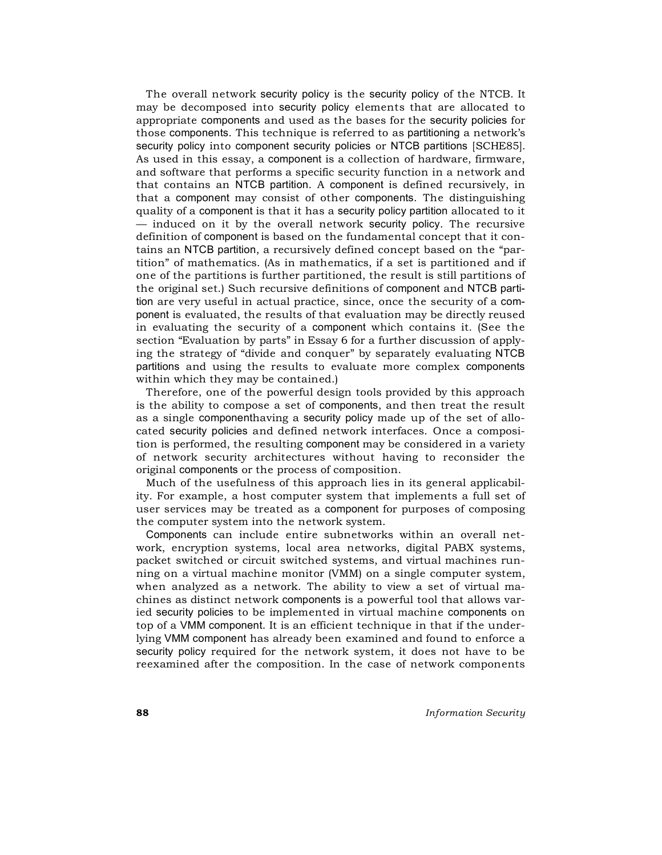The overall network security policy is the security policy of the NTCB. It may be decomposed into security policy elements that are allocated to appropriate components and used as the bases for the security policies for those components. This technique is referred to as partitioning a network's security policy into component security policies or NTCB partitions [SCHE85]. As used in this essay, a component is a collection of hardware, firmware, and software that performs a specific security function in a network and that contains an NTCB partition. A component is defined recursively, in that a component may consist of other components. The distinguishing quality of a component is that it has a security policy partition allocated to it — induced on it by the overall network security policy. The recursive definition of component is based on the fundamental concept that it contains an NTCB partition, a recursively defined concept based on the "partition" of mathematics. (As in mathematics, if a set is partitioned and if one of the partitions is further partitioned, the result is still partitions of the original set.) Such recursive definitions of component and NTCB partition are very useful in actual practice, since, once the security of a component is evaluated, the results of that evaluation may be directly reused in evaluating the security of a component which contains it. (See the section "Evaluation by parts" in Essay 6 for a further discussion of applying the strategy of "divide and conquer" by separately evaluating NTCB partitions and using the results to evaluate more complex components within which they may be contained.)

Therefore, one of the powerful design tools provided by this approach is the ability to compose a set of components, and then treat the result as a single componenthaving a security policy made up of the set of allocated security policies and defined network interfaces. Once a composition is performed, the resulting component may be considered in a variety of network security architectures without having to reconsider the original components or the process of composition.

Much of the usefulness of this approach lies in its general applicability. For example, a host computer system that implements a full set of user services may be treated as a component for purposes of composing the computer system into the network system.

Components can include entire subnetworks within an overall network, encryption systems, local area networks, digital PABX systems, packet switched or circuit switched systems, and virtual machines running on a virtual machine monitor (VMM) on a single computer system, when analyzed as a network. The ability to view a set of virtual machines as distinct network components is a powerful tool that allows varied security policies to be implemented in virtual machine components on top of a VMM component. It is an efficient technique in that if the underlying VMM component has already been examined and found to enforce a security policy required for the network system, it does not have to be reexamined after the composition. In the case of network components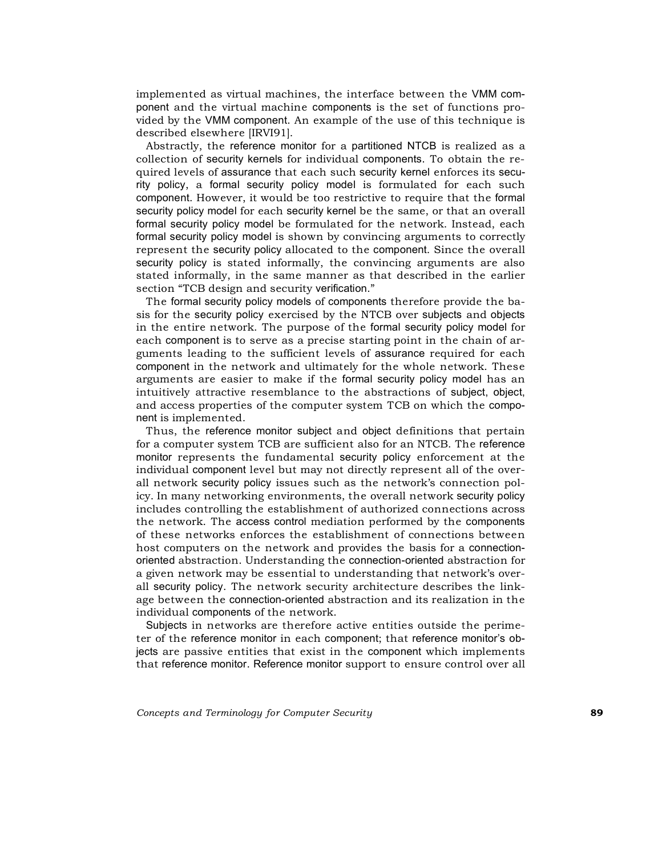implemented as virtual machines, the interface between the VMM component and the virtual machine components is the set of functions provided by the VMM component. An example of the use of this technique is described elsewhere [IRVI91].

Abstractly, the reference monitor for a partitioned NTCB is realized as a collection of security kernels for individual components. To obtain the required levels of assurance that each such security kernel enforces its security policy, a formal security policy model is formulated for each such component. However, it would be too restrictive to require that the formal security policy model for each security kernel be the same, or that an overall formal security policy model be formulated for the network. Instead, each formal security policy model is shown by convincing arguments to correctly represent the security policy allocated to the component. Since the overall security policy is stated informally, the convincing arguments are also stated informally, in the same manner as that described in the earlier section "TCB design and security verification."

The formal security policy models of components therefore provide the basis for the security policy exercised by the NTCB over subjects and objects in the entire network. The purpose of the formal security policy model for each component is to serve as a precise starting point in the chain of arguments leading to the sufficient levels of assurance required for each component in the network and ultimately for the whole network. These arguments are easier to make if the formal security policy model has an intuitively attractive resemblance to the abstractions of subject, object, and access properties of the computer system TCB on which the component is implemented.

Thus, the reference monitor subject and object definitions that pertain for a computer system TCB are sufficient also for an NTCB. The reference monitor represents the fundamental security policy enforcement at the individual component level but may not directly represent all of the overall network security policy issues such as the network's connection policy. In many networking environments, the overall network security policy includes controlling the establishment of authorized connections across the network. The access control mediation performed by the components of these networks enforces the establishment of connections between host computers on the network and provides the basis for a connectionoriented abstraction. Understanding the connection-oriented abstraction for a given network may be essential to understanding that network's overall security policy. The network security architecture describes the linkage between the connection-oriented abstraction and its realization in the individual components of the network.

Subjects in networks are therefore active entities outside the perimeter of the reference monitor in each component; that reference monitor's objects are passive entities that exist in the component which implements that reference monitor. Reference monitor support to ensure control over all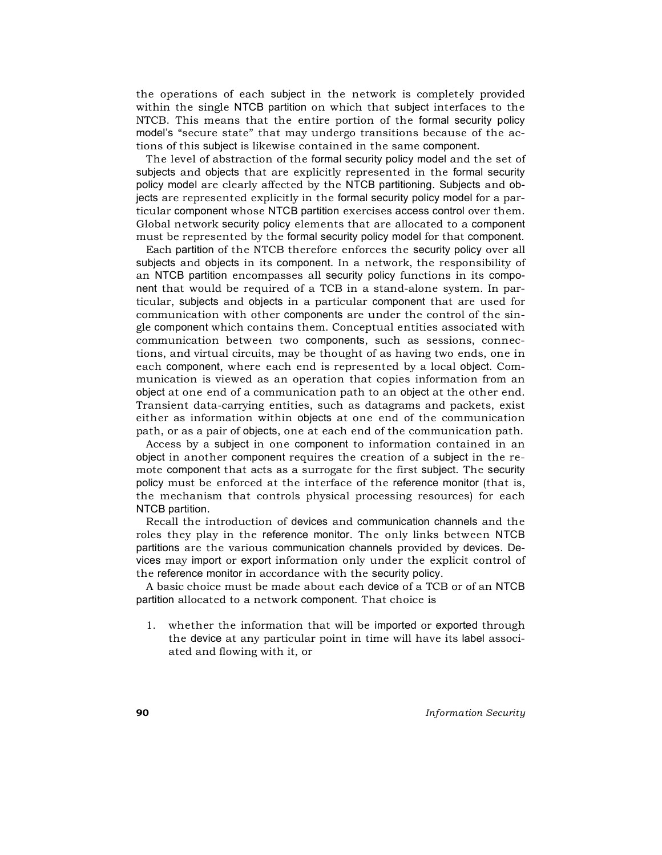the operations of each subject in the network is completely provided within the single NTCB partition on which that subject interfaces to the NTCB. This means that the entire portion of the formal security policy model's "secure state" that may undergo transitions because of the actions of this subject is likewise contained in the same component.

The level of abstraction of the formal security policy model and the set of subjects and objects that are explicitly represented in the formal security policy model are clearly affected by the NTCB partitioning. Subjects and objects are represented explicitly in the formal security policy model for a particular component whose NTCB partition exercises access control over them. Global network security policy elements that are allocated to a component must be represented by the formal security policy model for that component.

Each partition of the NTCB therefore enforces the security policy over all subjects and objects in its component. In a network, the responsibility of an NTCB partition encompasses all security policy functions in its component that would be required of a TCB in a stand-alone system. In particular, subjects and objects in a particular component that are used for communication with other components are under the control of the single component which contains them. Conceptual entities associated with communication between two components, such as sessions, connections, and virtual circuits, may be thought of as having two ends, one in each component, where each end is represented by a local object. Communication is viewed as an operation that copies information from an object at one end of a communication path to an object at the other end. Transient data-carrying entities, such as datagrams and packets, exist either as information within objects at one end of the communication path, or as a pair of objects, one at each end of the communication path.

Access by a subject in one component to information contained in an object in another component requires the creation of a subject in the remote component that acts as a surrogate for the first subject. The security policy must be enforced at the interface of the reference monitor (that is, the mechanism that controls physical processing resources) for each NTCB partition.

Recall the introduction of devices and communication channels and the roles they play in the reference monitor. The only links between NTCB partitions are the various communication channels provided by devices. Devices may import or export information only under the explicit control of the reference monitor in accordance with the security policy.

A basic choice must be made about each device of a TCB or of an NTCB partition allocated to a network component. That choice is

1. whether the information that will be imported or exported through the device at any particular point in time will have its label associated and flowing with it, or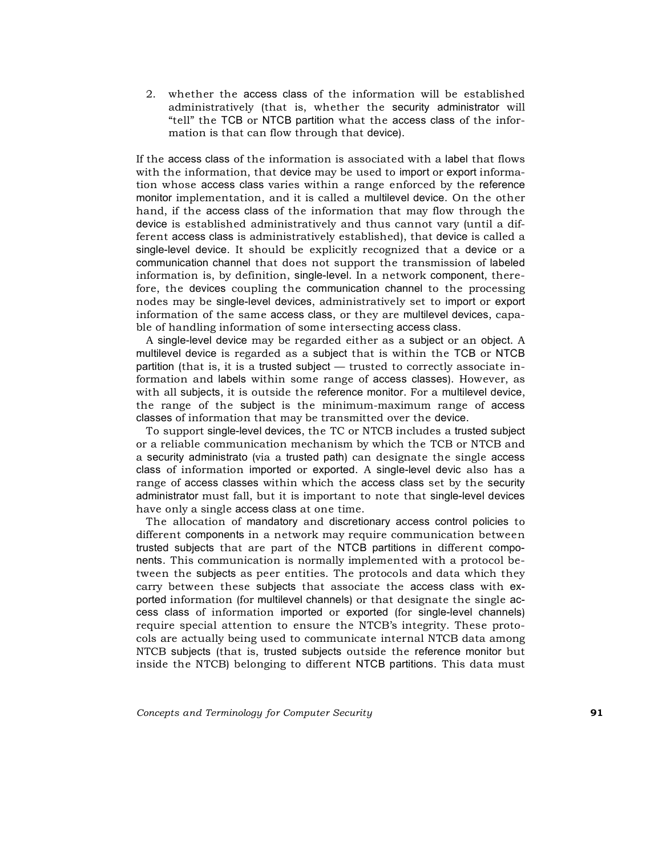2. whether the access class of the information will be established administratively (that is, whether the security administrator will "tell" the TCB or NTCB partition what the access class of the information is that can flow through that device).

If the access class of the information is associated with a label that flows with the information, that device may be used to import or export information whose access class varies within a range enforced by the reference monitor implementation, and it is called a multilevel device. On the other hand, if the access class of the information that may flow through the device is established administratively and thus cannot vary (until a different access class is administratively established), that device is called a single-level device. It should be explicitly recognized that a device or a communication channel that does not support the transmission of labeled information is, by definition, single-level. In a network component, therefore, the devices coupling the communication channel to the processing nodes may be single-level devices, administratively set to import or export information of the same access class, or they are multilevel devices, capable of handling information of some intersecting access class.

A single-level device may be regarded either as a subject or an object. A multilevel device is regarded as a subject that is within the TCB or NTCB partition (that is, it is a trusted subject — trusted to correctly associate information and labels within some range of access classes). However, as with all subjects, it is outside the reference monitor. For a multilevel device, the range of the subject is the minimum-maximum range of access classes of information that may be transmitted over the device.

To support single-level devices, the TC or NTCB includes a trusted subject or a reliable communication mechanism by which the TCB or NTCB and a security administrato (via a trusted path) can designate the single access class of information imported or exported. A single-level devic also has a range of access classes within which the access class set by the security administrator must fall, but it is important to note that single-level devices have only a single access class at one time.

The allocation of mandatory and discretionary access control policies to different components in a network may require communication between trusted subjects that are part of the NTCB partitions in different components. This communication is normally implemented with a protocol between the subjects as peer entities. The protocols and data which they carry between these subjects that associate the access class with exported information (for multilevel channels) or that designate the single access class of information imported or exported (for single-level channels) require special attention to ensure the NTCB's integrity. These protocols are actually being used to communicate internal NTCB data among NTCB subjects (that is, trusted subjects outside the reference monitor but inside the NTCB) belonging to different NTCB partitions. This data must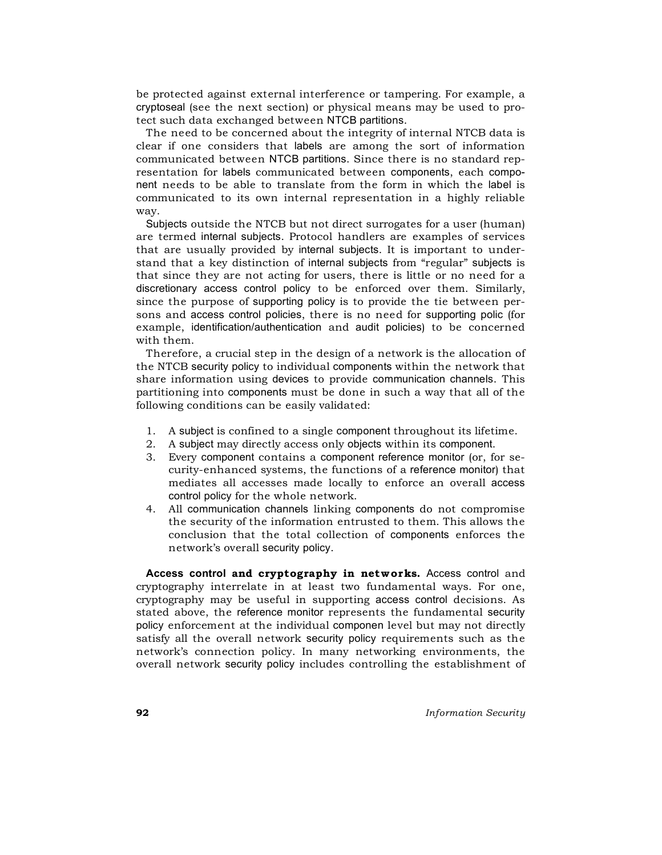be protected against external interference or tampering. For example, a cryptoseal (see the next section) or physical means may be used to protect such data exchanged between NTCB partitions.

The need to be concerned about the integrity of internal NTCB data is clear if one considers that labels are among the sort of information communicated between NTCB partitions. Since there is no standard representation for labels communicated between components, each component needs to be able to translate from the form in which the label is communicated to its own internal representation in a highly reliable way.

Subjects outside the NTCB but not direct surrogates for a user (human) are termed internal subjects. Protocol handlers are examples of services that are usually provided by internal subjects. It is important to understand that a key distinction of internal subjects from "regular" subjects is that since they are not acting for users, there is little or no need for a discretionary access control policy to be enforced over them. Similarly, since the purpose of supporting policy is to provide the tie between persons and access control policies, there is no need for supporting polic (for example, identification/authentication and audit policies) to be concerned with them.

Therefore, a crucial step in the design of a network is the allocation of the NTCB security policy to individual components within the network that share information using devices to provide communication channels. This partitioning into components must be done in such a way that all of the following conditions can be easily validated:

- 1. A subject is confined to a single component throughout its lifetime.
- 2. A subject may directly access only objects within its component.
- 3. Every component contains a component reference monitor (or, for security-enhanced systems, the functions of a reference monitor) that mediates all accesses made locally to enforce an overall access control policy for the whole network.
- 4. All communication channels linking components do not compromise the security of the information entrusted to them. This allows the conclusion that the total collection of components enforces the network's overall security policy.

**Access control and cryptography in networks.** Access control and cryptography interrelate in at least two fundamental ways. For one, cryptography may be useful in supporting access control decisions. As stated above, the reference monitor represents the fundamental security policy enforcement at the individual componen level but may not directly satisfy all the overall network security policy requirements such as the network's connection policy. In many networking environments, the overall network security policy includes controlling the establishment of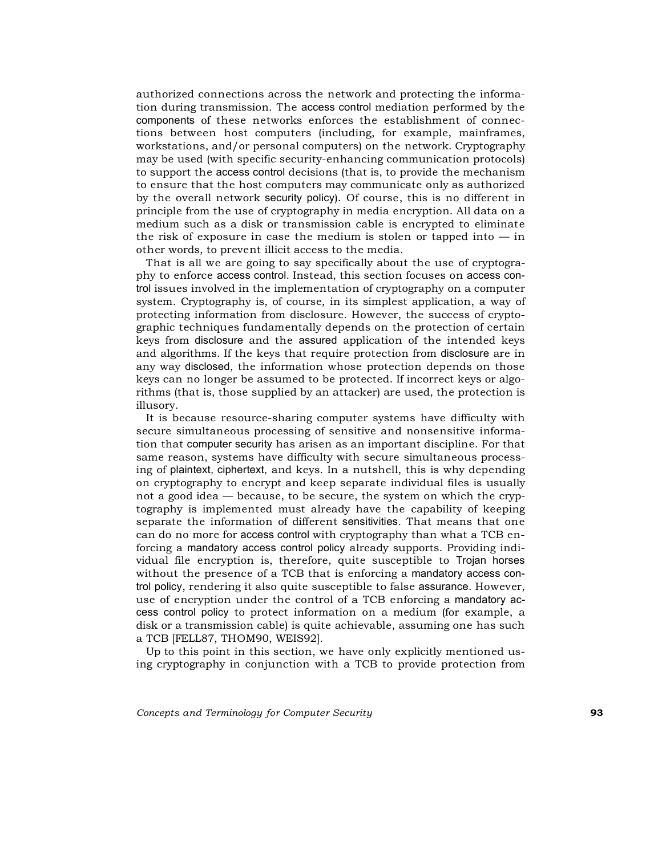authorized connections across the network and protecting the information during transmission. The access control mediation performed by the components of these networks enforces the establishment of connections between host computers (including, for example, mainframes, workstations, and/or personal computers) on the network. Cryptography may be used (with specific security-enhancing communication protocols) to support the access control decisions (that is, to provide the mechanism to ensure that the host computers may communicate only as authorized by the overall network security policy). Of course, this is no different in principle from the use of cryptography in media encryption. All data on a medium such as a disk or transmission cable is encrypted to eliminate the risk of exposure in case the medium is stolen or tapped into  $-$  in other words, to prevent illicit access to the media.

That is all we are going to say specifically about the use of cryptography to enforce access control. Instead, this section focuses on access control issues involved in the implementation of cryptography on a computer system. Cryptography is, of course, in its simplest application, a way of protecting information from disclosure. However, the success of cryptographic techniques fundamentally depends on the protection of certain keys from disclosure and the assured application of the intended keys and algorithms. If the keys that require protection from disclosure are in any way disclosed, the information whose protection depends on those keys can no longer be assumed to be protected. If incorrect keys or algorithms (that is, those supplied by an attacker) are used, the protection is illusory.

It is because resource-sharing computer systems have difficulty with secure simultaneous processing of sensitive and nonsensitive information that computer security has arisen as an important discipline. For that same reason, systems have difficulty with secure simultaneous processing of plaintext, ciphertext, and keys. In a nutshell, this is why depending on cryptography to encrypt and keep separate individual files is usually not a good idea — because, to be secure, the system on which the cryptography is implemented must already have the capability of keeping separate the information of different sensitivities. That means that one can do no more for access control with cryptography than what a TCB enforcing a mandatory access control policy already supports. Providing individual file encryption is, therefore, quite susceptible to Trojan horses without the presence of a TCB that is enforcing a mandatory access control policy, rendering it also quite susceptible to false assurance. However, use of encryption under the control of a TCB enforcing a mandatory access control policy to protect information on a medium (for example, a disk or a transmission cable) is quite achievable, assuming one has such a TCB [FELL87, THOM90, WEIS92].

Up to this point in this section, we have only explicitly mentioned using cryptography in conjunction with a TCB to provide protection from

*Concepts and Terminology for Computer Security* **93**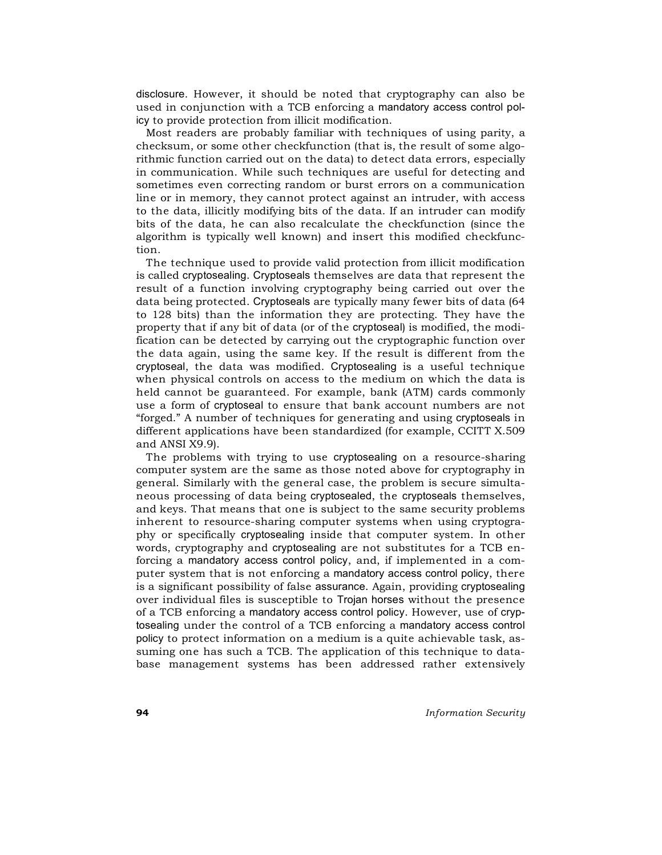disclosure. However, it should be noted that cryptography can also be used in conjunction with a TCB enforcing a mandatory access control policy to provide protection from illicit modification.

Most readers are probably familiar with techniques of using parity, a checksum, or some other checkfunction (that is, the result of some algorithmic function carried out on the data) to detect data errors, especially in communication. While such techniques are useful for detecting and sometimes even correcting random or burst errors on a communication line or in memory, they cannot protect against an intruder, with access to the data, illicitly modifying bits of the data. If an intruder can modify bits of the data, he can also recalculate the checkfunction (since the algorithm is typically well known) and insert this modified checkfunction.

The technique used to provide valid protection from illicit modification is called cryptosealing. Cryptoseals themselves are data that represent the result of a function involving cryptography being carried out over the data being protected. Cryptoseals are typically many fewer bits of data (64 to 128 bits) than the information they are protecting. They have the property that if any bit of data (or of the cryptoseal) is modified, the modification can be detected by carrying out the cryptographic function over the data again, using the same key. If the result is different from the cryptoseal, the data was modified. Cryptosealing is a useful technique when physical controls on access to the medium on which the data is held cannot be guaranteed. For example, bank (ATM) cards commonly use a form of cryptoseal to ensure that bank account numbers are not "forged." A number of techniques for generating and using cryptoseals in different applications have been standardized (for example, CCITT X.509 and ANSI X9.9).

The problems with trying to use cryptosealing on a resource-sharing computer system are the same as those noted above for cryptography in general. Similarly with the general case, the problem is secure simultaneous processing of data being cryptosealed, the cryptoseals themselves, and keys. That means that one is subject to the same security problems inherent to resource-sharing computer systems when using cryptography or specifically cryptosealing inside that computer system. In other words, cryptography and cryptosealing are not substitutes for a TCB enforcing a mandatory access control policy, and, if implemented in a computer system that is not enforcing a mandatory access control policy, there is a significant possibility of false assurance. Again, providing cryptosealing over individual files is susceptible to Trojan horses without the presence of a TCB enforcing a mandatory access control policy. However, use of cryptosealing under the control of a TCB enforcing a mandatory access control policy to protect information on a medium is a quite achievable task, assuming one has such a TCB. The application of this technique to database management systems has been addressed rather extensively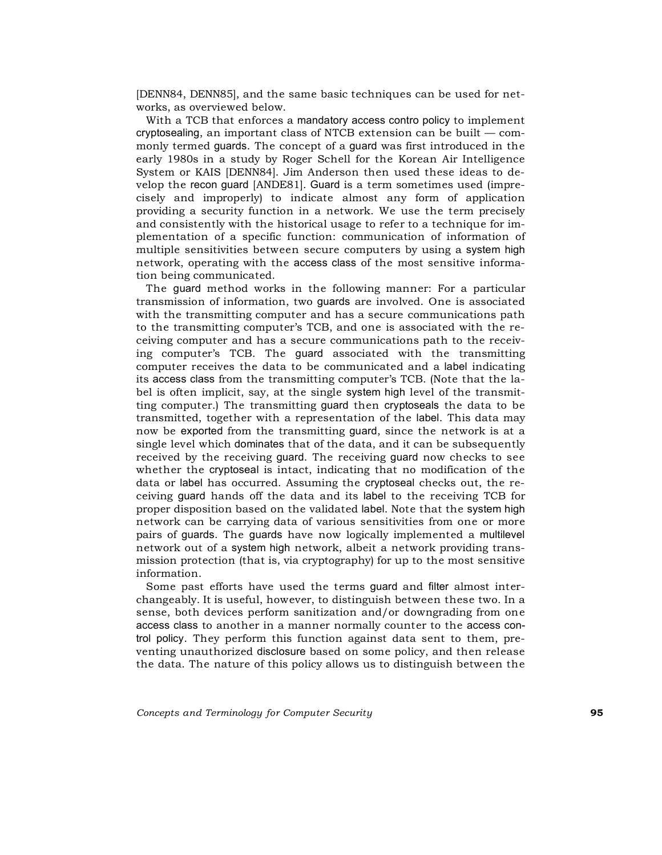[DENN84, DENN85], and the same basic techniques can be used for networks, as overviewed below.

With a TCB that enforces a mandatory access contro policy to implement cryptosealing, an important class of NTCB extension can be built — commonly termed guards. The concept of a guard was first introduced in the early 1980s in a study by Roger Schell for the Korean Air Intelligence System or KAIS [DENN84]. Jim Anderson then used these ideas to develop the recon guard [ANDE81]. Guard is a term sometimes used (imprecisely and improperly) to indicate almost any form of application providing a security function in a network. We use the term precisely and consistently with the historical usage to refer to a technique for implementation of a specific function: communication of information of multiple sensitivities between secure computers by using a system high network, operating with the access class of the most sensitive information being communicated.

The guard method works in the following manner: For a particular transmission of information, two guards are involved. One is associated with the transmitting computer and has a secure communications path to the transmitting computer's TCB, and one is associated with the receiving computer and has a secure communications path to the receiving computer's TCB. The guard associated with the transmitting computer receives the data to be communicated and a label indicating its access class from the transmitting computer's TCB. (Note that the label is often implicit, say, at the single system high level of the transmitting computer.) The transmitting guard then cryptoseals the data to be transmitted, together with a representation of the label. This data may now be exported from the transmitting guard, since the network is at a single level which dominates that of the data, and it can be subsequently received by the receiving guard. The receiving guard now checks to see whether the cryptoseal is intact, indicating that no modification of the data or label has occurred. Assuming the cryptoseal checks out, the receiving guard hands off the data and its label to the receiving TCB for proper disposition based on the validated label. Note that the system high network can be carrying data of various sensitivities from one or more pairs of guards. The guards have now logically implemented a multilevel network out of a system high network, albeit a network providing transmission protection (that is, via cryptography) for up to the most sensitive information.

Some past efforts have used the terms guard and filter almost interchangeably. It is useful, however, to distinguish between these two. In a sense, both devices perform sanitization and/or downgrading from one access class to another in a manner normally counter to the access control policy. They perform this function against data sent to them, preventing unauthorized disclosure based on some policy, and then release the data. The nature of this policy allows us to distinguish between the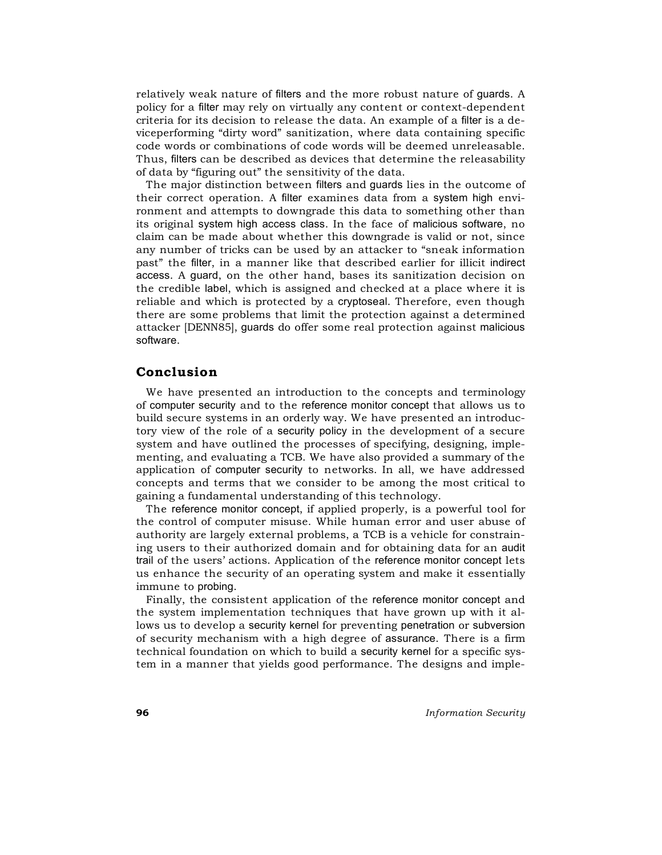relatively weak nature of filters and the more robust nature of guards. A policy for a filter may rely on virtually any content or context-dependent criteria for its decision to release the data. An example of a filter is a deviceperforming "dirty word" sanitization, where data containing specific code words or combinations of code words will be deemed unreleasable. Thus, filters can be described as devices that determine the releasability of data by "figuring out" the sensitivity of the data.

The major distinction between filters and guards lies in the outcome of their correct operation. A filter examines data from a system high environment and attempts to downgrade this data to something other than its original system high access class. In the face of malicious software, no claim can be made about whether this downgrade is valid or not, since any number of tricks can be used by an attacker to "sneak information past" the filter, in a manner like that described earlier for illicit indirect access. A guard, on the other hand, bases its sanitization decision on the credible label, which is assigned and checked at a place where it is reliable and which is protected by a cryptoseal. Therefore, even though there are some problems that limit the protection against a determined attacker [DENN85], guards do offer some real protection against malicious software.

## **Conclusion**

We have presented an introduction to the concepts and terminology of computer security and to the reference monitor concept that allows us to build secure systems in an orderly way. We have presented an introductory view of the role of a security policy in the development of a secure system and have outlined the processes of specifying, designing, implementing, and evaluating a TCB. We have also provided a summary of the application of computer security to networks. In all, we have addressed concepts and terms that we consider to be among the most critical to gaining a fundamental understanding of this technology.

The reference monitor concept, if applied properly, is a powerful tool for the control of computer misuse. While human error and user abuse of authority are largely external problems, a TCB is a vehicle for constraining users to their authorized domain and for obtaining data for an audit trail of the users' actions. Application of the reference monitor concept lets us enhance the security of an operating system and make it essentially immune to probing.

Finally, the consistent application of the reference monitor concept and the system implementation techniques that have grown up with it allows us to develop a security kernel for preventing penetration or subversion of security mechanism with a high degree of assurance. There is a firm technical foundation on which to build a security kernel for a specific system in a manner that yields good performance. The designs and imple-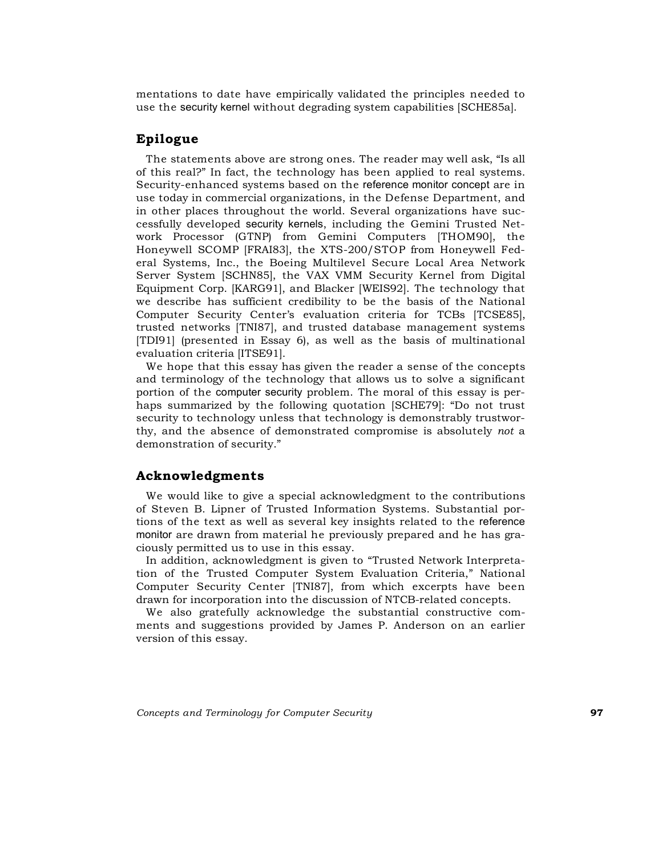mentations to date have empirically validated the principles needed to use the security kernel without degrading system capabilities [SCHE85a].

# **Epilogue**

The statements above are strong ones. The reader may well ask, "Is all of this real?" In fact, the technology has been applied to real systems. Security-enhanced systems based on the reference monitor concept are in use today in commercial organizations, in the Defense Department, and in other places throughout the world. Several organizations have successfully developed security kernels, including the Gemini Trusted Network Processor (GTNP) from Gemini Computers [THOM90], the Honeywell SCOMP [FRAI83], the XTS-200/STOP from Honeywell Federal Systems, Inc., the Boeing Multilevel Secure Local Area Network Server System [SCHN85], the VAX VMM Security Kernel from Digital Equipment Corp. [KARG91], and Blacker [WEIS92]. The technology that we describe has sufficient credibility to be the basis of the National Computer Security Center's evaluation criteria for TCBs [TCSE85], trusted networks [TNI87], and trusted database management systems [TDI91] (presented in Essay 6), as well as the basis of multinational evaluation criteria [ITSE91].

We hope that this essay has given the reader a sense of the concepts and terminology of the technology that allows us to solve a significant portion of the computer security problem. The moral of this essay is perhaps summarized by the following quotation [SCHE79]: "Do not trust security to technology unless that technology is demonstrably trustworthy, and the absence of demonstrated compromise is absolutely *not* a demonstration of security."

# **Acknowledgments**

We would like to give a special acknowledgment to the contributions of Steven B. Lipner of Trusted Information Systems. Substantial portions of the text as well as several key insights related to the reference monitor are drawn from material he previously prepared and he has graciously permitted us to use in this essay.

In addition, acknowledgment is given to "Trusted Network Interpretation of the Trusted Computer System Evaluation Criteria," National Computer Security Center [TNI87], from which excerpts have been drawn for incorporation into the discussion of NTCB-related concepts.

We also gratefully acknowledge the substantial constructive comments and suggestions provided by James P. Anderson on an earlier version of this essay.

*Concepts and Terminology for Computer Security* **97**